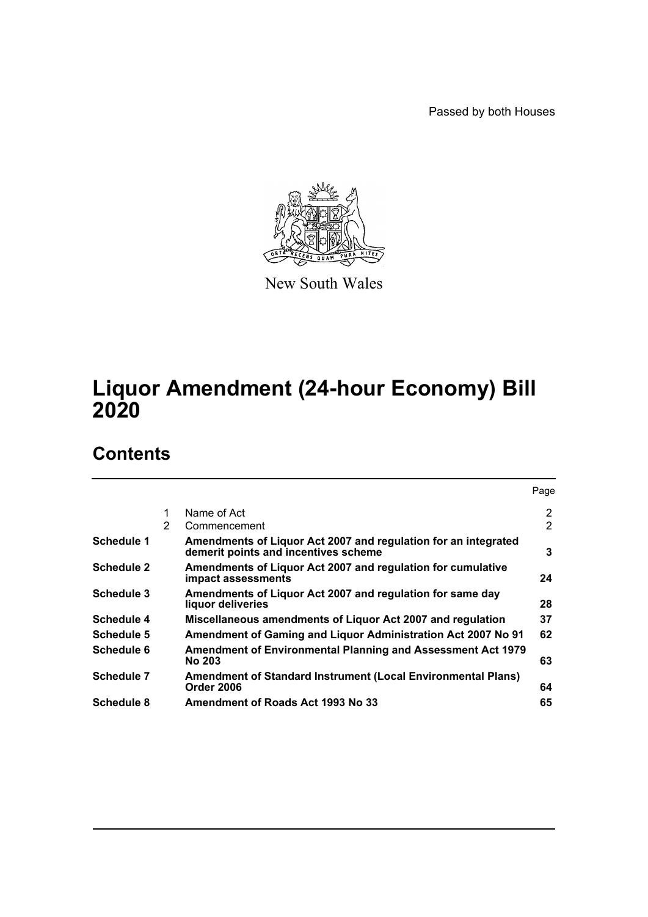Passed by both Houses



New South Wales

# **Liquor Amendment (24-hour Economy) Bill 2020**

# **Contents**

|                   |   |                                                                                                        | Page           |
|-------------------|---|--------------------------------------------------------------------------------------------------------|----------------|
|                   |   | Name of Act                                                                                            | 2              |
|                   | 2 | Commencement                                                                                           | $\overline{2}$ |
| Schedule 1        |   | Amendments of Liquor Act 2007 and regulation for an integrated<br>demerit points and incentives scheme | 3              |
| <b>Schedule 2</b> |   | Amendments of Liquor Act 2007 and regulation for cumulative<br>impact assessments                      | 24             |
| Schedule 3        |   | Amendments of Liquor Act 2007 and regulation for same day<br>liquor deliveries                         | 28             |
| Schedule 4        |   | Miscellaneous amendments of Liquor Act 2007 and regulation                                             | 37             |
| Schedule 5        |   | Amendment of Gaming and Liquor Administration Act 2007 No 91                                           | 62             |
| Schedule 6        |   | <b>Amendment of Environmental Planning and Assessment Act 1979</b><br><b>No 203</b>                    | 63             |
| Schedule 7        |   | Amendment of Standard Instrument (Local Environmental Plans)<br>Order 2006                             | 64             |
| Schedule 8        |   | Amendment of Roads Act 1993 No 33                                                                      | 65             |
|                   |   |                                                                                                        |                |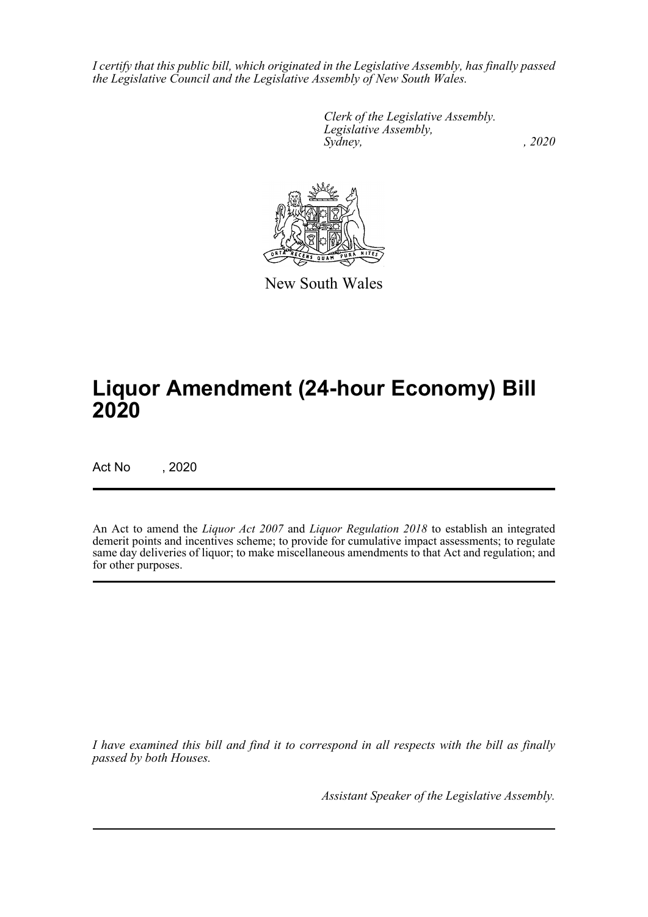*I certify that this public bill, which originated in the Legislative Assembly, has finally passed the Legislative Council and the Legislative Assembly of New South Wales.*

> *Clerk of the Legislative Assembly. Legislative Assembly, Sydney, , 2020*



New South Wales

# **Liquor Amendment (24-hour Economy) Bill 2020**

Act No , 2020

An Act to amend the *Liquor Act 2007* and *Liquor Regulation 2018* to establish an integrated demerit points and incentives scheme; to provide for cumulative impact assessments; to regulate same day deliveries of liquor; to make miscellaneous amendments to that Act and regulation; and for other purposes.

*I have examined this bill and find it to correspond in all respects with the bill as finally passed by both Houses.*

*Assistant Speaker of the Legislative Assembly.*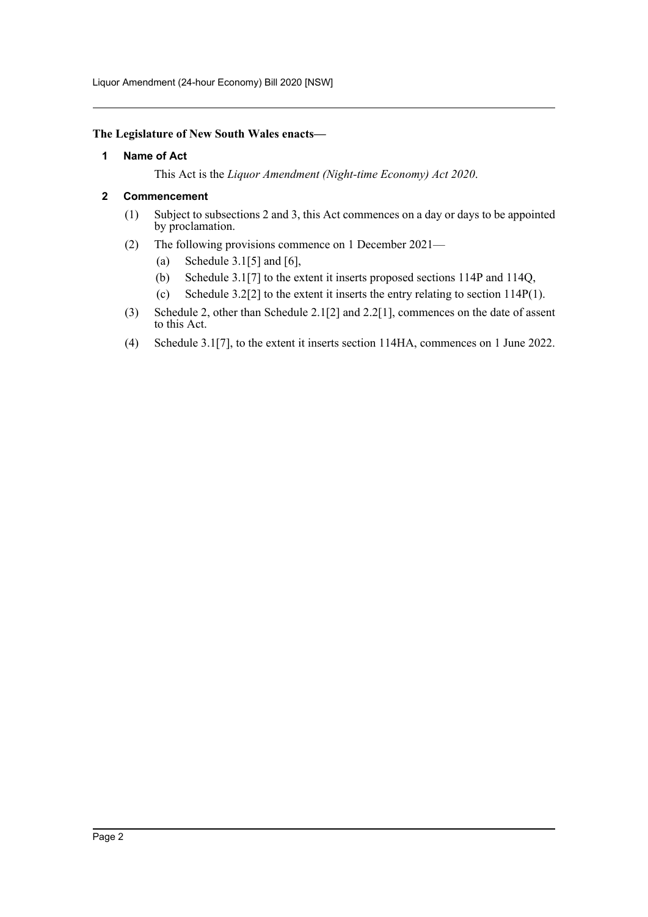Liquor Amendment (24-hour Economy) Bill 2020 [NSW]

#### <span id="page-2-0"></span>**The Legislature of New South Wales enacts—**

#### **1 Name of Act**

This Act is the *Liquor Amendment (Night-time Economy) Act 2020*.

#### <span id="page-2-1"></span>**2 Commencement**

- (1) Subject to subsections 2 and 3, this Act commences on a day or days to be appointed by proclamation.
- (2) The following provisions commence on 1 December 2021—
	- (a) Schedule  $3.1[5]$  and  $[6]$ ,
	- (b) Schedule 3.1[7] to the extent it inserts proposed sections 114P and 114Q,
	- (c) Schedule 3.2[2] to the extent it inserts the entry relating to section 114P(1).
- (3) Schedule 2, other than Schedule 2.1[2] and 2.2[1], commences on the date of assent to this Act.
- (4) Schedule 3.1[7], to the extent it inserts section 114HA, commences on 1 June 2022.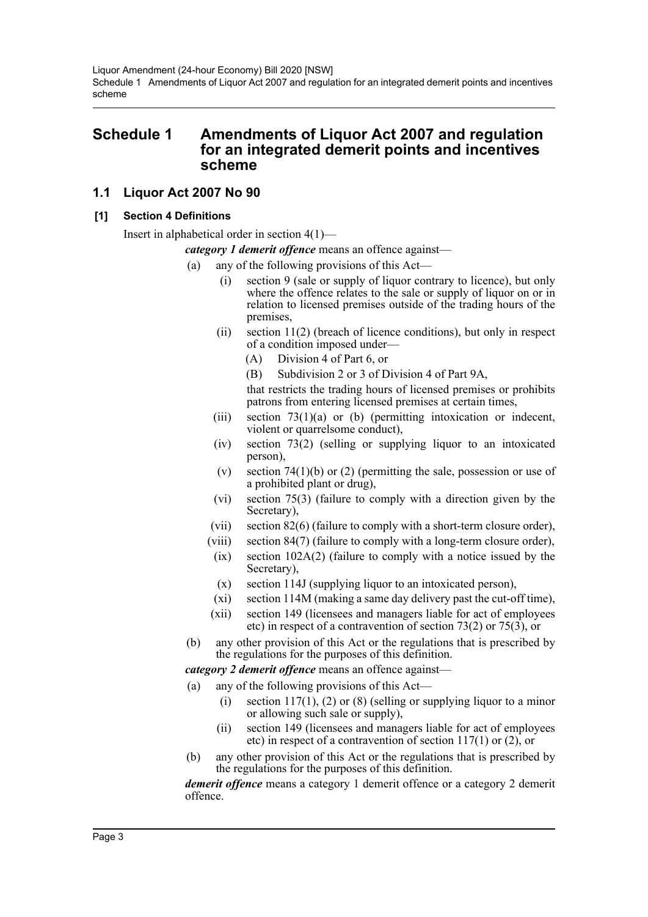Liquor Amendment (24-hour Economy) Bill 2020 [NSW] Schedule 1 Amendments of Liquor Act 2007 and regulation for an integrated demerit points and incentives scheme

# <span id="page-3-0"></span>**Schedule 1 Amendments of Liquor Act 2007 and regulation for an integrated demerit points and incentives scheme**

# **1.1 Liquor Act 2007 No 90**

#### **[1] Section 4 Definitions**

Insert in alphabetical order in section 4(1)—

*category 1 demerit offence* means an offence against—

- (a) any of the following provisions of this Act—
	- (i) section 9 (sale or supply of liquor contrary to licence), but only where the offence relates to the sale or supply of liquor on or in relation to licensed premises outside of the trading hours of the premises,
	- (ii) section 11(2) (breach of licence conditions), but only in respect of a condition imposed under—
		- (A) Division 4 of Part 6, or

(B) Subdivision 2 or 3 of Division 4 of Part 9A,

that restricts the trading hours of licensed premises or prohibits patrons from entering licensed premises at certain times,

- (iii) section  $73(1)(a)$  or (b) (permitting intoxication or indecent, violent or quarrelsome conduct),
- (iv) section 73(2) (selling or supplying liquor to an intoxicated person),
- (v) section  $74(1)(b)$  or (2) (permitting the sale, possession or use of a prohibited plant or drug),
- (vi) section 75(3) (failure to comply with a direction given by the Secretary),
- (vii) section 82(6) (failure to comply with a short-term closure order),
- (viii) section 84(7) (failure to comply with a long-term closure order),
	- (ix) section 102A(2) (failure to comply with a notice issued by the Secretary),
	- (x) section 114J (supplying liquor to an intoxicated person),
	- (xi) section 114M (making a same day delivery past the cut-off time),
- (xii) section 149 (licensees and managers liable for act of employees etc) in respect of a contravention of section 73(2) or 75(3), or
- (b) any other provision of this Act or the regulations that is prescribed by the regulations for the purposes of this definition.

*category 2 demerit offence* means an offence against—

- (a) any of the following provisions of this Act—
	- (i) section  $117(1)$ , (2) or (8) (selling or supplying liquor to a minor or allowing such sale or supply),
	- (ii) section 149 (licensees and managers liable for act of employees etc) in respect of a contravention of section 117(1) or (2), or
- (b) any other provision of this Act or the regulations that is prescribed by the regulations for the purposes of this definition.

*demerit offence* means a category 1 demerit offence or a category 2 demerit offence.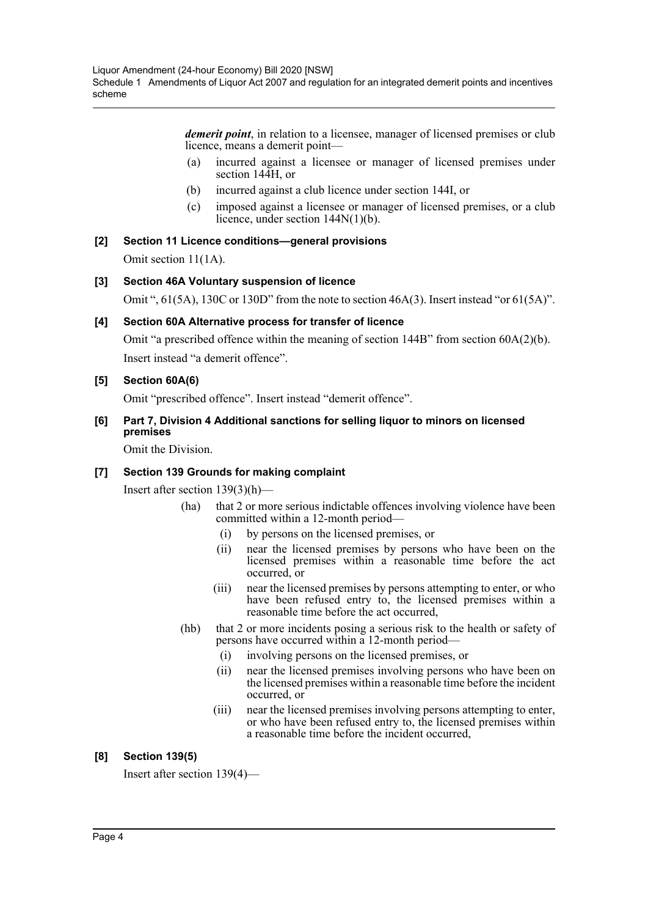*demerit point*, in relation to a licensee, manager of licensed premises or club licence, means a demerit point—

- (a) incurred against a licensee or manager of licensed premises under section 144H, or
- (b) incurred against a club licence under section 144I, or
- (c) imposed against a licensee or manager of licensed premises, or a club licence, under section 144N(1)(b).

# **[2] Section 11 Licence conditions—general provisions**

Omit section 11(1A).

# **[3] Section 46A Voluntary suspension of licence**

Omit ", 61(5A), 130C or 130D" from the note to section 46A(3). Insert instead "or 61(5A)".

#### **[4] Section 60A Alternative process for transfer of licence**

Omit "a prescribed offence within the meaning of section 144B" from section 60A(2)(b). Insert instead "a demerit offence".

# **[5] Section 60A(6)**

Omit "prescribed offence". Insert instead "demerit offence".

# **[6] Part 7, Division 4 Additional sanctions for selling liquor to minors on licensed premises**

Omit the Division.

# **[7] Section 139 Grounds for making complaint**

Insert after section 139(3)(h)—

- (ha) that 2 or more serious indictable offences involving violence have been committed within a 12-month period—
	- (i) by persons on the licensed premises, or
	- (ii) near the licensed premises by persons who have been on the licensed premises within a reasonable time before the act occurred, or
	- (iii) near the licensed premises by persons attempting to enter, or who have been refused entry to, the licensed premises within a reasonable time before the act occurred,
- (hb) that 2 or more incidents posing a serious risk to the health or safety of persons have occurred within a 12-month period—
	- (i) involving persons on the licensed premises, or
	- (ii) near the licensed premises involving persons who have been on the licensed premises within a reasonable time before the incident occurred, or
	- (iii) near the licensed premises involving persons attempting to enter, or who have been refused entry to, the licensed premises within a reasonable time before the incident occurred,

# **[8] Section 139(5)**

Insert after section 139(4)—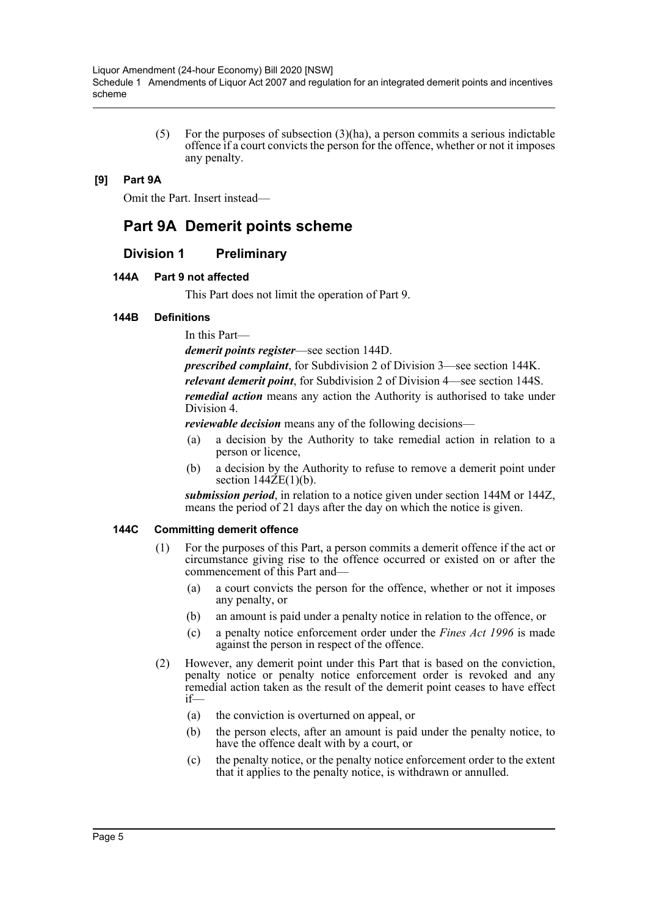(5) For the purposes of subsection  $(3)(ha)$ , a person commits a serious indictable offence if a court convicts the person for the offence, whether or not it imposes any penalty.

#### **[9] Part 9A**

Omit the Part. Insert instead—

# **Part 9A Demerit points scheme**

# **Division 1 Preliminary**

#### **144A Part 9 not affected**

This Part does not limit the operation of Part 9.

#### **144B Definitions**

In this Part—

*demerit points register*—see section 144D.

*prescribed complaint*, for Subdivision 2 of Division 3—see section 144K. *relevant demerit point*, for Subdivision 2 of Division 4—see section 144S. *remedial action* means any action the Authority is authorised to take under Division 4.

*reviewable decision* means any of the following decisions—

- (a) a decision by the Authority to take remedial action in relation to a person or licence,
- (b) a decision by the Authority to refuse to remove a demerit point under section  $144ZE(1)(b)$ .

*submission period*, in relation to a notice given under section 144M or 144Z, means the period of 21 days after the day on which the notice is given.

#### **144C Committing demerit offence**

- (1) For the purposes of this Part, a person commits a demerit offence if the act or circumstance giving rise to the offence occurred or existed on or after the commencement of this Part and—
	- (a) a court convicts the person for the offence, whether or not it imposes any penalty, or
	- (b) an amount is paid under a penalty notice in relation to the offence, or
	- (c) a penalty notice enforcement order under the *Fines Act 1996* is made against the person in respect of the offence.
- (2) However, any demerit point under this Part that is based on the conviction, penalty notice or penalty notice enforcement order is revoked and any remedial action taken as the result of the demerit point ceases to have effect if—
	- (a) the conviction is overturned on appeal, or
	- (b) the person elects, after an amount is paid under the penalty notice, to have the offence dealt with by a court, or
	- (c) the penalty notice, or the penalty notice enforcement order to the extent that it applies to the penalty notice, is withdrawn or annulled.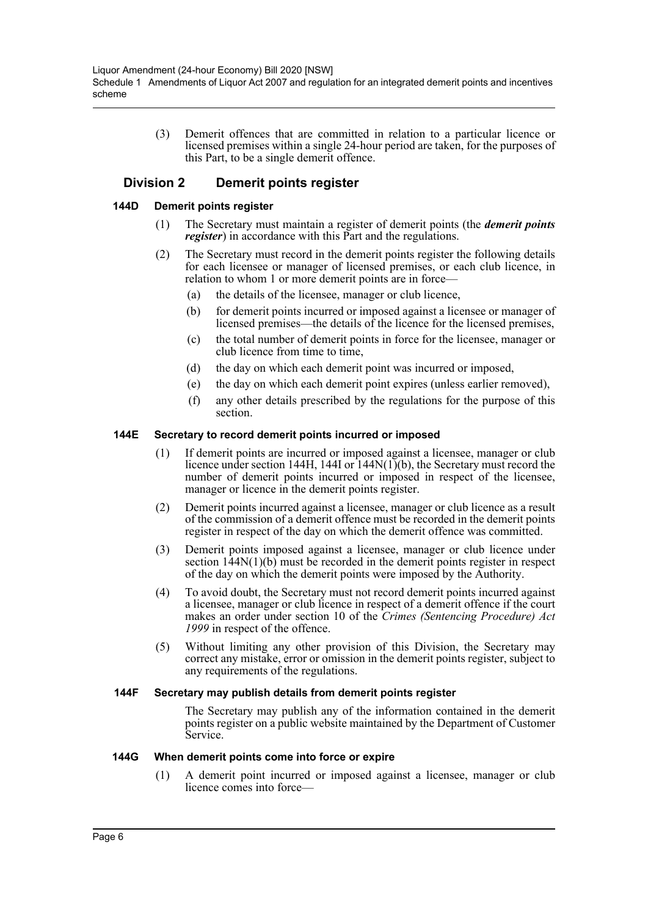(3) Demerit offences that are committed in relation to a particular licence or licensed premises within a single 24-hour period are taken, for the purposes of this Part, to be a single demerit offence.

# **Division 2 Demerit points register**

#### **144D Demerit points register**

- (1) The Secretary must maintain a register of demerit points (the *demerit points register*) in accordance with this Part and the regulations.
- (2) The Secretary must record in the demerit points register the following details for each licensee or manager of licensed premises, or each club licence, in relation to whom 1 or more demerit points are in force—
	- (a) the details of the licensee, manager or club licence,
	- (b) for demerit points incurred or imposed against a licensee or manager of licensed premises—the details of the licence for the licensed premises,
	- (c) the total number of demerit points in force for the licensee, manager or club licence from time to time,
	- (d) the day on which each demerit point was incurred or imposed,
	- (e) the day on which each demerit point expires (unless earlier removed),
	- (f) any other details prescribed by the regulations for the purpose of this section.

#### **144E Secretary to record demerit points incurred or imposed**

- (1) If demerit points are incurred or imposed against a licensee, manager or club licence under section 144H, 144I or  $(144N(1))$ (b), the Secretary must record the number of demerit points incurred or imposed in respect of the licensee, manager or licence in the demerit points register.
- (2) Demerit points incurred against a licensee, manager or club licence as a result of the commission of a demerit offence must be recorded in the demerit points register in respect of the day on which the demerit offence was committed.
- (3) Demerit points imposed against a licensee, manager or club licence under section 144N(1)(b) must be recorded in the demerit points register in respect of the day on which the demerit points were imposed by the Authority.
- (4) To avoid doubt, the Secretary must not record demerit points incurred against a licensee, manager or club licence in respect of a demerit offence if the court makes an order under section 10 of the *Crimes (Sentencing Procedure) Act 1999* in respect of the offence.
- (5) Without limiting any other provision of this Division, the Secretary may correct any mistake, error or omission in the demerit points register, subject to any requirements of the regulations.

#### **144F Secretary may publish details from demerit points register**

The Secretary may publish any of the information contained in the demerit points register on a public website maintained by the Department of Customer Service.

#### **144G When demerit points come into force or expire**

(1) A demerit point incurred or imposed against a licensee, manager or club licence comes into force—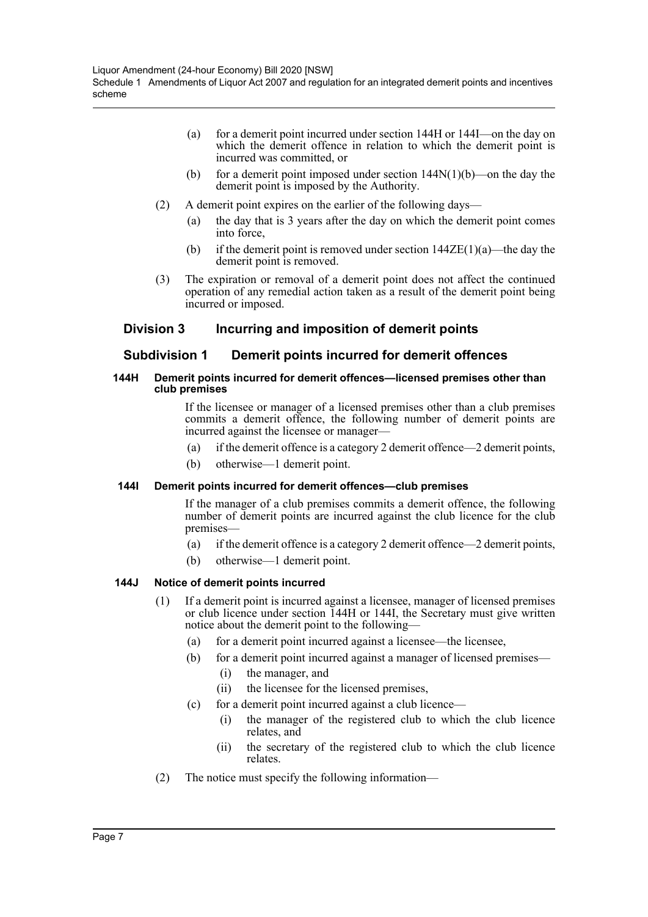- (a) for a demerit point incurred under section 144H or 144I—on the day on which the demerit offence in relation to which the demerit point is incurred was committed, or
- (b) for a demerit point imposed under section  $144N(1)(b)$ —on the day the demerit point is imposed by the Authority.
- (2) A demerit point expires on the earlier of the following days—
	- (a) the day that is 3 years after the day on which the demerit point comes into force,
	- (b) if the demerit point is removed under section  $144\text{ZE}(1)(a)$ —the day the demerit point is removed.
- (3) The expiration or removal of a demerit point does not affect the continued operation of any remedial action taken as a result of the demerit point being incurred or imposed.

# **Division 3 Incurring and imposition of demerit points**

# **Subdivision 1 Demerit points incurred for demerit offences**

#### **144H Demerit points incurred for demerit offences—licensed premises other than club premises**

If the licensee or manager of a licensed premises other than a club premises commits a demerit offence, the following number of demerit points are incurred against the licensee or manager—

- (a) if the demerit offence is a category 2 demerit offence—2 demerit points,
- (b) otherwise—1 demerit point.

#### **144I Demerit points incurred for demerit offences—club premises**

If the manager of a club premises commits a demerit offence, the following number of demerit points are incurred against the club licence for the club premises—

- (a) if the demerit offence is a category 2 demerit offence—2 demerit points,
- (b) otherwise—1 demerit point.

#### **144J Notice of demerit points incurred**

- (1) If a demerit point is incurred against a licensee, manager of licensed premises or club licence under section 144H or 144I, the Secretary must give written notice about the demerit point to the following—
	- (a) for a demerit point incurred against a licensee—the licensee,
	- (b) for a demerit point incurred against a manager of licensed premises—
		- (i) the manager, and
		- (ii) the licensee for the licensed premises,
	- (c) for a demerit point incurred against a club licence—
		- (i) the manager of the registered club to which the club licence relates, and
		- (ii) the secretary of the registered club to which the club licence relates.
- (2) The notice must specify the following information—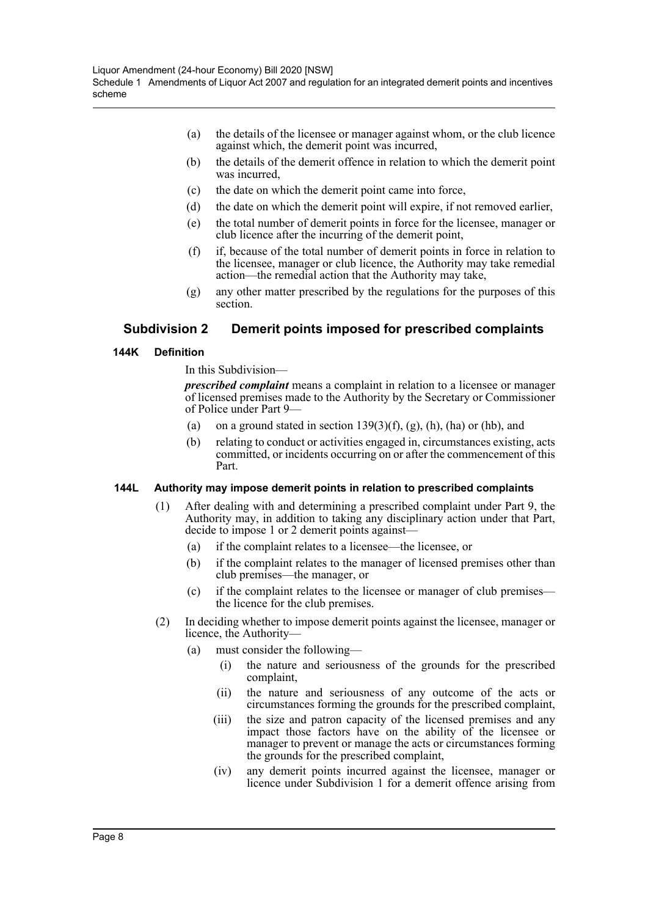- (a) the details of the licensee or manager against whom, or the club licence against which, the demerit point was incurred,
- (b) the details of the demerit offence in relation to which the demerit point was incurred,
- (c) the date on which the demerit point came into force,
- (d) the date on which the demerit point will expire, if not removed earlier,
- (e) the total number of demerit points in force for the licensee, manager or club licence after the incurring of the demerit point,
- (f) if, because of the total number of demerit points in force in relation to the licensee, manager or club licence, the Authority may take remedial action—the remedial action that the Authority may take,
- (g) any other matter prescribed by the regulations for the purposes of this section.

# **Subdivision 2 Demerit points imposed for prescribed complaints**

#### **144K Definition**

In this Subdivision—

*prescribed complaint* means a complaint in relation to a licensee or manager of licensed premises made to the Authority by the Secretary or Commissioner of Police under Part 9—

- (a) on a ground stated in section  $139(3)(f)$ , (g), (h), (ha) or (hb), and
- (b) relating to conduct or activities engaged in, circumstances existing, acts committed, or incidents occurring on or after the commencement of this Part.

#### **144L Authority may impose demerit points in relation to prescribed complaints**

- (1) After dealing with and determining a prescribed complaint under Part 9, the Authority may, in addition to taking any disciplinary action under that Part, decide to impose 1 or 2 demerit points against—
	- (a) if the complaint relates to a licensee—the licensee, or
	- (b) if the complaint relates to the manager of licensed premises other than club premises—the manager, or
	- (c) if the complaint relates to the licensee or manager of club premises the licence for the club premises.
- (2) In deciding whether to impose demerit points against the licensee, manager or licence, the Authority—
	- (a) must consider the following—
		- (i) the nature and seriousness of the grounds for the prescribed complaint,
		- (ii) the nature and seriousness of any outcome of the acts or circumstances forming the grounds for the prescribed complaint,
		- (iii) the size and patron capacity of the licensed premises and any impact those factors have on the ability of the licensee or manager to prevent or manage the acts or circumstances forming the grounds for the prescribed complaint,
		- (iv) any demerit points incurred against the licensee, manager or licence under Subdivision 1 for a demerit offence arising from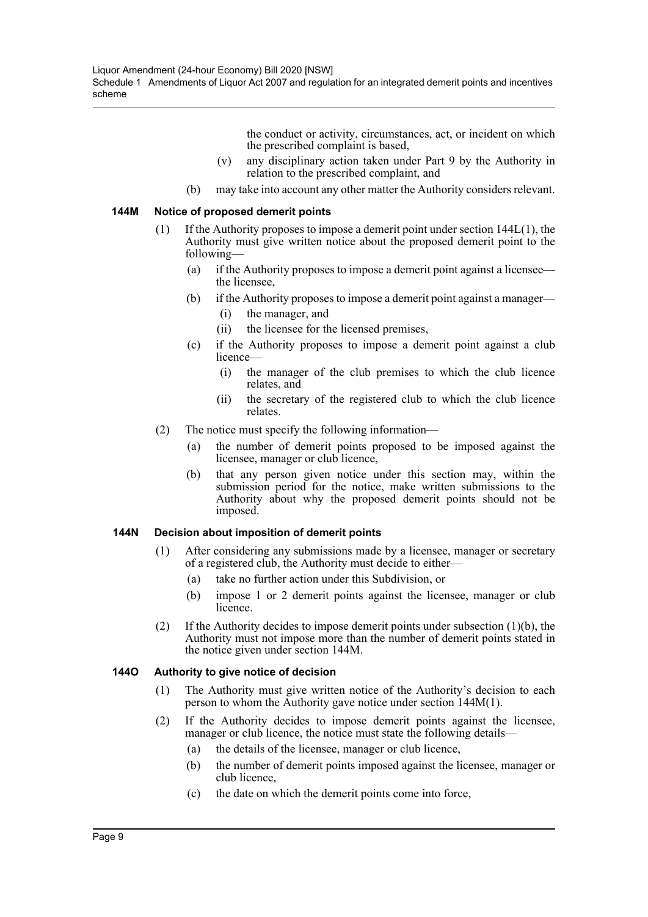the conduct or activity, circumstances, act, or incident on which the prescribed complaint is based,

- (v) any disciplinary action taken under Part 9 by the Authority in relation to the prescribed complaint, and
- (b) may take into account any other matter the Authority considers relevant.

#### **144M Notice of proposed demerit points**

- (1) If the Authority proposes to impose a demerit point under section 144L(1), the Authority must give written notice about the proposed demerit point to the following—
	- (a) if the Authority proposes to impose a demerit point against a licensee the licensee,
	- (b) if the Authority proposes to impose a demerit point against a manager—
		- (i) the manager, and
		- (ii) the licensee for the licensed premises,
	- (c) if the Authority proposes to impose a demerit point against a club licence—
		- (i) the manager of the club premises to which the club licence relates, and
		- (ii) the secretary of the registered club to which the club licence relates.
- (2) The notice must specify the following information—
	- (a) the number of demerit points proposed to be imposed against the licensee, manager or club licence,
	- (b) that any person given notice under this section may, within the submission period for the notice, make written submissions to the Authority about why the proposed demerit points should not be imposed.

#### **144N Decision about imposition of demerit points**

- (1) After considering any submissions made by a licensee, manager or secretary of a registered club, the Authority must decide to either—
	- (a) take no further action under this Subdivision, or
	- (b) impose 1 or 2 demerit points against the licensee, manager or club licence.
- (2) If the Authority decides to impose demerit points under subsection (1)(b), the Authority must not impose more than the number of demerit points stated in the notice given under section 144M.

#### **144O Authority to give notice of decision**

- (1) The Authority must give written notice of the Authority's decision to each person to whom the Authority gave notice under section 144M(1).
- (2) If the Authority decides to impose demerit points against the licensee, manager or club licence, the notice must state the following details—
	- (a) the details of the licensee, manager or club licence,
	- (b) the number of demerit points imposed against the licensee, manager or club licence,
	- (c) the date on which the demerit points come into force,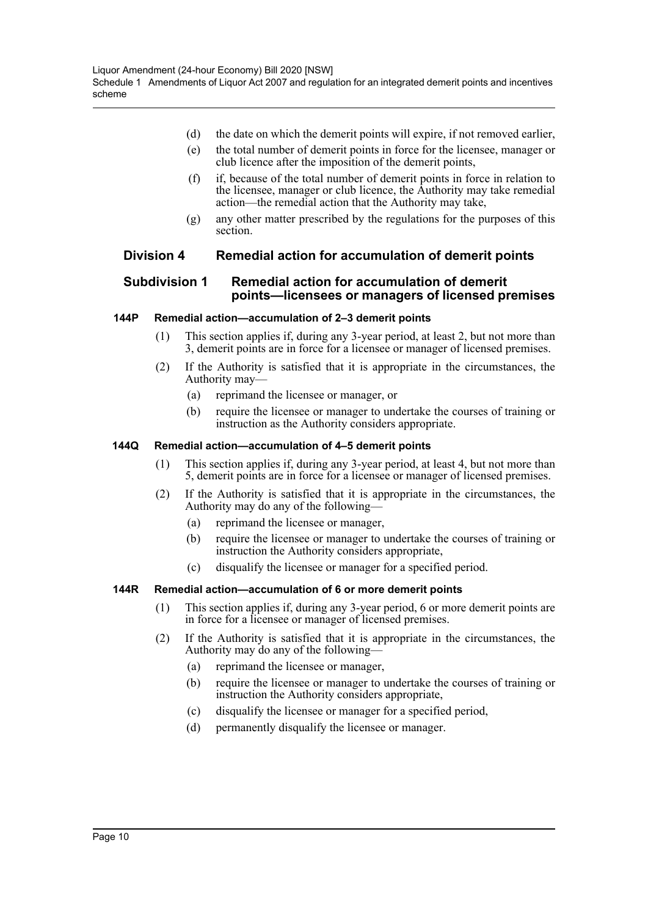- (d) the date on which the demerit points will expire, if not removed earlier,
- (e) the total number of demerit points in force for the licensee, manager or club licence after the imposition of the demerit points,
- (f) if, because of the total number of demerit points in force in relation to the licensee, manager or club licence, the Authority may take remedial action—the remedial action that the Authority may take,
- (g) any other matter prescribed by the regulations for the purposes of this section.

# **Division 4 Remedial action for accumulation of demerit points**

#### **Subdivision 1 Remedial action for accumulation of demerit points—licensees or managers of licensed premises**

#### **144P Remedial action—accumulation of 2–3 demerit points**

- (1) This section applies if, during any 3-year period, at least 2, but not more than 3, demerit points are in force for a licensee or manager of licensed premises.
- (2) If the Authority is satisfied that it is appropriate in the circumstances, the Authority may—
	- (a) reprimand the licensee or manager, or
	- (b) require the licensee or manager to undertake the courses of training or instruction as the Authority considers appropriate.

#### **144Q Remedial action—accumulation of 4–5 demerit points**

- (1) This section applies if, during any 3-year period, at least 4, but not more than 5, demerit points are in force for a licensee or manager of licensed premises.
- (2) If the Authority is satisfied that it is appropriate in the circumstances, the Authority may do any of the following—
	- (a) reprimand the licensee or manager,
	- (b) require the licensee or manager to undertake the courses of training or instruction the Authority considers appropriate,
	- (c) disqualify the licensee or manager for a specified period.

#### **144R Remedial action—accumulation of 6 or more demerit points**

- (1) This section applies if, during any 3-year period, 6 or more demerit points are in force for a licensee or manager of licensed premises.
- (2) If the Authority is satisfied that it is appropriate in the circumstances, the Authority may do any of the following—
	- (a) reprimand the licensee or manager,
	- (b) require the licensee or manager to undertake the courses of training or instruction the Authority considers appropriate,
	- (c) disqualify the licensee or manager for a specified period,
	- (d) permanently disqualify the licensee or manager.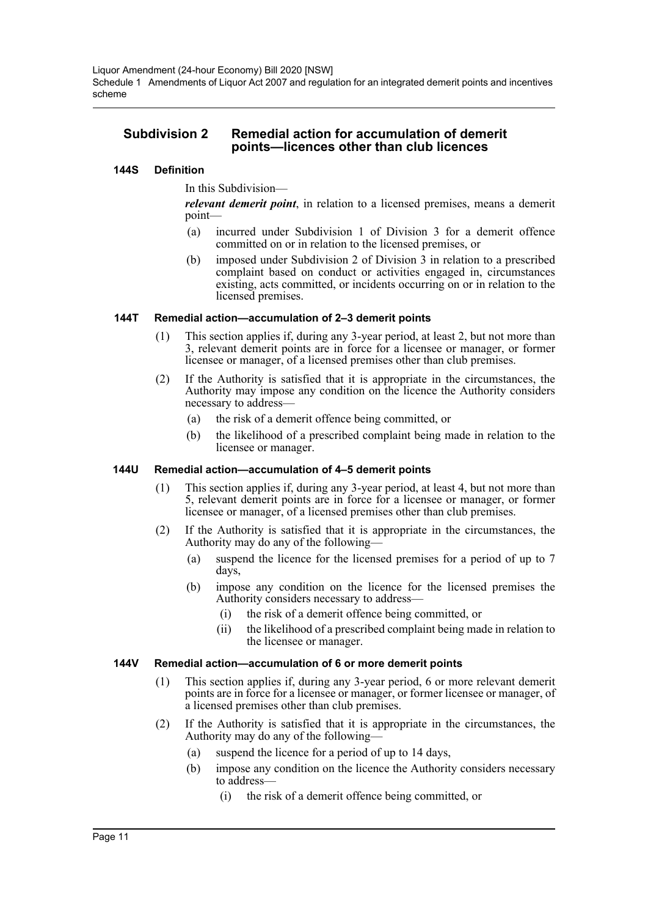Liquor Amendment (24-hour Economy) Bill 2020 [NSW] Schedule 1 Amendments of Liquor Act 2007 and regulation for an integrated demerit points and incentives scheme

# **Subdivision 2 Remedial action for accumulation of demerit points—licences other than club licences**

#### **144S Definition**

#### In this Subdivision—

*relevant demerit point*, in relation to a licensed premises, means a demerit point—

- (a) incurred under Subdivision 1 of Division 3 for a demerit offence committed on or in relation to the licensed premises, or
- (b) imposed under Subdivision 2 of Division 3 in relation to a prescribed complaint based on conduct or activities engaged in, circumstances existing, acts committed, or incidents occurring on or in relation to the licensed premises.

#### **144T Remedial action—accumulation of 2–3 demerit points**

- (1) This section applies if, during any 3-year period, at least 2, but not more than 3, relevant demerit points are in force for a licensee or manager, or former licensee or manager, of a licensed premises other than club premises.
- (2) If the Authority is satisfied that it is appropriate in the circumstances, the Authority may impose any condition on the licence the Authority considers necessary to address—
	- (a) the risk of a demerit offence being committed, or
	- (b) the likelihood of a prescribed complaint being made in relation to the licensee or manager.

#### **144U Remedial action—accumulation of 4–5 demerit points**

- (1) This section applies if, during any 3-year period, at least 4, but not more than 5, relevant demerit points are in force for a licensee or manager, or former licensee or manager, of a licensed premises other than club premises.
- (2) If the Authority is satisfied that it is appropriate in the circumstances, the Authority may do any of the following—
	- (a) suspend the licence for the licensed premises for a period of up to 7 days,
	- (b) impose any condition on the licence for the licensed premises the Authority considers necessary to address—
		- (i) the risk of a demerit offence being committed, or
		- (ii) the likelihood of a prescribed complaint being made in relation to the licensee or manager.

#### **144V Remedial action—accumulation of 6 or more demerit points**

- (1) This section applies if, during any 3-year period, 6 or more relevant demerit points are in force for a licensee or manager, or former licensee or manager, of a licensed premises other than club premises.
- (2) If the Authority is satisfied that it is appropriate in the circumstances, the Authority may do any of the following—
	- (a) suspend the licence for a period of up to 14 days,
	- (b) impose any condition on the licence the Authority considers necessary to address—
		- (i) the risk of a demerit offence being committed, or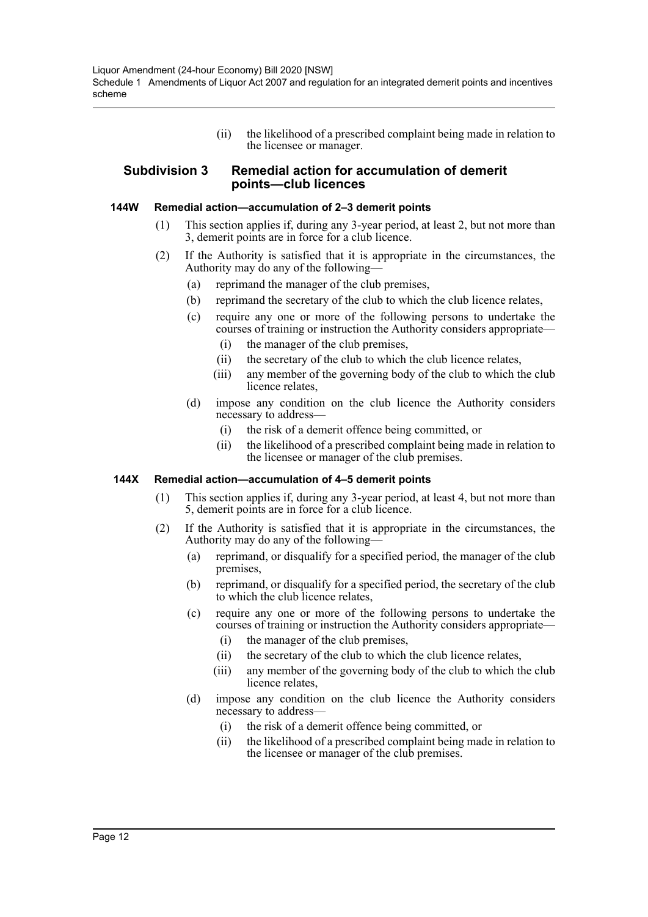Liquor Amendment (24-hour Economy) Bill 2020 [NSW] Schedule 1 Amendments of Liquor Act 2007 and regulation for an integrated demerit points and incentives scheme

> (ii) the likelihood of a prescribed complaint being made in relation to the licensee or manager.

#### **Subdivision 3 Remedial action for accumulation of demerit points—club licences**

#### **144W Remedial action—accumulation of 2–3 demerit points**

- (1) This section applies if, during any 3-year period, at least 2, but not more than 3, demerit points are in force for a club licence.
- (2) If the Authority is satisfied that it is appropriate in the circumstances, the Authority may do any of the following—
	- (a) reprimand the manager of the club premises,
	- (b) reprimand the secretary of the club to which the club licence relates,
	- (c) require any one or more of the following persons to undertake the courses of training or instruction the Authority considers appropriate—
		- (i) the manager of the club premises,
		- (ii) the secretary of the club to which the club licence relates,
		- (iii) any member of the governing body of the club to which the club licence relates,
	- (d) impose any condition on the club licence the Authority considers necessary to address—
		- (i) the risk of a demerit offence being committed, or
		- (ii) the likelihood of a prescribed complaint being made in relation to the licensee or manager of the club premises.

#### **144X Remedial action—accumulation of 4–5 demerit points**

- (1) This section applies if, during any 3-year period, at least 4, but not more than 5, demerit points are in force for a club licence.
- (2) If the Authority is satisfied that it is appropriate in the circumstances, the Authority may do any of the following—
	- (a) reprimand, or disqualify for a specified period, the manager of the club premises,
	- (b) reprimand, or disqualify for a specified period, the secretary of the club to which the club licence relates,
	- (c) require any one or more of the following persons to undertake the courses of training or instruction the Authority considers appropriate—
		- (i) the manager of the club premises,
		- (ii) the secretary of the club to which the club licence relates,
		- (iii) any member of the governing body of the club to which the club licence relates,
	- (d) impose any condition on the club licence the Authority considers necessary to address—
		- (i) the risk of a demerit offence being committed, or
		- (ii) the likelihood of a prescribed complaint being made in relation to the licensee or manager of the club premises.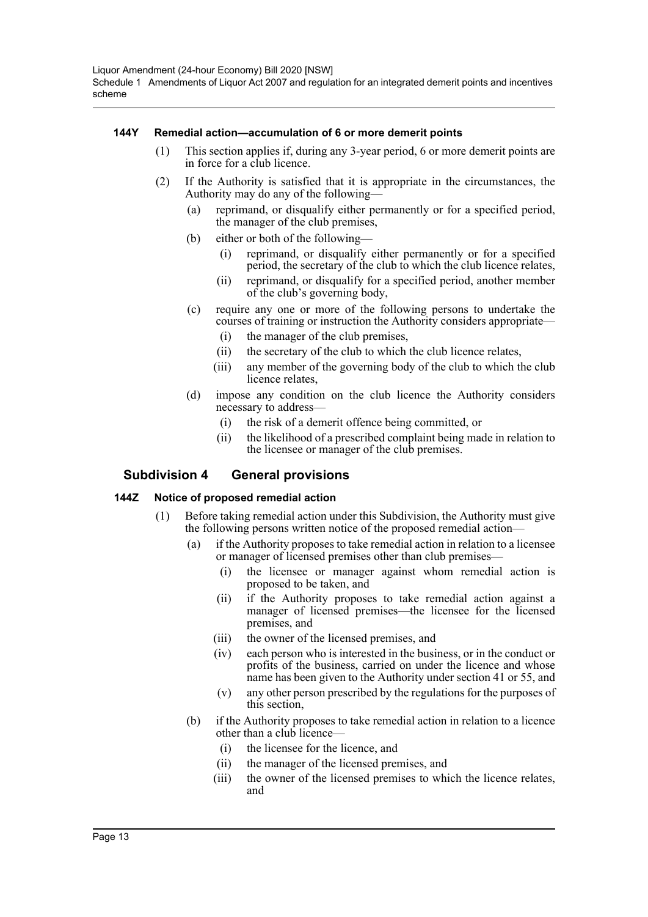#### **144Y Remedial action—accumulation of 6 or more demerit points**

- (1) This section applies if, during any 3-year period, 6 or more demerit points are in force for a club licence.
- (2) If the Authority is satisfied that it is appropriate in the circumstances, the Authority may do any of the following—
	- (a) reprimand, or disqualify either permanently or for a specified period, the manager of the club premises,
	- (b) either or both of the following—
		- (i) reprimand, or disqualify either permanently or for a specified period, the secretary of the club to which the club licence relates,
		- (ii) reprimand, or disqualify for a specified period, another member of the club's governing body,
	- (c) require any one or more of the following persons to undertake the courses of training or instruction the Authority considers appropriate—
		- (i) the manager of the club premises,
		- (ii) the secretary of the club to which the club licence relates,
		- (iii) any member of the governing body of the club to which the club licence relates,
	- (d) impose any condition on the club licence the Authority considers necessary to address—
		- (i) the risk of a demerit offence being committed, or
		- (ii) the likelihood of a prescribed complaint being made in relation to the licensee or manager of the club premises.

# **Subdivision 4 General provisions**

#### **144Z Notice of proposed remedial action**

- (1) Before taking remedial action under this Subdivision, the Authority must give the following persons written notice of the proposed remedial action—
	- (a) if the Authority proposes to take remedial action in relation to a licensee or manager of licensed premises other than club premises—
		- (i) the licensee or manager against whom remedial action is proposed to be taken, and
		- (ii) if the Authority proposes to take remedial action against a manager of licensed premises—the licensee for the licensed premises, and
		- (iii) the owner of the licensed premises, and
		- (iv) each person who is interested in the business, or in the conduct or profits of the business, carried on under the licence and whose name has been given to the Authority under section 41 or 55, and
		- (v) any other person prescribed by the regulations for the purposes of this section,
	- (b) if the Authority proposes to take remedial action in relation to a licence other than a club licence—
		- (i) the licensee for the licence, and
		- (ii) the manager of the licensed premises, and
		- (iii) the owner of the licensed premises to which the licence relates, and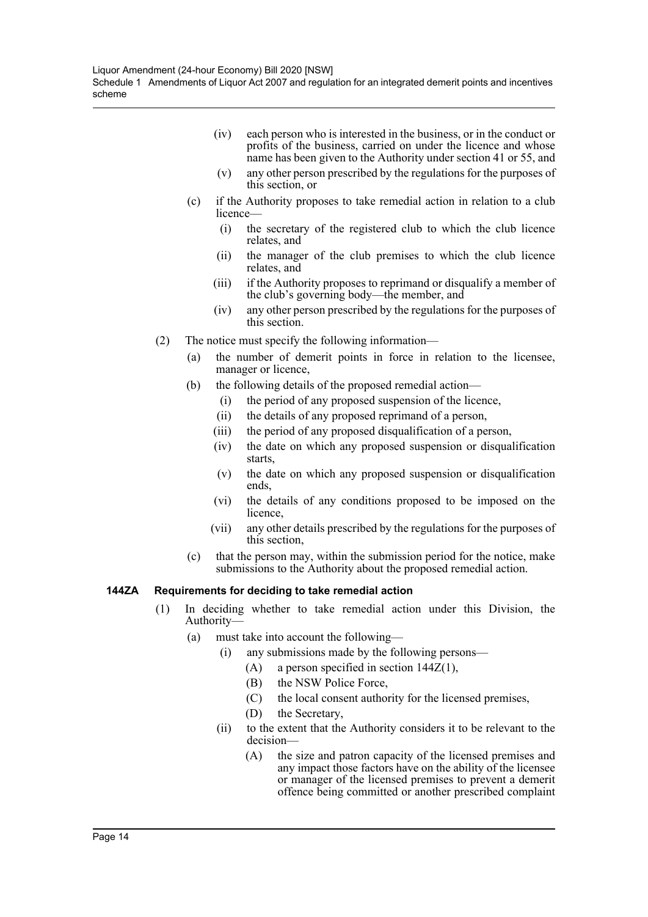- (iv) each person who is interested in the business, or in the conduct or profits of the business, carried on under the licence and whose name has been given to the Authority under section 41 or 55, and
- (v) any other person prescribed by the regulations for the purposes of this section, or
- (c) if the Authority proposes to take remedial action in relation to a club licence—
	- (i) the secretary of the registered club to which the club licence relates, and
	- (ii) the manager of the club premises to which the club licence relates, and
	- (iii) if the Authority proposes to reprimand or disqualify a member of the club's governing body—the member, and
	- (iv) any other person prescribed by the regulations for the purposes of this section.
- (2) The notice must specify the following information—
	- (a) the number of demerit points in force in relation to the licensee, manager or licence,
	- (b) the following details of the proposed remedial action—
		- (i) the period of any proposed suspension of the licence,
		- (ii) the details of any proposed reprimand of a person,
		- (iii) the period of any proposed disqualification of a person,
		- (iv) the date on which any proposed suspension or disqualification starts,
		- (v) the date on which any proposed suspension or disqualification ends,
		- (vi) the details of any conditions proposed to be imposed on the licence,
		- (vii) any other details prescribed by the regulations for the purposes of this section,
	- (c) that the person may, within the submission period for the notice, make submissions to the Authority about the proposed remedial action.

#### **144ZA Requirements for deciding to take remedial action**

- (1) In deciding whether to take remedial action under this Division, the Authority—
	- (a) must take into account the following—
		- (i) any submissions made by the following persons—
			- (A) a person specified in section  $144Z(1)$ ,
				- (B) the NSW Police Force,
				- (C) the local consent authority for the licensed premises,
				- (D) the Secretary,
		- (ii) to the extent that the Authority considers it to be relevant to the decision—
			- (A) the size and patron capacity of the licensed premises and any impact those factors have on the ability of the licensee or manager of the licensed premises to prevent a demerit offence being committed or another prescribed complaint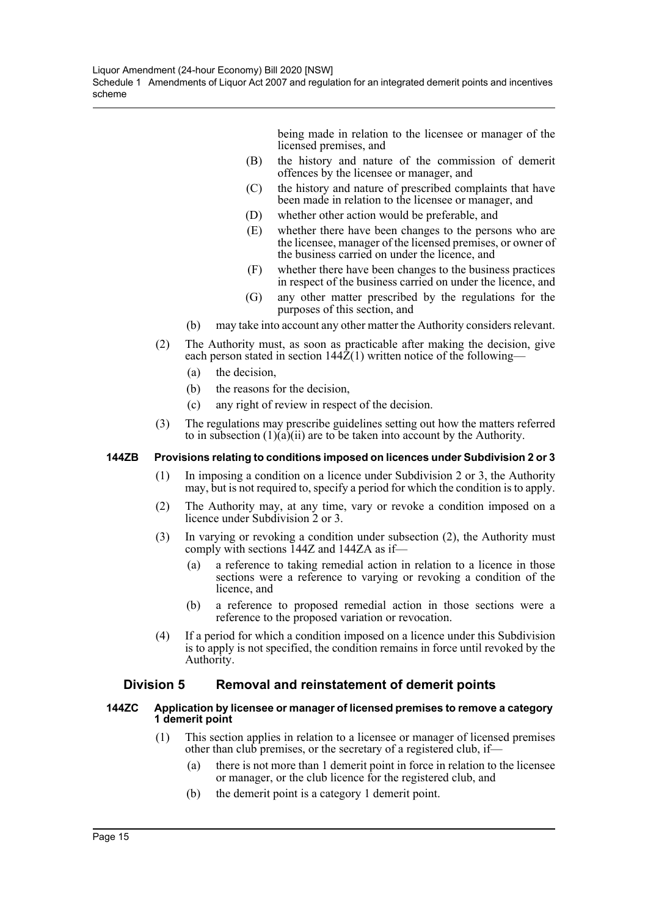being made in relation to the licensee or manager of the licensed premises, and

- (B) the history and nature of the commission of demerit offences by the licensee or manager, and
- (C) the history and nature of prescribed complaints that have been made in relation to the licensee or manager, and
- (D) whether other action would be preferable, and
- (E) whether there have been changes to the persons who are the licensee, manager of the licensed premises, or owner of the business carried on under the licence, and
- (F) whether there have been changes to the business practices in respect of the business carried on under the licence, and
- (G) any other matter prescribed by the regulations for the purposes of this section, and
- (b) may take into account any other matter the Authority considers relevant.
- (2) The Authority must, as soon as practicable after making the decision, give each person stated in section  $144\overline{2}(1)$  written notice of the following—
	- (a) the decision,
	- (b) the reasons for the decision,
	- (c) any right of review in respect of the decision.
- (3) The regulations may prescribe guidelines setting out how the matters referred to in subsection  $(1)(a)(ii)$  are to be taken into account by the Authority.

#### **144ZB Provisions relating to conditions imposed on licences under Subdivision 2 or 3**

- (1) In imposing a condition on a licence under Subdivision 2 or 3, the Authority may, but is not required to, specify a period for which the condition is to apply.
- (2) The Authority may, at any time, vary or revoke a condition imposed on a licence under Subdivision 2 or 3.
- (3) In varying or revoking a condition under subsection (2), the Authority must comply with sections 144Z and 144ZA as if—
	- (a) a reference to taking remedial action in relation to a licence in those sections were a reference to varying or revoking a condition of the licence, and
	- (b) a reference to proposed remedial action in those sections were a reference to the proposed variation or revocation.
- (4) If a period for which a condition imposed on a licence under this Subdivision is to apply is not specified, the condition remains in force until revoked by the Authority.

# **Division 5 Removal and reinstatement of demerit points**

#### **144ZC Application by licensee or manager of licensed premises to remove a category 1 demerit point**

- (1) This section applies in relation to a licensee or manager of licensed premises other than club premises, or the secretary of a registered club, if—
	- (a) there is not more than 1 demerit point in force in relation to the licensee or manager, or the club licence for the registered club, and
	- (b) the demerit point is a category 1 demerit point.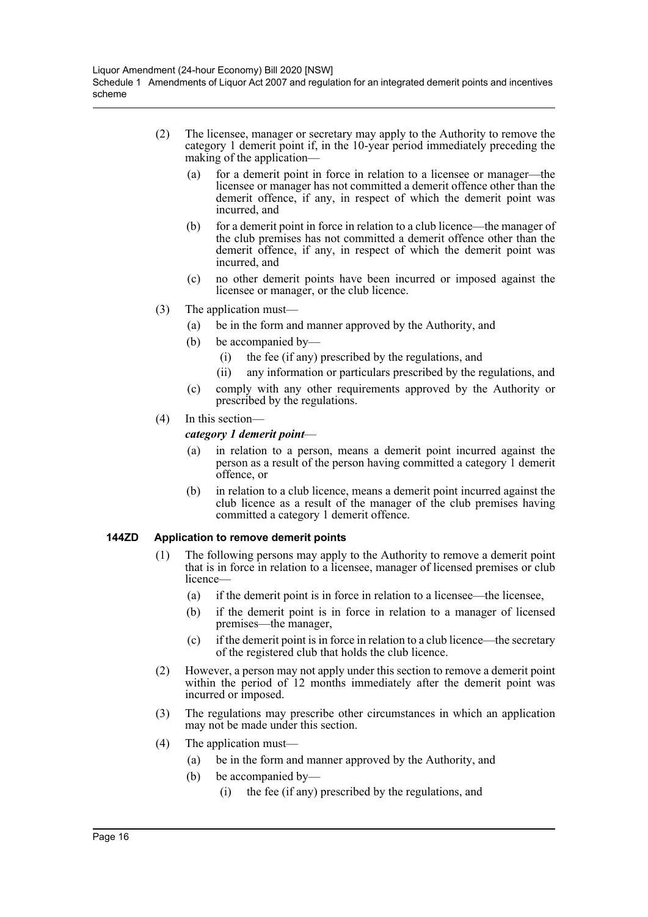- (2) The licensee, manager or secretary may apply to the Authority to remove the category 1 demerit point if, in the 10-year period immediately preceding the making of the application—
	- (a) for a demerit point in force in relation to a licensee or manager—the licensee or manager has not committed a demerit offence other than the demerit offence, if any, in respect of which the demerit point was incurred, and
	- (b) for a demerit point in force in relation to a club licence—the manager of the club premises has not committed a demerit offence other than the demerit offence, if any, in respect of which the demerit point was incurred, and
	- (c) no other demerit points have been incurred or imposed against the licensee or manager, or the club licence.
- (3) The application must—
	- (a) be in the form and manner approved by the Authority, and
	- (b) be accompanied by—
		- (i) the fee (if any) prescribed by the regulations, and
		- (ii) any information or particulars prescribed by the regulations, and
	- (c) comply with any other requirements approved by the Authority or prescribed by the regulations.
- (4) In this section—

#### *category 1 demerit point*—

- (a) in relation to a person, means a demerit point incurred against the person as a result of the person having committed a category 1 demerit offence, or
- (b) in relation to a club licence, means a demerit point incurred against the club licence as a result of the manager of the club premises having committed a category 1 demerit offence.

#### **144ZD Application to remove demerit points**

- (1) The following persons may apply to the Authority to remove a demerit point that is in force in relation to a licensee, manager of licensed premises or club licence—
	- (a) if the demerit point is in force in relation to a licensee—the licensee,
	- (b) if the demerit point is in force in relation to a manager of licensed premises—the manager,
	- (c) if the demerit point is in force in relation to a club licence—the secretary of the registered club that holds the club licence.
- (2) However, a person may not apply under this section to remove a demerit point within the period of 12 months immediately after the demerit point was incurred or imposed.
- (3) The regulations may prescribe other circumstances in which an application may not be made under this section.
- (4) The application must—
	- (a) be in the form and manner approved by the Authority, and
	- (b) be accompanied by—
		- (i) the fee (if any) prescribed by the regulations, and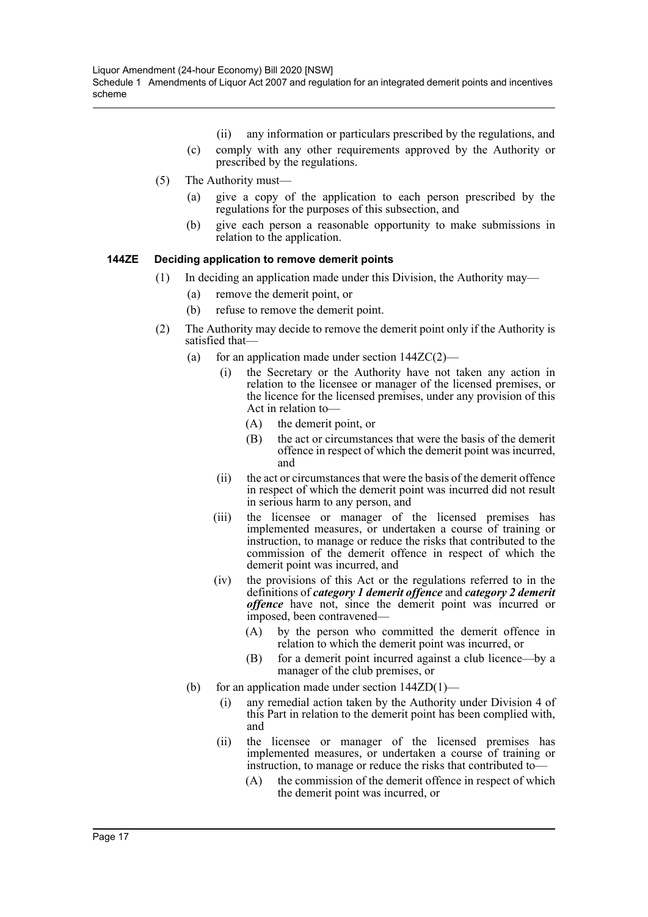- (ii) any information or particulars prescribed by the regulations, and
- (c) comply with any other requirements approved by the Authority or prescribed by the regulations.
- (5) The Authority must—
	- (a) give a copy of the application to each person prescribed by the regulations for the purposes of this subsection, and
	- (b) give each person a reasonable opportunity to make submissions in relation to the application.

#### **144ZE Deciding application to remove demerit points**

- (1) In deciding an application made under this Division, the Authority may—
	- (a) remove the demerit point, or
	- (b) refuse to remove the demerit point.
- (2) The Authority may decide to remove the demerit point only if the Authority is satisfied that—
	- (a) for an application made under section  $144ZC(2)$ 
		- (i) the Secretary or the Authority have not taken any action in relation to the licensee or manager of the licensed premises, or the licence for the licensed premises, under any provision of this Act in relation to—
			- (A) the demerit point, or
			- (B) the act or circumstances that were the basis of the demerit offence in respect of which the demerit point was incurred, and
		- (ii) the act or circumstances that were the basis of the demerit offence in respect of which the demerit point was incurred did not result in serious harm to any person, and
		- (iii) the licensee or manager of the licensed premises has implemented measures, or undertaken a course of training or instruction, to manage or reduce the risks that contributed to the commission of the demerit offence in respect of which the demerit point was incurred, and
		- (iv) the provisions of this Act or the regulations referred to in the definitions of *category 1 demerit offence* and *category 2 demerit offence* have not, since the demerit point was incurred or imposed, been contravened—
			- (A) by the person who committed the demerit offence in relation to which the demerit point was incurred, or
			- (B) for a demerit point incurred against a club licence—by a manager of the club premises, or
	- (b) for an application made under section  $144ZD(1)$ 
		- (i) any remedial action taken by the Authority under Division 4 of this Part in relation to the demerit point has been complied with, and
		- (ii) the licensee or manager of the licensed premises has implemented measures, or undertaken a course of training or instruction, to manage or reduce the risks that contributed to—
			- (A) the commission of the demerit offence in respect of which the demerit point was incurred, or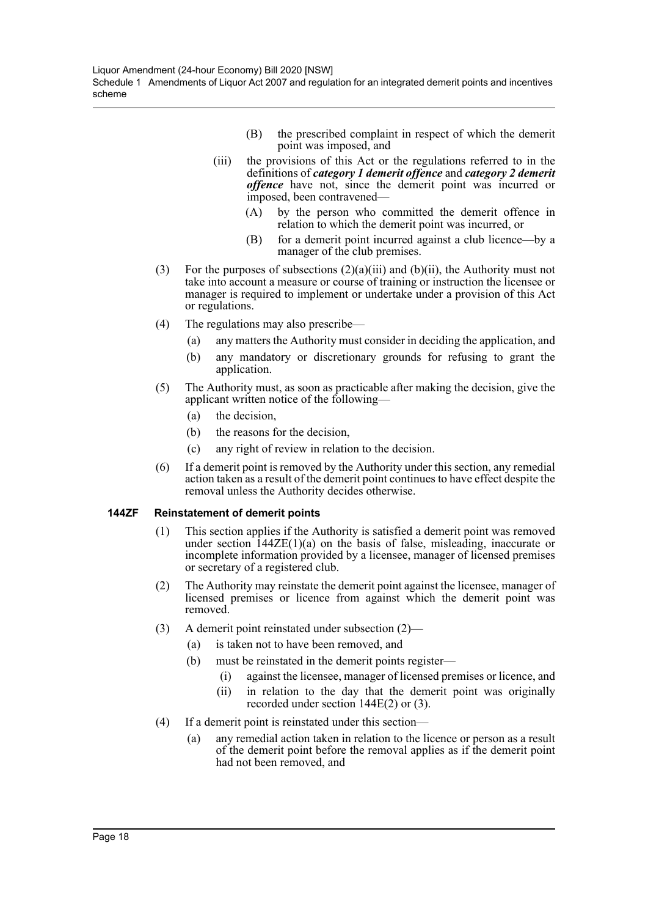- (B) the prescribed complaint in respect of which the demerit point was imposed, and
- (iii) the provisions of this Act or the regulations referred to in the definitions of *category 1 demerit offence* and *category 2 demerit offence* have not, since the demerit point was incurred or imposed, been contravened—
	- (A) by the person who committed the demerit offence in relation to which the demerit point was incurred, or
	- (B) for a demerit point incurred against a club licence—by a manager of the club premises.
- (3) For the purposes of subsections  $(2)(a)(iii)$  and  $(b)(ii)$ , the Authority must not take into account a measure or course of training or instruction the licensee or manager is required to implement or undertake under a provision of this Act or regulations.
- (4) The regulations may also prescribe—
	- (a) any matters the Authority must consider in deciding the application, and
	- (b) any mandatory or discretionary grounds for refusing to grant the application.
- (5) The Authority must, as soon as practicable after making the decision, give the applicant written notice of the following—
	- (a) the decision,
	- (b) the reasons for the decision,
	- (c) any right of review in relation to the decision.
- (6) If a demerit point is removed by the Authority under this section, any remedial action taken as a result of the demerit point continues to have effect despite the removal unless the Authority decides otherwise.

#### **144ZF Reinstatement of demerit points**

- (1) This section applies if the Authority is satisfied a demerit point was removed under section  $144\text{ZE}(1)(a)$  on the basis of false, misleading, inaccurate or incomplete information provided by a licensee, manager of licensed premises or secretary of a registered club.
- (2) The Authority may reinstate the demerit point against the licensee, manager of licensed premises or licence from against which the demerit point was removed.
- (3) A demerit point reinstated under subsection (2)—
	- (a) is taken not to have been removed, and
	- (b) must be reinstated in the demerit points register—
		- (i) against the licensee, manager of licensed premises or licence, and
		- (ii) in relation to the day that the demerit point was originally recorded under section 144E(2) or (3).
- (4) If a demerit point is reinstated under this section—
	- (a) any remedial action taken in relation to the licence or person as a result of the demerit point before the removal applies as if the demerit point had not been removed, and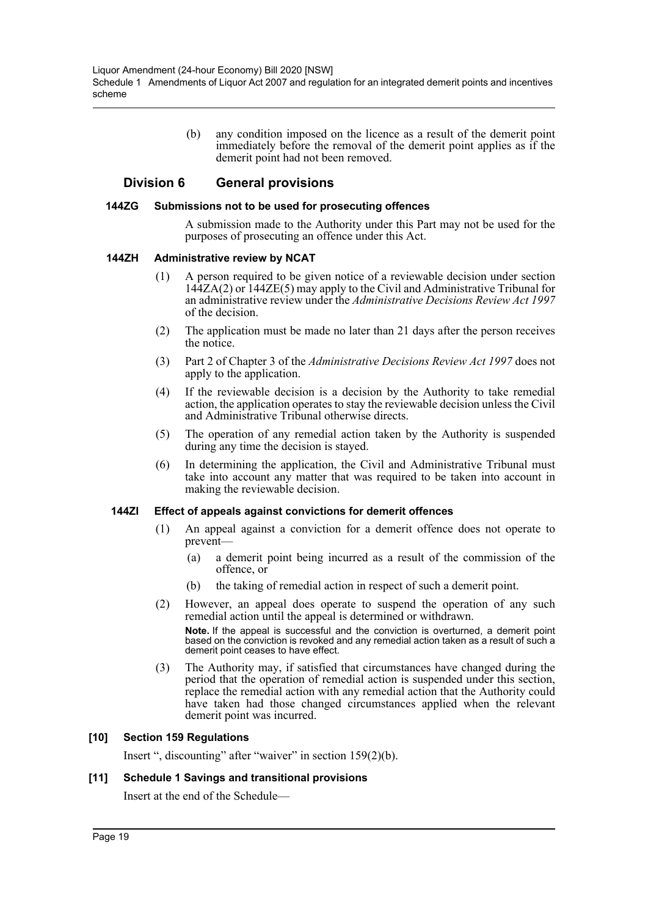(b) any condition imposed on the licence as a result of the demerit point immediately before the removal of the demerit point applies as if the demerit point had not been removed.

# **Division 6 General provisions**

#### **144ZG Submissions not to be used for prosecuting offences**

A submission made to the Authority under this Part may not be used for the purposes of prosecuting an offence under this Act.

#### **144ZH Administrative review by NCAT**

- (1) A person required to be given notice of a reviewable decision under section 144ZA(2) or 144ZE(5) may apply to the Civil and Administrative Tribunal for an administrative review under the *Administrative Decisions Review Act 1997* of the decision.
- (2) The application must be made no later than 21 days after the person receives the notice.
- (3) Part 2 of Chapter 3 of the *Administrative Decisions Review Act 1997* does not apply to the application.
- (4) If the reviewable decision is a decision by the Authority to take remedial action, the application operates to stay the reviewable decision unless the Civil and Administrative Tribunal otherwise directs.
- (5) The operation of any remedial action taken by the Authority is suspended during any time the decision is stayed.
- (6) In determining the application, the Civil and Administrative Tribunal must take into account any matter that was required to be taken into account in making the reviewable decision.

#### **144ZI Effect of appeals against convictions for demerit offences**

- (1) An appeal against a conviction for a demerit offence does not operate to prevent—
	- (a) a demerit point being incurred as a result of the commission of the offence, or
	- (b) the taking of remedial action in respect of such a demerit point.
- (2) However, an appeal does operate to suspend the operation of any such remedial action until the appeal is determined or withdrawn. **Note.** If the appeal is successful and the conviction is overturned, a demerit point based on the conviction is revoked and any remedial action taken as a result of such a demerit point ceases to have effect.
- (3) The Authority may, if satisfied that circumstances have changed during the period that the operation of remedial action is suspended under this section, replace the remedial action with any remedial action that the Authority could have taken had those changed circumstances applied when the relevant demerit point was incurred.

#### **[10] Section 159 Regulations**

Insert ", discounting" after "waiver" in section 159(2)(b).

#### **[11] Schedule 1 Savings and transitional provisions**

Insert at the end of the Schedule—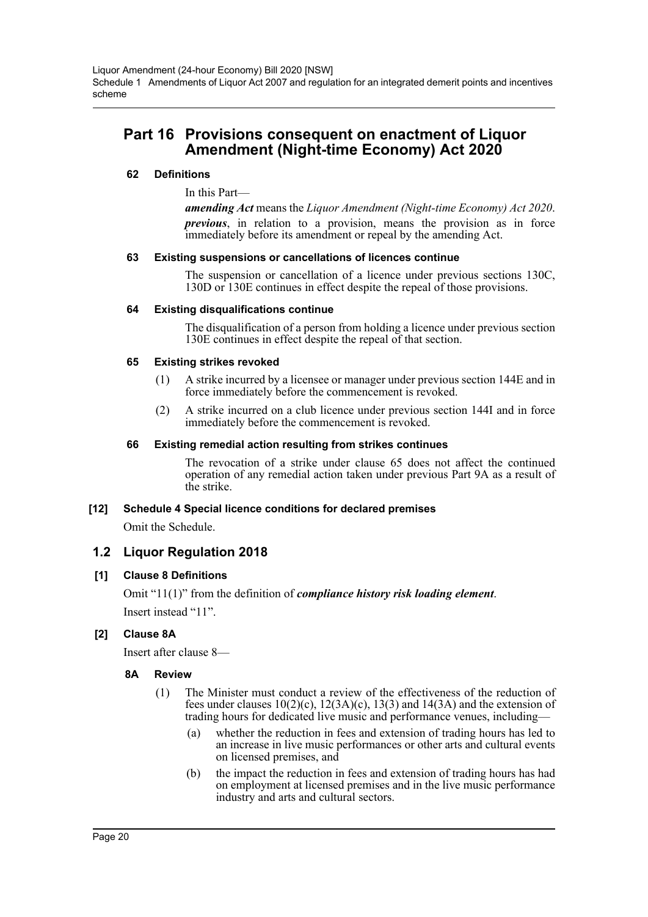# **Part 16 Provisions consequent on enactment of Liquor Amendment (Night-time Economy) Act 2020**

# **62 Definitions**

In this Part—

*amending Act* means the *Liquor Amendment (Night-time Economy) Act 2020*. *previous*, in relation to a provision, means the provision as in force immediately before its amendment or repeal by the amending Act.

#### **63 Existing suspensions or cancellations of licences continue**

The suspension or cancellation of a licence under previous sections 130C, 130D or 130E continues in effect despite the repeal of those provisions.

#### **64 Existing disqualifications continue**

The disqualification of a person from holding a licence under previous section 130E continues in effect despite the repeal of that section.

#### **65 Existing strikes revoked**

- (1) A strike incurred by a licensee or manager under previous section 144E and in force immediately before the commencement is revoked.
- (2) A strike incurred on a club licence under previous section 144I and in force immediately before the commencement is revoked.

#### **66 Existing remedial action resulting from strikes continues**

The revocation of a strike under clause 65 does not affect the continued operation of any remedial action taken under previous Part 9A as a result of the strike.

# **[12] Schedule 4 Special licence conditions for declared premises**

Omit the Schedule.

# **1.2 Liquor Regulation 2018**

# **[1] Clause 8 Definitions**

Omit "11(1)" from the definition of *compliance history risk loading element*. Insert instead "11".

# **[2] Clause 8A**

Insert after clause 8—

# **8A Review**

- (1) The Minister must conduct a review of the effectiveness of the reduction of fees under clauses  $10(2)(c)$ ,  $12(3A)(c)$ ,  $13(3)$  and  $14(3A)$  and the extension of trading hours for dedicated live music and performance venues, including—
	- (a) whether the reduction in fees and extension of trading hours has led to an increase in live music performances or other arts and cultural events on licensed premises, and
	- (b) the impact the reduction in fees and extension of trading hours has had on employment at licensed premises and in the live music performance industry and arts and cultural sectors.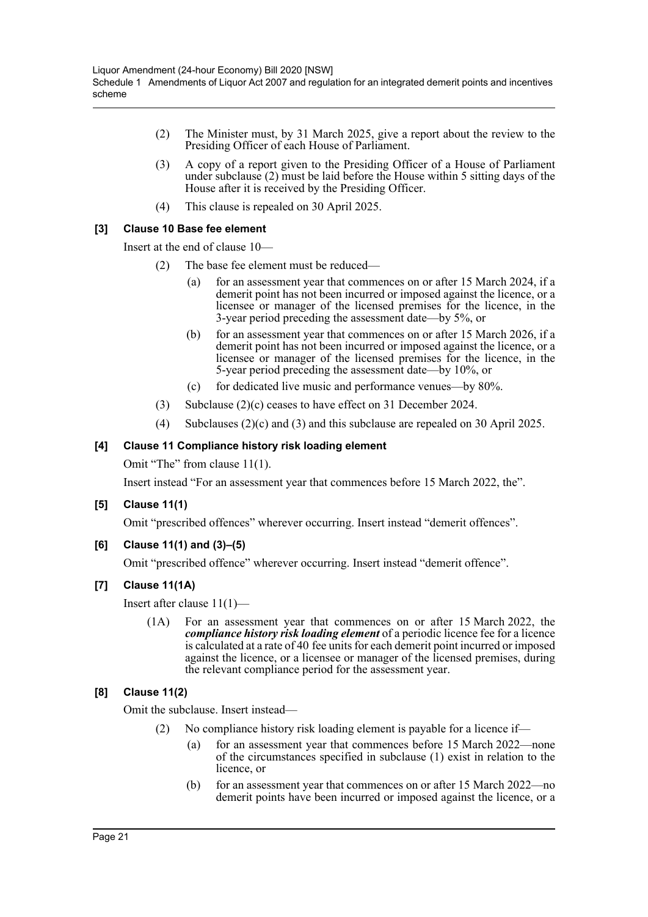- (2) The Minister must, by 31 March 2025, give a report about the review to the Presiding Officer of each House of Parliament.
- (3) A copy of a report given to the Presiding Officer of a House of Parliament under subclause (2) must be laid before the House within 5 sitting days of the House after it is received by the Presiding Officer.
- (4) This clause is repealed on 30 April 2025.

# **[3] Clause 10 Base fee element**

Insert at the end of clause 10—

- (2) The base fee element must be reduced—
	- (a) for an assessment year that commences on or after 15 March 2024, if a demerit point has not been incurred or imposed against the licence, or a licensee or manager of the licensed premises for the licence, in the 3-year period preceding the assessment date—by 5%, or
	- (b) for an assessment year that commences on or after 15 March 2026, if a demerit point has not been incurred or imposed against the licence, or a licensee or manager of the licensed premises for the licence, in the 5-year period preceding the assessment date—by 10%, or
	- (c) for dedicated live music and performance venues—by 80%.
- (3) Subclause (2)(c) ceases to have effect on 31 December 2024.
- (4) Subclauses (2)(c) and (3) and this subclause are repealed on 30 April 2025.

# **[4] Clause 11 Compliance history risk loading element**

Omit "The" from clause 11(1).

Insert instead "For an assessment year that commences before 15 March 2022, the".

#### **[5] Clause 11(1)**

Omit "prescribed offences" wherever occurring. Insert instead "demerit offences".

**[6] Clause 11(1) and (3)–(5)**

Omit "prescribed offence" wherever occurring. Insert instead "demerit offence".

# **[7] Clause 11(1A)**

Insert after clause 11(1)—

(1A) For an assessment year that commences on or after 15 March 2022, the *compliance history risk loading element* of a periodic licence fee for a licence is calculated at a rate of 40 fee units for each demerit point incurred or imposed against the licence, or a licensee or manager of the licensed premises, during the relevant compliance period for the assessment year.

# **[8] Clause 11(2)**

Omit the subclause. Insert instead—

- (2) No compliance history risk loading element is payable for a licence if—
	- (a) for an assessment year that commences before 15 March 2022—none of the circumstances specified in subclause (1) exist in relation to the licence, or
	- (b) for an assessment year that commences on or after 15 March 2022—no demerit points have been incurred or imposed against the licence, or a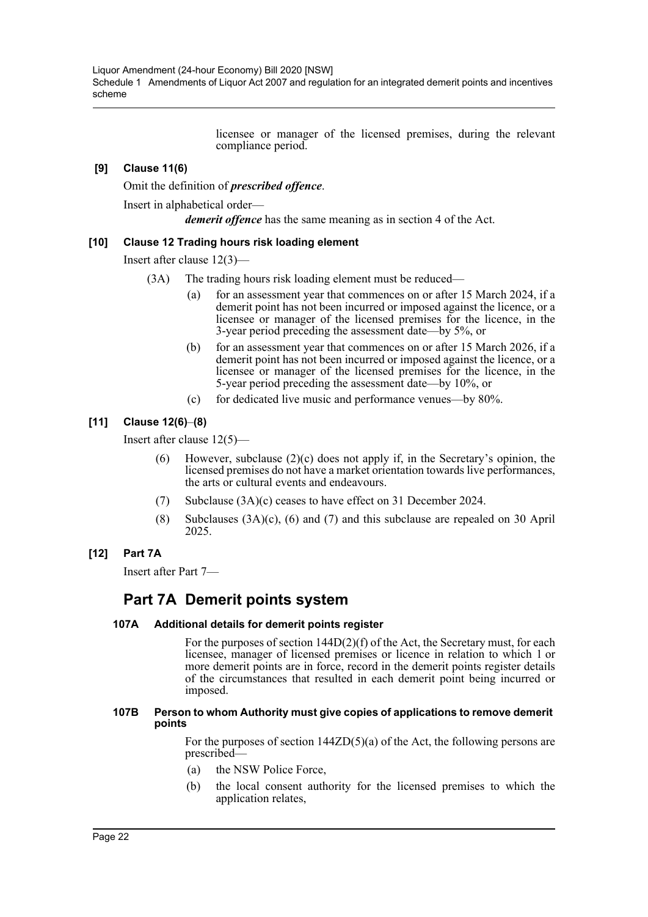Liquor Amendment (24-hour Economy) Bill 2020 [NSW] Schedule 1 Amendments of Liquor Act 2007 and regulation for an integrated demerit points and incentives scheme

> licensee or manager of the licensed premises, during the relevant compliance period.

# **[9] Clause 11(6)**

Omit the definition of *prescribed offence*.

Insert in alphabetical order—

*demerit offence* has the same meaning as in section 4 of the Act.

#### **[10] Clause 12 Trading hours risk loading element**

Insert after clause 12(3)—

- (3A) The trading hours risk loading element must be reduced—
	- (a) for an assessment year that commences on or after 15 March 2024, if a demerit point has not been incurred or imposed against the licence, or a licensee or manager of the licensed premises for the licence, in the 3-year period preceding the assessment date—by 5%, or
	- (b) for an assessment year that commences on or after 15 March 2026, if a demerit point has not been incurred or imposed against the licence, or a licensee or manager of the licensed premises for the licence, in the 5-year period preceding the assessment date—by 10%, or
	- (c) for dedicated live music and performance venues—by 80%.

#### **[11] Clause 12(6)**–**(8)**

Insert after clause 12(5)—

- (6) However, subclause (2)(c) does not apply if, in the Secretary's opinion, the licensed premises do not have a market orientation towards live performances, the arts or cultural events and endeavours.
- (7) Subclause (3A)(c) ceases to have effect on 31 December 2024.
- (8) Subclauses (3A)(c), (6) and (7) and this subclause are repealed on 30 April 2025.

#### **[12] Part 7A**

Insert after Part 7—

# **Part 7A Demerit points system**

#### **107A Additional details for demerit points register**

For the purposes of section 144D(2)(f) of the Act, the Secretary must, for each licensee, manager of licensed premises or licence in relation to which 1 or more demerit points are in force, record in the demerit points register details of the circumstances that resulted in each demerit point being incurred or imposed.

#### **107B Person to whom Authority must give copies of applications to remove demerit points**

For the purposes of section 144ZD(5)(a) of the Act, the following persons are prescribed—

- (a) the NSW Police Force,
- (b) the local consent authority for the licensed premises to which the application relates,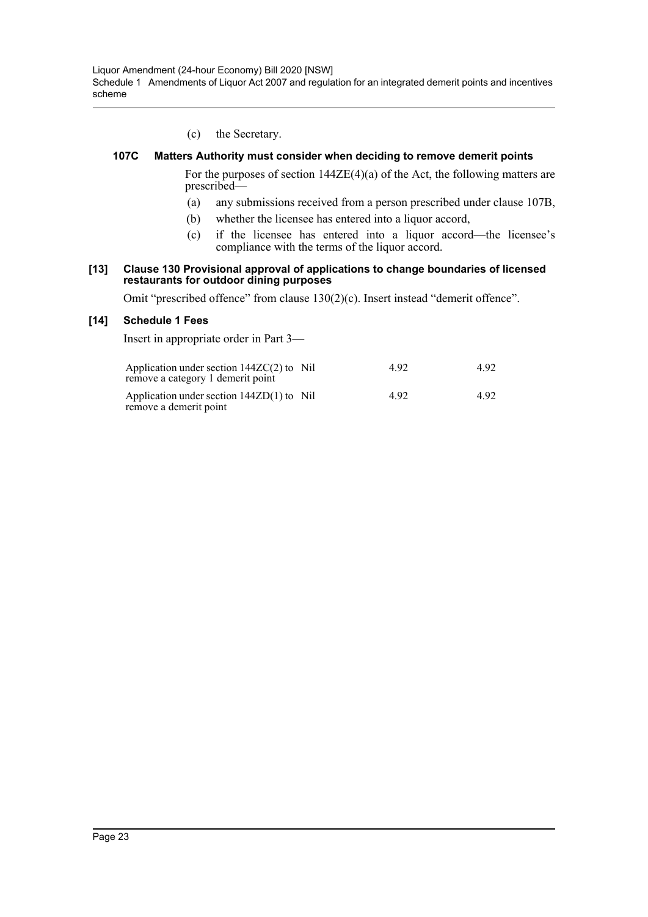Liquor Amendment (24-hour Economy) Bill 2020 [NSW] Schedule 1 Amendments of Liquor Act 2007 and regulation for an integrated demerit points and incentives scheme

(c) the Secretary.

#### **107C Matters Authority must consider when deciding to remove demerit points**

For the purposes of section 144ZE(4)(a) of the Act, the following matters are prescribed—

- (a) any submissions received from a person prescribed under clause 107B,
- (b) whether the licensee has entered into a liquor accord,
- (c) if the licensee has entered into a liquor accord—the licensee's compliance with the terms of the liquor accord.

#### **[13] Clause 130 Provisional approval of applications to change boundaries of licensed restaurants for outdoor dining purposes**

Omit "prescribed offence" from clause 130(2)(c). Insert instead "demerit offence".

#### **[14] Schedule 1 Fees**

Insert in appropriate order in Part 3—

| Application under section $144ZC(2)$ to Nil<br>remove a category 1 demerit point | 4.92 | 4.92 |
|----------------------------------------------------------------------------------|------|------|
| Application under section $144ZD(1)$ to Nil<br>remove a demerit point            | 4.92 | 4.92 |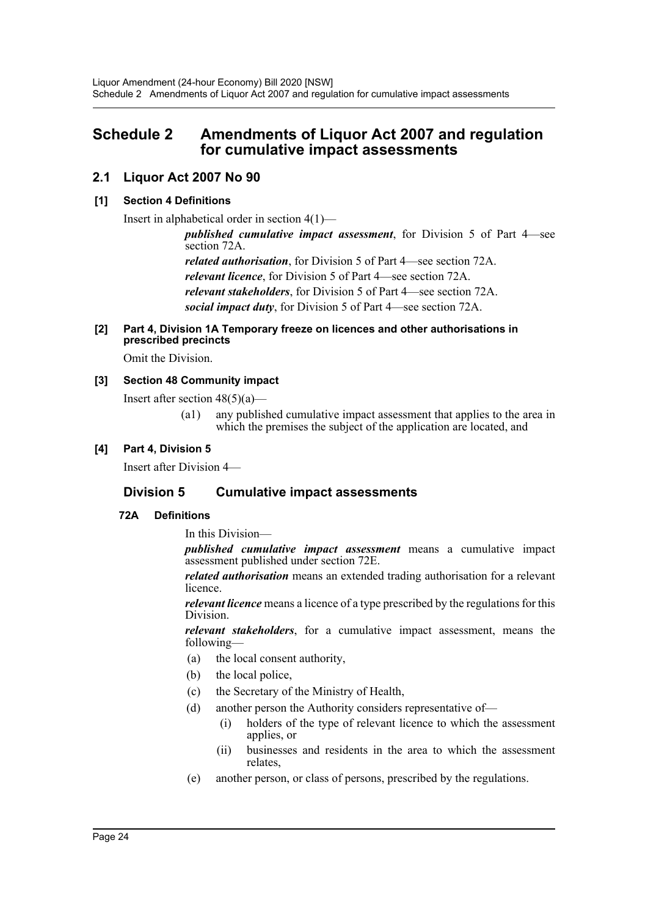# <span id="page-24-0"></span>**Schedule 2 Amendments of Liquor Act 2007 and regulation for cumulative impact assessments**

# **2.1 Liquor Act 2007 No 90**

# **[1] Section 4 Definitions**

Insert in alphabetical order in section 4(1)—

*published cumulative impact assessment*, for Division 5 of Part 4—see section 72A.

*related authorisation*, for Division 5 of Part 4—see section 72A. *relevant licence*, for Division 5 of Part 4—see section 72A. *relevant stakeholders*, for Division 5 of Part 4—see section 72A. *social impact duty*, for Division 5 of Part 4—see section 72A.

## **[2] Part 4, Division 1A Temporary freeze on licences and other authorisations in prescribed precincts**

Omit the Division.

# **[3] Section 48 Community impact**

Insert after section  $48(5)(a)$ —

(a1) any published cumulative impact assessment that applies to the area in which the premises the subject of the application are located, and

# **[4] Part 4, Division 5**

Insert after Division 4—

# **Division 5 Cumulative impact assessments**

# **72A Definitions**

In this Division—

*published cumulative impact assessment* means a cumulative impact assessment published under section 72E.

*related authorisation* means an extended trading authorisation for a relevant licence.

*relevant licence* means a licence of a type prescribed by the regulations for this Division.

*relevant stakeholders*, for a cumulative impact assessment, means the following—

- (a) the local consent authority,
- (b) the local police,
- (c) the Secretary of the Ministry of Health,
- (d) another person the Authority considers representative of—
	- (i) holders of the type of relevant licence to which the assessment applies, or
	- (ii) businesses and residents in the area to which the assessment relates,
- (e) another person, or class of persons, prescribed by the regulations.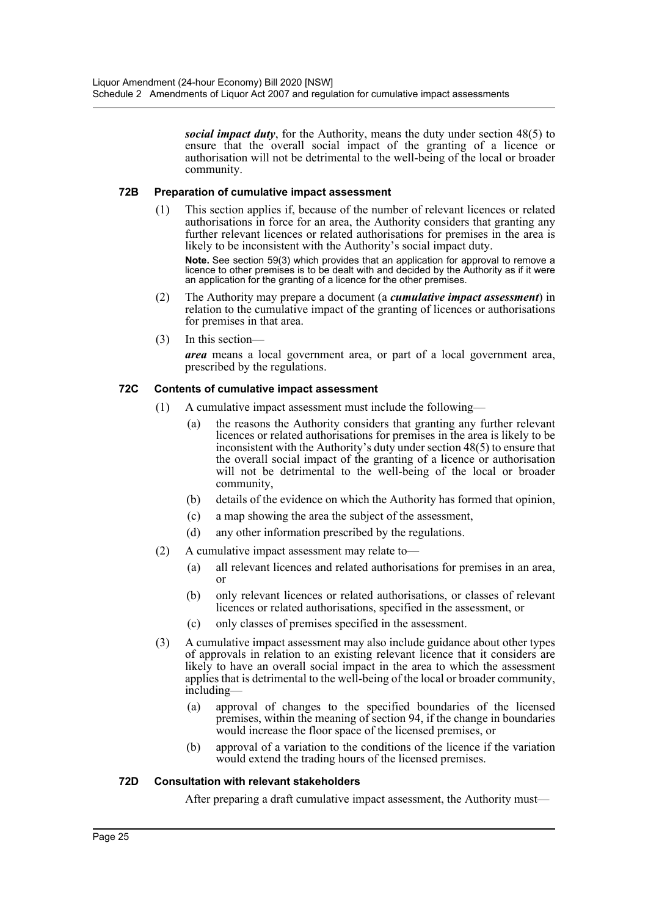*social impact duty*, for the Authority, means the duty under section 48(5) to ensure that the overall social impact of the granting of a licence or authorisation will not be detrimental to the well-being of the local or broader community.

#### **72B Preparation of cumulative impact assessment**

(1) This section applies if, because of the number of relevant licences or related authorisations in force for an area, the Authority considers that granting any further relevant licences or related authorisations for premises in the area is likely to be inconsistent with the Authority's social impact duty.

**Note.** See section 59(3) which provides that an application for approval to remove a licence to other premises is to be dealt with and decided by the Authority as if it were an application for the granting of a licence for the other premises.

- (2) The Authority may prepare a document (a *cumulative impact assessment*) in relation to the cumulative impact of the granting of licences or authorisations for premises in that area.
- (3) In this section—

*area* means a local government area, or part of a local government area, prescribed by the regulations.

# **72C Contents of cumulative impact assessment**

- (1) A cumulative impact assessment must include the following—
	- (a) the reasons the Authority considers that granting any further relevant licences or related authorisations for premises in the area is likely to be inconsistent with the Authority's duty under section 48(5) to ensure that the overall social impact of the granting of a licence or authorisation will not be detrimental to the well-being of the local or broader community,
	- (b) details of the evidence on which the Authority has formed that opinion,
	- (c) a map showing the area the subject of the assessment,
	- (d) any other information prescribed by the regulations.
- (2) A cumulative impact assessment may relate to—
	- (a) all relevant licences and related authorisations for premises in an area, or
	- (b) only relevant licences or related authorisations, or classes of relevant licences or related authorisations, specified in the assessment, or
	- (c) only classes of premises specified in the assessment.
- (3) A cumulative impact assessment may also include guidance about other types of approvals in relation to an existing relevant licence that it considers are likely to have an overall social impact in the area to which the assessment applies that is detrimental to the well-being of the local or broader community, including—
	- (a) approval of changes to the specified boundaries of the licensed premises, within the meaning of section 94, if the change in boundaries would increase the floor space of the licensed premises, or
	- (b) approval of a variation to the conditions of the licence if the variation would extend the trading hours of the licensed premises.

#### **72D Consultation with relevant stakeholders**

After preparing a draft cumulative impact assessment, the Authority must—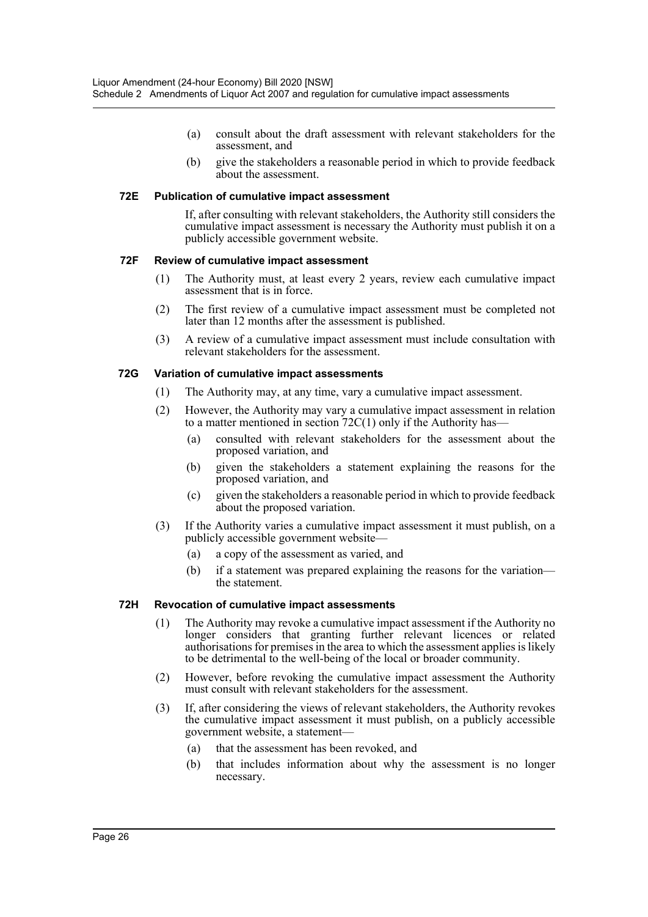- (a) consult about the draft assessment with relevant stakeholders for the assessment, and
- (b) give the stakeholders a reasonable period in which to provide feedback about the assessment.

#### **72E Publication of cumulative impact assessment**

If, after consulting with relevant stakeholders, the Authority still considers the cumulative impact assessment is necessary the Authority must publish it on a publicly accessible government website.

#### **72F Review of cumulative impact assessment**

- (1) The Authority must, at least every 2 years, review each cumulative impact assessment that is in force.
- (2) The first review of a cumulative impact assessment must be completed not later than 12 months after the assessment is published.
- (3) A review of a cumulative impact assessment must include consultation with relevant stakeholders for the assessment.

#### **72G Variation of cumulative impact assessments**

- (1) The Authority may, at any time, vary a cumulative impact assessment.
- (2) However, the Authority may vary a cumulative impact assessment in relation to a matter mentioned in section  $72C(1)$  only if the Authority has-
	- (a) consulted with relevant stakeholders for the assessment about the proposed variation, and
	- (b) given the stakeholders a statement explaining the reasons for the proposed variation, and
	- (c) given the stakeholders a reasonable period in which to provide feedback about the proposed variation.
- (3) If the Authority varies a cumulative impact assessment it must publish, on a publicly accessible government website—
	- (a) a copy of the assessment as varied, and
	- (b) if a statement was prepared explaining the reasons for the variation the statement.

#### **72H Revocation of cumulative impact assessments**

- (1) The Authority may revoke a cumulative impact assessment if the Authority no longer considers that granting further relevant licences or related authorisations for premises in the area to which the assessment applies is likely to be detrimental to the well-being of the local or broader community.
- (2) However, before revoking the cumulative impact assessment the Authority must consult with relevant stakeholders for the assessment.
- (3) If, after considering the views of relevant stakeholders, the Authority revokes the cumulative impact assessment it must publish, on a publicly accessible government website, a statement—
	- (a) that the assessment has been revoked, and
	- (b) that includes information about why the assessment is no longer necessary.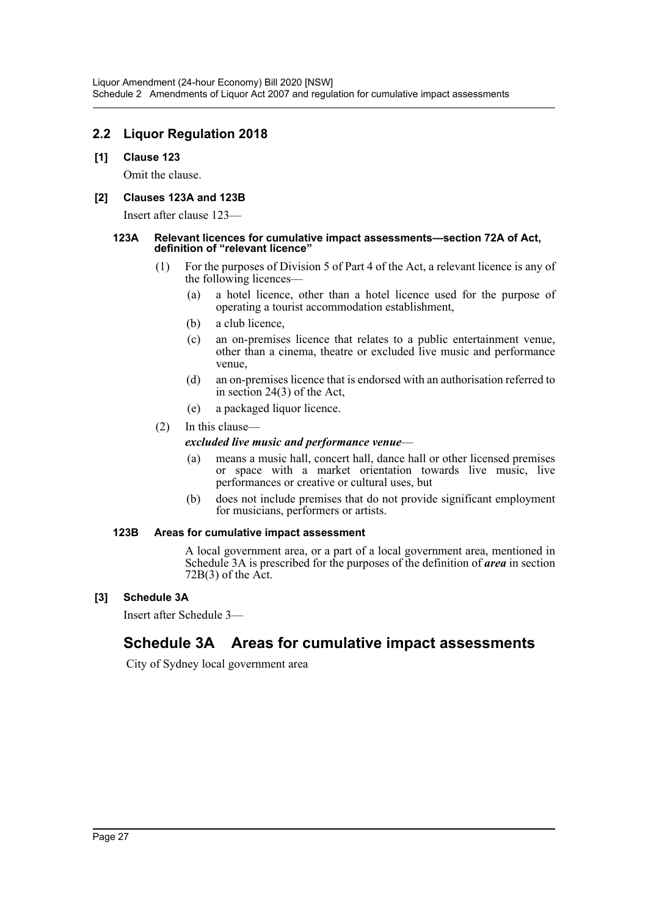# **2.2 Liquor Regulation 2018**

#### **[1] Clause 123**

Omit the clause.

#### **[2] Clauses 123A and 123B**

Insert after clause 123—

#### **123A Relevant licences for cumulative impact assessments—section 72A of Act, definition of "relevant licence"**

- (1) For the purposes of Division 5 of Part 4 of the Act, a relevant licence is any of the following licences—
	- (a) a hotel licence, other than a hotel licence used for the purpose of operating a tourist accommodation establishment,
	- (b) a club licence,
	- (c) an on-premises licence that relates to a public entertainment venue, other than a cinema, theatre or excluded live music and performance venue,
	- (d) an on-premises licence that is endorsed with an authorisation referred to in section 24(3) of the Act,
	- (e) a packaged liquor licence.
- (2) In this clause—

#### *excluded live music and performance venue*—

- (a) means a music hall, concert hall, dance hall or other licensed premises or space with a market orientation towards live music, live performances or creative or cultural uses, but
- (b) does not include premises that do not provide significant employment for musicians, performers or artists.

#### **123B Areas for cumulative impact assessment**

A local government area, or a part of a local government area, mentioned in Schedule 3A is prescribed for the purposes of the definition of *area* in section 72B(3) of the Act.

# **[3] Schedule 3A**

Insert after Schedule 3—

# **Schedule 3A Areas for cumulative impact assessments**

City of Sydney local government area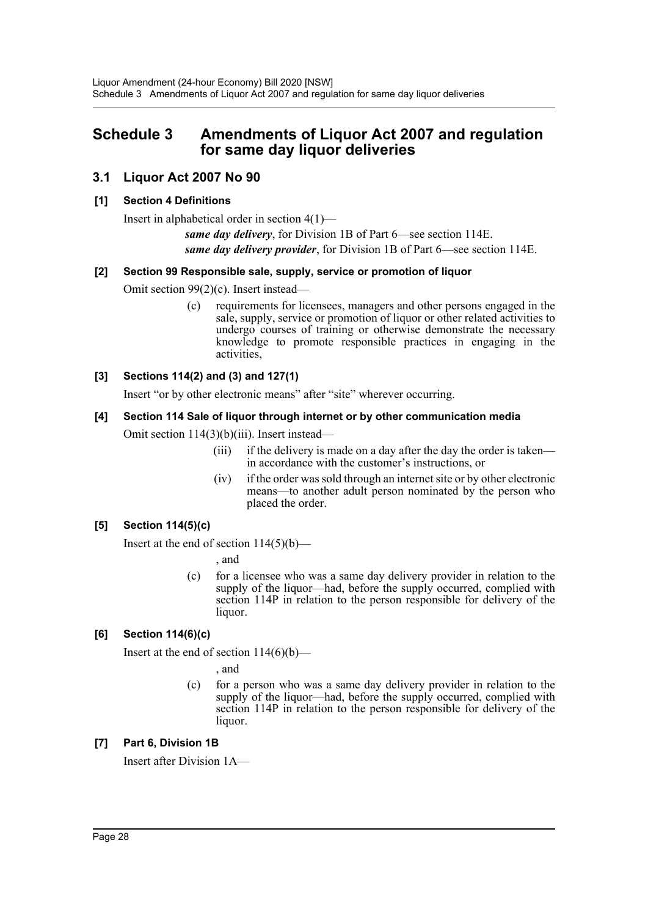# <span id="page-28-0"></span>**Schedule 3 Amendments of Liquor Act 2007 and regulation for same day liquor deliveries**

# **3.1 Liquor Act 2007 No 90**

# **[1] Section 4 Definitions**

Insert in alphabetical order in section 4(1)—

*same day delivery*, for Division 1B of Part 6—see section 114E. *same day delivery provider*, for Division 1B of Part 6—see section 114E.

# **[2] Section 99 Responsible sale, supply, service or promotion of liquor**

Omit section 99(2)(c). Insert instead—

(c) requirements for licensees, managers and other persons engaged in the sale, supply, service or promotion of liquor or other related activities to undergo courses of training or otherwise demonstrate the necessary knowledge to promote responsible practices in engaging in the activities,

# **[3] Sections 114(2) and (3) and 127(1)**

Insert "or by other electronic means" after "site" wherever occurring.

# **[4] Section 114 Sale of liquor through internet or by other communication media**

Omit section 114(3)(b)(iii). Insert instead—

- (iii) if the delivery is made on a day after the day the order is taken in accordance with the customer's instructions, or
- (iv) if the order was sold through an internet site or by other electronic means—to another adult person nominated by the person who placed the order.

# **[5] Section 114(5)(c)**

Insert at the end of section  $114(5)(b)$ —

, and

(c) for a licensee who was a same day delivery provider in relation to the supply of the liquor—had, before the supply occurred, complied with section 114P in relation to the person responsible for delivery of the liquor.

# **[6] Section 114(6)(c)**

Insert at the end of section  $114(6)(b)$ —

, and

(c) for a person who was a same day delivery provider in relation to the supply of the liquor—had, before the supply occurred, complied with section 114P in relation to the person responsible for delivery of the liquor.

# **[7] Part 6, Division 1B**

Insert after Division 1A—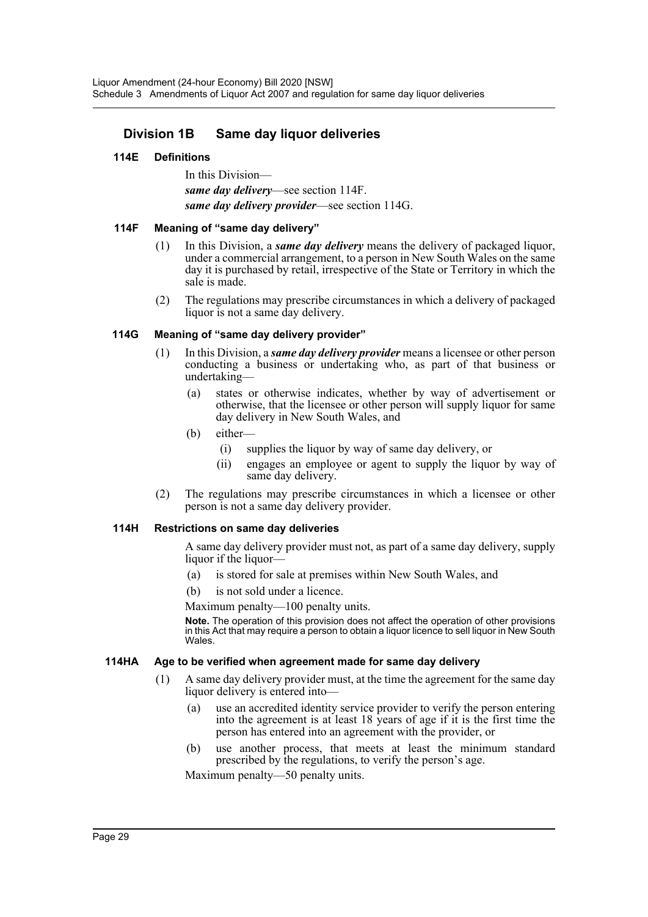# **Division 1B Same day liquor deliveries**

#### **114E Definitions**

In this Division *same day delivery*—see section 114F. *same day delivery provider*—see section 114G.

#### **114F Meaning of "same day delivery"**

- (1) In this Division, a *same day delivery* means the delivery of packaged liquor, under a commercial arrangement, to a person in New South Wales on the same day it is purchased by retail, irrespective of the State or Territory in which the sale is made.
- (2) The regulations may prescribe circumstances in which a delivery of packaged liquor is not a same day delivery.

#### **114G Meaning of "same day delivery provider"**

- (1) In this Division, a *same day delivery provider* means a licensee or other person conducting a business or undertaking who, as part of that business or undertaking—
	- (a) states or otherwise indicates, whether by way of advertisement or otherwise, that the licensee or other person will supply liquor for same day delivery in New South Wales, and
	- (b) either—
		- (i) supplies the liquor by way of same day delivery, or
		- (ii) engages an employee or agent to supply the liquor by way of same day delivery.
- (2) The regulations may prescribe circumstances in which a licensee or other person is not a same day delivery provider.

#### **114H Restrictions on same day deliveries**

A same day delivery provider must not, as part of a same day delivery, supply liquor if the liquor—

- (a) is stored for sale at premises within New South Wales, and
- (b) is not sold under a licence.

Maximum penalty—100 penalty units.

**Note.** The operation of this provision does not affect the operation of other provisions in this Act that may require a person to obtain a liquor licence to sell liquor in New South Wales.

#### **114HA Age to be verified when agreement made for same day delivery**

- (1) A same day delivery provider must, at the time the agreement for the same day liquor delivery is entered into—
	- (a) use an accredited identity service provider to verify the person entering into the agreement is at least 18 years of age if it is the first time the person has entered into an agreement with the provider, or
	- (b) use another process, that meets at least the minimum standard prescribed by the regulations, to verify the person's age.

Maximum penalty—50 penalty units.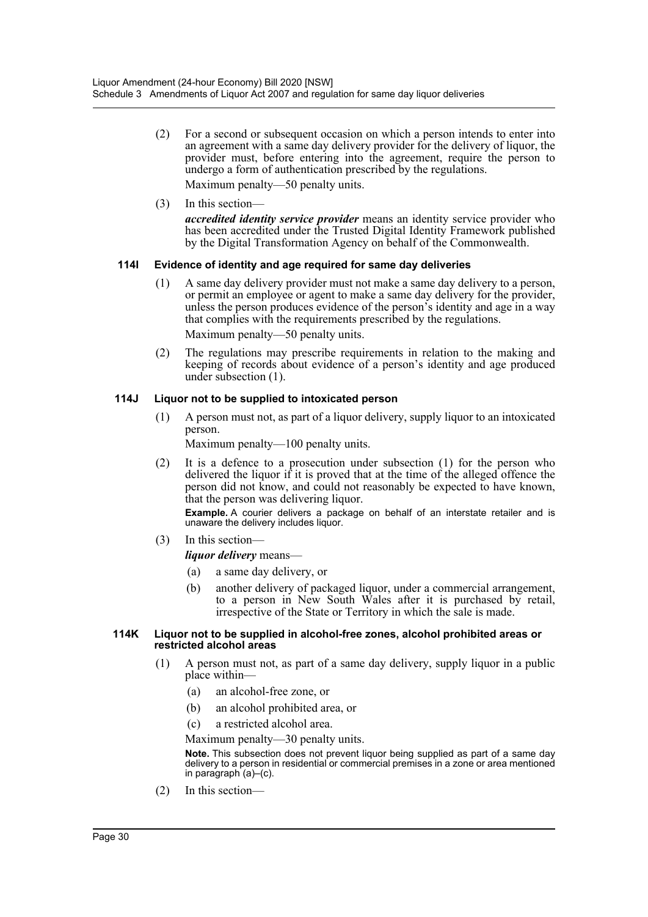- (2) For a second or subsequent occasion on which a person intends to enter into an agreement with a same day delivery provider for the delivery of liquor, the provider must, before entering into the agreement, require the person to undergo a form of authentication prescribed by the regulations. Maximum penalty—50 penalty units.
- (3) In this section—

*accredited identity service provider* means an identity service provider who has been accredited under the Trusted Digital Identity Framework published by the Digital Transformation Agency on behalf of the Commonwealth.

# **114I Evidence of identity and age required for same day deliveries**

(1) A same day delivery provider must not make a same day delivery to a person, or permit an employee or agent to make a same day delivery for the provider, unless the person produces evidence of the person's identity and age in a way that complies with the requirements prescribed by the regulations.

Maximum penalty—50 penalty units.

(2) The regulations may prescribe requirements in relation to the making and keeping of records about evidence of a person's identity and age produced under subsection (1).

# **114J Liquor not to be supplied to intoxicated person**

(1) A person must not, as part of a liquor delivery, supply liquor to an intoxicated person.

Maximum penalty—100 penalty units.

(2) It is a defence to a prosecution under subsection (1) for the person who delivered the liquor if it is proved that at the time of the alleged offence the person did not know, and could not reasonably be expected to have known, that the person was delivering liquor.

**Example.** A courier delivers a package on behalf of an interstate retailer and is unaware the delivery includes liquor.

(3) In this section—

*liquor delivery* means—

- (a) a same day delivery, or
- (b) another delivery of packaged liquor, under a commercial arrangement, to a person in New South Wales after it is purchased by retail, irrespective of the State or Territory in which the sale is made.

#### **114K Liquor not to be supplied in alcohol-free zones, alcohol prohibited areas or restricted alcohol areas**

- (1) A person must not, as part of a same day delivery, supply liquor in a public place within—
	- (a) an alcohol-free zone, or
	- (b) an alcohol prohibited area, or
	- (c) a restricted alcohol area.

Maximum penalty—30 penalty units.

**Note.** This subsection does not prevent liquor being supplied as part of a same day delivery to a person in residential or commercial premises in a zone or area mentioned in paragraph (a)–(c).

(2) In this section—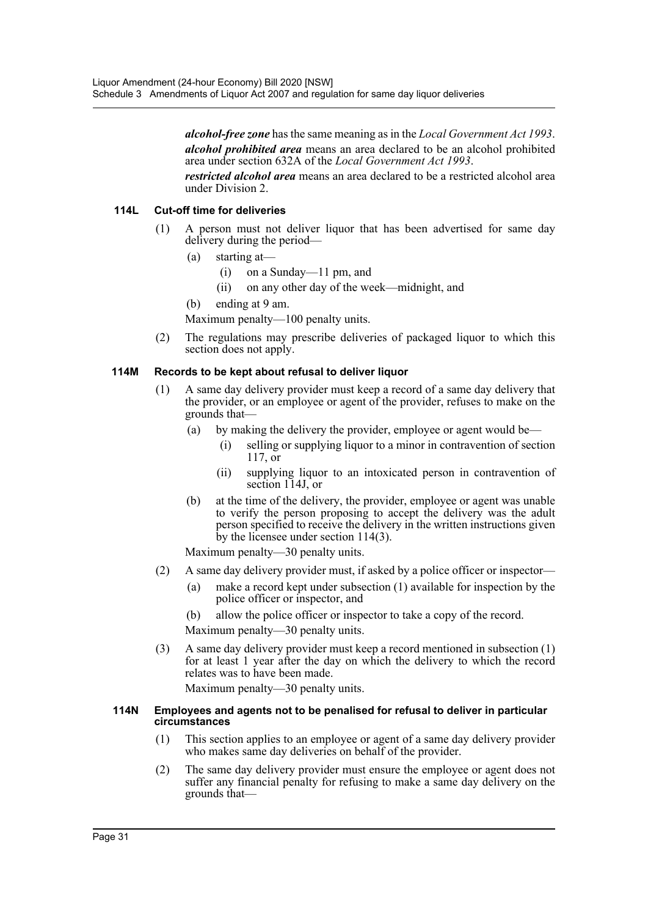*alcohol-free zone* has the same meaning as in the *Local Government Act 1993*. *alcohol prohibited area* means an area declared to be an alcohol prohibited area under section 632A of the *Local Government Act 1993*.

*restricted alcohol area* means an area declared to be a restricted alcohol area under Division 2.

#### **114L Cut-off time for deliveries**

- (1) A person must not deliver liquor that has been advertised for same day delivery during the period—
	- (a) starting at—
		- (i) on a Sunday—11 pm, and
		- (ii) on any other day of the week—midnight, and

(b) ending at 9 am.

Maximum penalty—100 penalty units.

(2) The regulations may prescribe deliveries of packaged liquor to which this section does not apply.

#### **114M Records to be kept about refusal to deliver liquor**

- (1) A same day delivery provider must keep a record of a same day delivery that the provider, or an employee or agent of the provider, refuses to make on the grounds that—
	- (a) by making the delivery the provider, employee or agent would be—
		- (i) selling or supplying liquor to a minor in contravention of section 117, or
		- (ii) supplying liquor to an intoxicated person in contravention of section 114J, or
	- (b) at the time of the delivery, the provider, employee or agent was unable to verify the person proposing to accept the delivery was the adult person specified to receive the delivery in the written instructions given by the licensee under section 114(3).

Maximum penalty—30 penalty units.

- (2) A same day delivery provider must, if asked by a police officer or inspector—
	- (a) make a record kept under subsection (1) available for inspection by the police officer or inspector, and
	- (b) allow the police officer or inspector to take a copy of the record.

Maximum penalty—30 penalty units.

(3) A same day delivery provider must keep a record mentioned in subsection (1) for at least 1 year after the day on which the delivery to which the record relates was to have been made.

Maximum penalty—30 penalty units.

#### **114N Employees and agents not to be penalised for refusal to deliver in particular circumstances**

- (1) This section applies to an employee or agent of a same day delivery provider who makes same day deliveries on behalf of the provider.
- (2) The same day delivery provider must ensure the employee or agent does not suffer any financial penalty for refusing to make a same day delivery on the grounds that—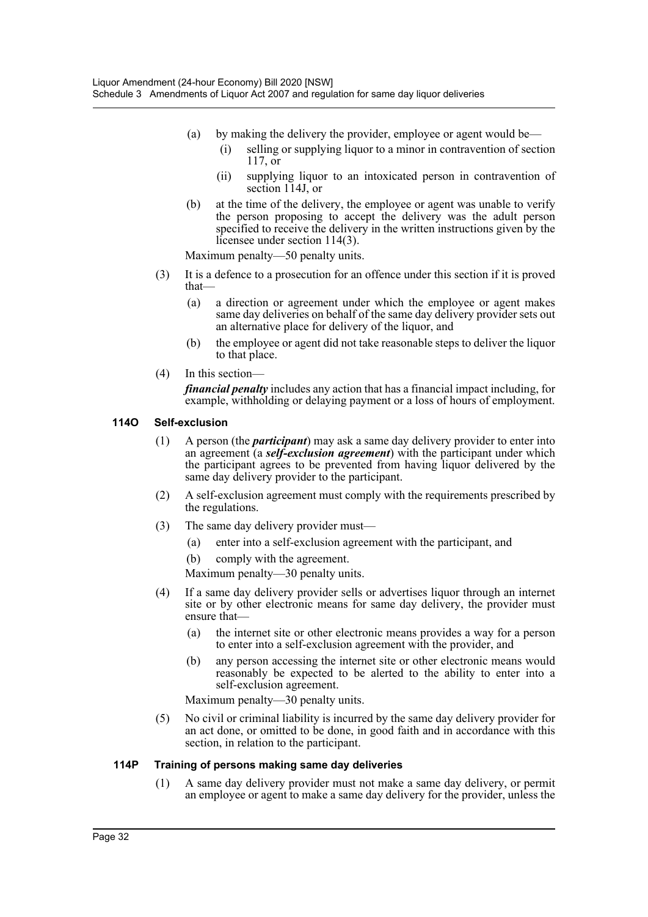- (a) by making the delivery the provider, employee or agent would be—
	- (i) selling or supplying liquor to a minor in contravention of section 117, or
	- (ii) supplying liquor to an intoxicated person in contravention of section 114J, or
- (b) at the time of the delivery, the employee or agent was unable to verify the person proposing to accept the delivery was the adult person specified to receive the delivery in the written instructions given by the licensee under section 114(3).

Maximum penalty—50 penalty units.

- (3) It is a defence to a prosecution for an offence under this section if it is proved that—
	- (a) a direction or agreement under which the employee or agent makes same day deliveries on behalf of the same day delivery provider sets out an alternative place for delivery of the liquor, and
	- (b) the employee or agent did not take reasonable steps to deliver the liquor to that place.
- (4) In this section—

*financial penalty* includes any action that has a financial impact including, for example, withholding or delaying payment or a loss of hours of employment.

#### **114O Self-exclusion**

- (1) A person (the *participant*) may ask a same day delivery provider to enter into an agreement (a *self-exclusion agreement*) with the participant under which the participant agrees to be prevented from having liquor delivered by the same day delivery provider to the participant.
- (2) A self-exclusion agreement must comply with the requirements prescribed by the regulations.
- (3) The same day delivery provider must—
	- (a) enter into a self-exclusion agreement with the participant, and
	- (b) comply with the agreement.

Maximum penalty—30 penalty units.

- (4) If a same day delivery provider sells or advertises liquor through an internet site or by other electronic means for same day delivery, the provider must ensure that—
	- (a) the internet site or other electronic means provides a way for a person to enter into a self-exclusion agreement with the provider, and
	- (b) any person accessing the internet site or other electronic means would reasonably be expected to be alerted to the ability to enter into a self-exclusion agreement.

Maximum penalty—30 penalty units.

(5) No civil or criminal liability is incurred by the same day delivery provider for an act done, or omitted to be done, in good faith and in accordance with this section, in relation to the participant.

#### **114P Training of persons making same day deliveries**

(1) A same day delivery provider must not make a same day delivery, or permit an employee or agent to make a same day delivery for the provider, unless the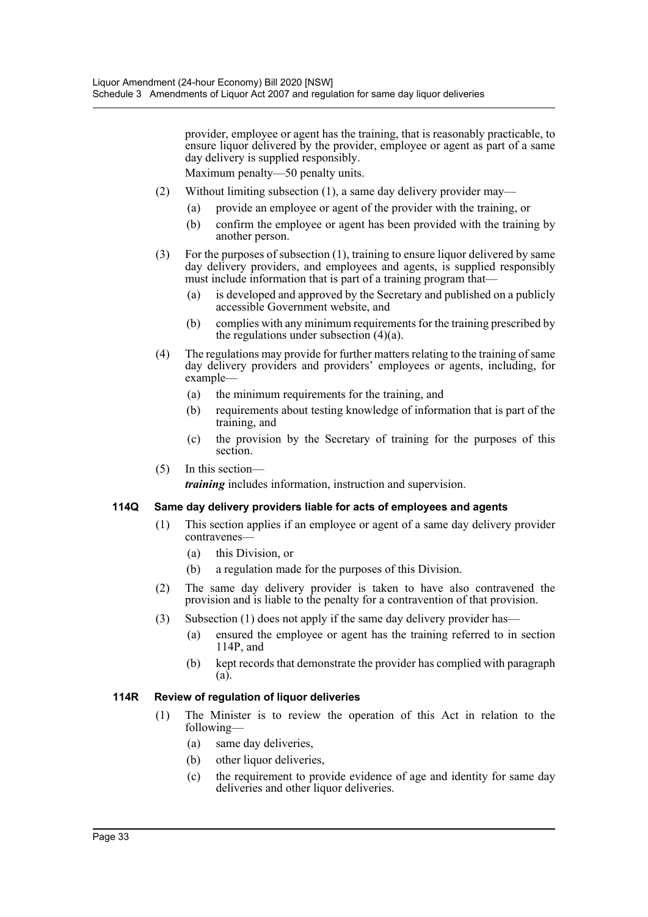provider, employee or agent has the training, that is reasonably practicable, to ensure liquor delivered by the provider, employee or agent as part of a same day delivery is supplied responsibly.

Maximum penalty—50 penalty units.

- (2) Without limiting subsection (1), a same day delivery provider may—
	- (a) provide an employee or agent of the provider with the training, or
	- (b) confirm the employee or agent has been provided with the training by another person.
- (3) For the purposes of subsection (1), training to ensure liquor delivered by same day delivery providers, and employees and agents, is supplied responsibly must include information that is part of a training program that—
	- (a) is developed and approved by the Secretary and published on a publicly accessible Government website, and
	- (b) complies with any minimum requirements for the training prescribed by the regulations under subsection (4)(a).
- (4) The regulations may provide for further matters relating to the training of same day delivery providers and providers' employees or agents, including, for example—
	- (a) the minimum requirements for the training, and
	- (b) requirements about testing knowledge of information that is part of the training, and
	- (c) the provision by the Secretary of training for the purposes of this section.
- (5) In this section—

*training* includes information, instruction and supervision.

#### **114Q Same day delivery providers liable for acts of employees and agents**

- (1) This section applies if an employee or agent of a same day delivery provider contravenes—
	- (a) this Division, or
	- (b) a regulation made for the purposes of this Division.
- (2) The same day delivery provider is taken to have also contravened the provision and is liable to the penalty for a contravention of that provision.
- (3) Subsection (1) does not apply if the same day delivery provider has—
	- (a) ensured the employee or agent has the training referred to in section 114P, and
	- (b) kept records that demonstrate the provider has complied with paragraph (a).

#### **114R Review of regulation of liquor deliveries**

- (1) The Minister is to review the operation of this Act in relation to the following—
	- (a) same day deliveries,
	- (b) other liquor deliveries,
	- (c) the requirement to provide evidence of age and identity for same day deliveries and other liquor deliveries.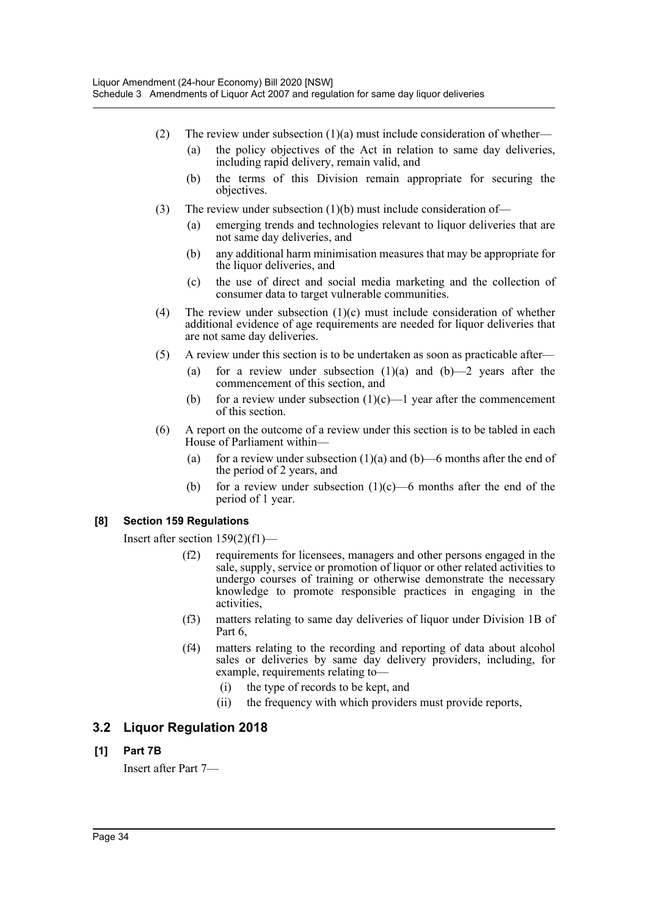- (2) The review under subsection  $(1)(a)$  must include consideration of whether—
	- (a) the policy objectives of the Act in relation to same day deliveries, including rapid delivery, remain valid, and
	- (b) the terms of this Division remain appropriate for securing the objectives.
- (3) The review under subsection (1)(b) must include consideration of—
	- (a) emerging trends and technologies relevant to liquor deliveries that are not same day deliveries, and
	- (b) any additional harm minimisation measures that may be appropriate for the liquor deliveries, and
	- (c) the use of direct and social media marketing and the collection of consumer data to target vulnerable communities.
- (4) The review under subsection  $(1)(c)$  must include consideration of whether additional evidence of age requirements are needed for liquor deliveries that are not same day deliveries.
- (5) A review under this section is to be undertaken as soon as practicable after—
	- (a) for a review under subsection  $(1)(a)$  and  $(b)$ —2 years after the commencement of this section, and
	- (b) for a review under subsection  $(1)(c)$ —1 year after the commencement of this section.
- (6) A report on the outcome of a review under this section is to be tabled in each House of Parliament within—
	- (a) for a review under subsection  $(1)(a)$  and  $(b)$ —6 months after the end of the period of 2 years, and
	- (b) for a review under subsection  $(1)(c)$ —6 months after the end of the period of 1 year.

# **[8] Section 159 Regulations**

Insert after section 159(2)(f1)—

- (f2) requirements for licensees, managers and other persons engaged in the sale, supply, service or promotion of liquor or other related activities to undergo courses of training or otherwise demonstrate the necessary knowledge to promote responsible practices in engaging in the activities,
- (f3) matters relating to same day deliveries of liquor under Division 1B of Part 6,
- (f4) matters relating to the recording and reporting of data about alcohol sales or deliveries by same day delivery providers, including, for example, requirements relating to—
	- (i) the type of records to be kept, and
	- (ii) the frequency with which providers must provide reports,

# **3.2 Liquor Regulation 2018**

# **[1] Part 7B**

Insert after Part 7—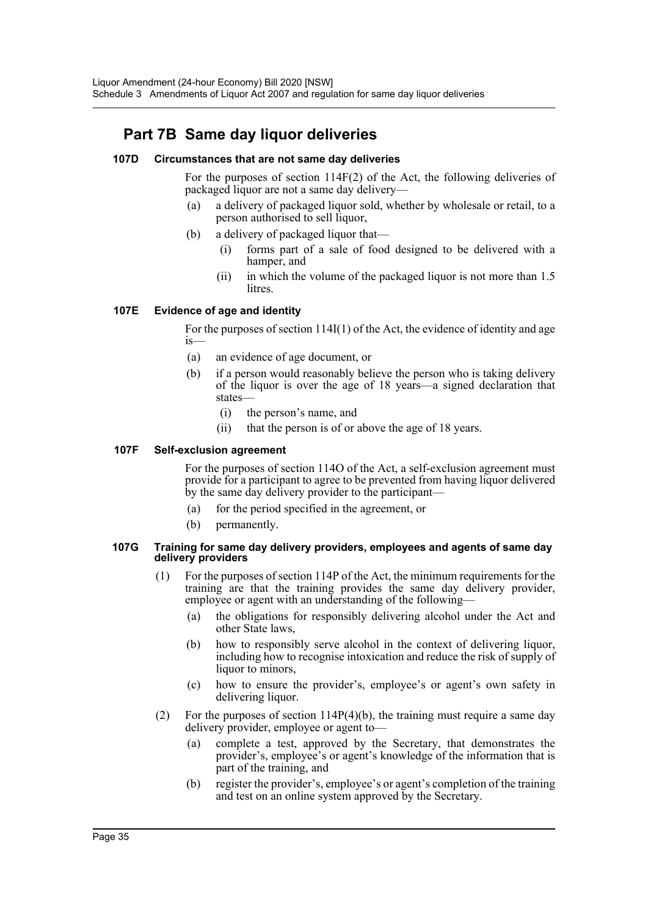# **Part 7B Same day liquor deliveries**

#### **107D Circumstances that are not same day deliveries**

For the purposes of section 114F(2) of the Act, the following deliveries of packaged liquor are not a same day delivery—

- (a) a delivery of packaged liquor sold, whether by wholesale or retail, to a person authorised to sell liquor,
- (b) a delivery of packaged liquor that—
	- (i) forms part of a sale of food designed to be delivered with a hamper, and
	- (ii) in which the volume of the packaged liquor is not more than 1.5 litres.

#### **107E Evidence of age and identity**

For the purposes of section 114I(1) of the Act, the evidence of identity and age is—

- (a) an evidence of age document, or
- (b) if a person would reasonably believe the person who is taking delivery of the liquor is over the age of 18 years—a signed declaration that states—
	- (i) the person's name, and
	- (ii) that the person is of or above the age of 18 years.

#### **107F Self-exclusion agreement**

For the purposes of section 114O of the Act, a self-exclusion agreement must provide for a participant to agree to be prevented from having liquor delivered by the same day delivery provider to the participant—

- (a) for the period specified in the agreement, or
- (b) permanently.

#### **107G Training for same day delivery providers, employees and agents of same day delivery providers**

- (1) For the purposes of section 114P of the Act, the minimum requirements for the training are that the training provides the same day delivery provider, employee or agent with an understanding of the following—
	- (a) the obligations for responsibly delivering alcohol under the Act and other State laws,
	- (b) how to responsibly serve alcohol in the context of delivering liquor, including how to recognise intoxication and reduce the risk of supply of liquor to minors,
	- (c) how to ensure the provider's, employee's or agent's own safety in delivering liquor.
- (2) For the purposes of section 114P(4)(b), the training must require a same day delivery provider, employee or agent to—
	- (a) complete a test, approved by the Secretary, that demonstrates the provider's, employee's or agent's knowledge of the information that is part of the training, and
	- (b) register the provider's, employee's or agent's completion of the training and test on an online system approved by the Secretary.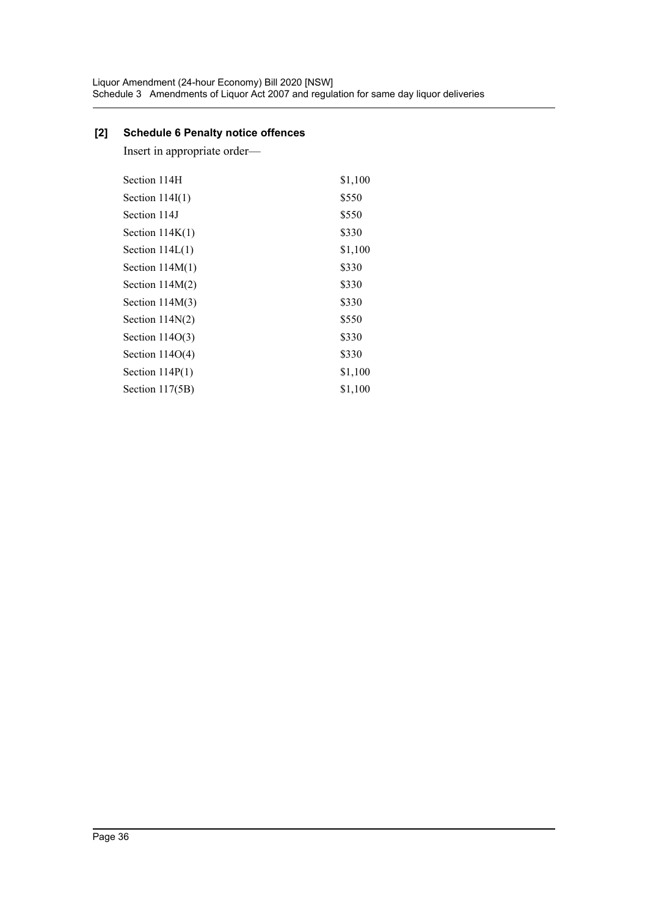# **[2] Schedule 6 Penalty notice offences**

Insert in appropriate order—

| Section 114H      | \$1,100 |
|-------------------|---------|
| Section $114I(1)$ | \$550   |
| Section 114J      | \$550   |
| Section $114K(1)$ | \$330   |
| Section $114L(1)$ | \$1,100 |
| Section $114M(1)$ | \$330   |
| Section $114M(2)$ | \$330   |
| Section $114M(3)$ | \$330   |
| Section $114N(2)$ | \$550   |
| Section $114O(3)$ | \$330   |
| Section $114O(4)$ | \$330   |
| Section $114P(1)$ | \$1,100 |
| Section 117(5B)   | \$1,100 |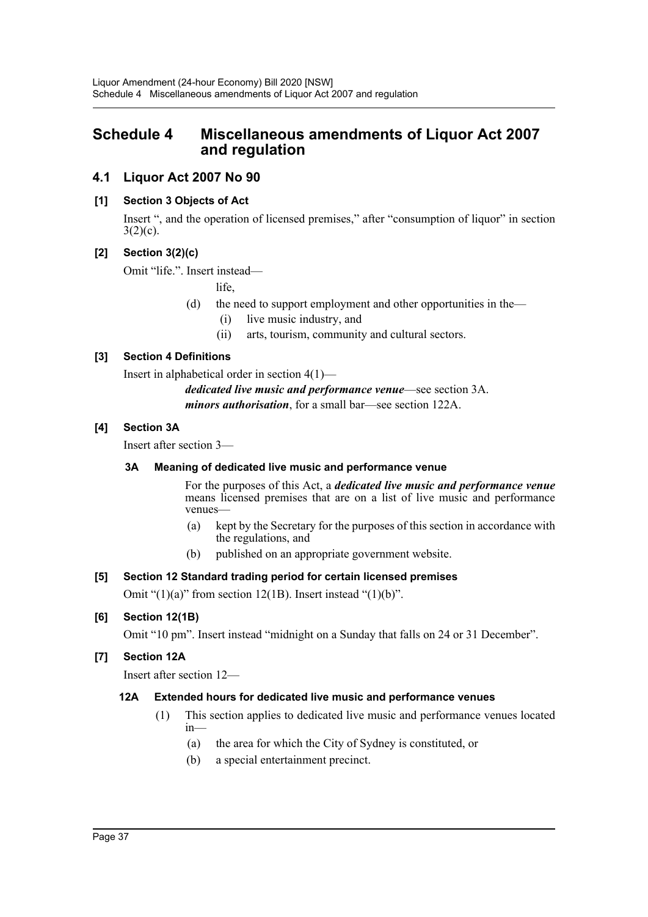# <span id="page-37-0"></span>**Schedule 4 Miscellaneous amendments of Liquor Act 2007 and regulation**

# **4.1 Liquor Act 2007 No 90**

# **[1] Section 3 Objects of Act**

Insert ", and the operation of licensed premises," after "consumption of liquor" in section  $3(2)(c)$ .

# **[2] Section 3(2)(c)**

Omit "life.". Insert instead—

life,

- (d) the need to support employment and other opportunities in the—
	- (i) live music industry, and
	- (ii) arts, tourism, community and cultural sectors.

# **[3] Section 4 Definitions**

Insert in alphabetical order in section 4(1)—

*dedicated live music and performance venue*—see section 3A. *minors authorisation*, for a small bar—see section 122A.

# **[4] Section 3A**

Insert after section 3—

# **3A Meaning of dedicated live music and performance venue**

For the purposes of this Act, a *dedicated live music and performance venue* means licensed premises that are on a list of live music and performance venues—

- (a) kept by the Secretary for the purposes of this section in accordance with the regulations, and
- (b) published on an appropriate government website.

# **[5] Section 12 Standard trading period for certain licensed premises**

Omit " $(1)(a)$ " from section 12(1B). Insert instead " $(1)(b)$ ".

# **[6] Section 12(1B)**

Omit "10 pm". Insert instead "midnight on a Sunday that falls on 24 or 31 December".

# **[7] Section 12A**

Insert after section 12—

# **12A Extended hours for dedicated live music and performance venues**

- (1) This section applies to dedicated live music and performance venues located in—
	- (a) the area for which the City of Sydney is constituted, or
	- (b) a special entertainment precinct.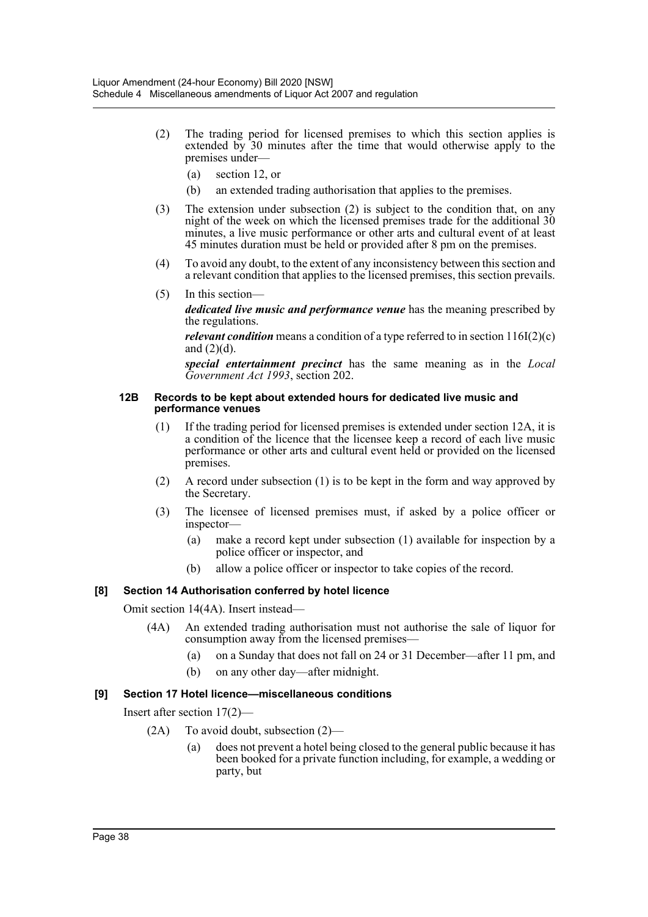- (2) The trading period for licensed premises to which this section applies is extended by 30 minutes after the time that would otherwise apply to the premises under—
	- (a) section 12, or
	- (b) an extended trading authorisation that applies to the premises.
- (3) The extension under subsection (2) is subject to the condition that, on any night of the week on which the licensed premises trade for the additional 30 minutes, a live music performance or other arts and cultural event of at least 45 minutes duration must be held or provided after 8 pm on the premises.
- (4) To avoid any doubt, to the extent of any inconsistency between this section and a relevant condition that applies to the licensed premises, this section prevails.
- (5) In this section *dedicated live music and performance venue* has the meaning prescribed by the regulations.

*relevant condition* means a condition of a type referred to in section  $116I(2)(c)$ and  $(2)(d)$ .

*special entertainment precinct* has the same meaning as in the *Local Government Act 1993*, section 202.

#### **12B Records to be kept about extended hours for dedicated live music and performance venues**

- (1) If the trading period for licensed premises is extended under section 12A, it is a condition of the licence that the licensee keep a record of each live music performance or other arts and cultural event held or provided on the licensed premises.
- (2) A record under subsection (1) is to be kept in the form and way approved by the Secretary.
- (3) The licensee of licensed premises must, if asked by a police officer or inspector—
	- (a) make a record kept under subsection (1) available for inspection by a police officer or inspector, and
	- (b) allow a police officer or inspector to take copies of the record.

#### **[8] Section 14 Authorisation conferred by hotel licence**

Omit section 14(4A). Insert instead—

- (4A) An extended trading authorisation must not authorise the sale of liquor for consumption away from the licensed premises—
	- (a) on a Sunday that does not fall on 24 or 31 December—after 11 pm, and
	- (b) on any other day—after midnight.

#### **[9] Section 17 Hotel licence—miscellaneous conditions**

Insert after section 17(2)—

- (2A) To avoid doubt, subsection (2)—
	- (a) does not prevent a hotel being closed to the general public because it has been booked for a private function including, for example, a wedding or party, but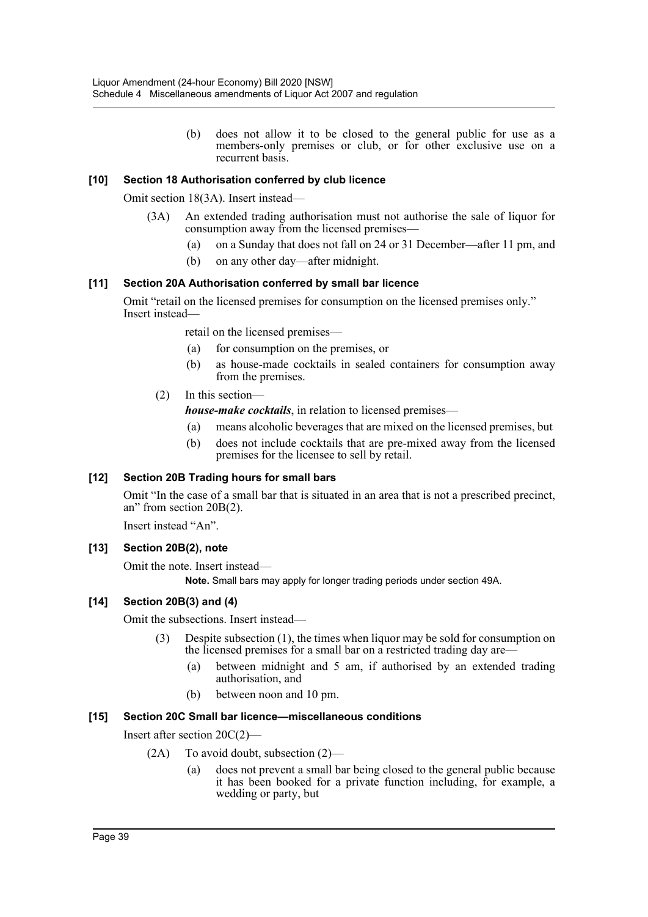(b) does not allow it to be closed to the general public for use as a members-only premises or club, or for other exclusive use on a recurrent basis.

# **[10] Section 18 Authorisation conferred by club licence**

Omit section 18(3A). Insert instead—

- (3A) An extended trading authorisation must not authorise the sale of liquor for consumption away from the licensed premises—
	- (a) on a Sunday that does not fall on 24 or 31 December—after 11 pm, and
	- (b) on any other day—after midnight.

# **[11] Section 20A Authorisation conferred by small bar licence**

Omit "retail on the licensed premises for consumption on the licensed premises only." Insert instead—

retail on the licensed premises—

- (a) for consumption on the premises, or
- (b) as house-made cocktails in sealed containers for consumption away from the premises.
- (2) In this section—

*house-make cocktails*, in relation to licensed premises—

- (a) means alcoholic beverages that are mixed on the licensed premises, but
- (b) does not include cocktails that are pre-mixed away from the licensed premises for the licensee to sell by retail.

# **[12] Section 20B Trading hours for small bars**

Omit "In the case of a small bar that is situated in an area that is not a prescribed precinct, an" from section 20B(2).

Insert instead "An".

# **[13] Section 20B(2), note**

Omit the note. Insert instead—

**Note.** Small bars may apply for longer trading periods under section 49A.

# **[14] Section 20B(3) and (4)**

Omit the subsections. Insert instead—

- (3) Despite subsection (1), the times when liquor may be sold for consumption on the licensed premises for a small bar on a restricted trading day are—
	- (a) between midnight and 5 am, if authorised by an extended trading authorisation, and
	- (b) between noon and 10 pm.

# **[15] Section 20C Small bar licence—miscellaneous conditions**

Insert after section 20C(2)—

- $(2A)$  To avoid doubt, subsection  $(2)$ 
	- (a) does not prevent a small bar being closed to the general public because it has been booked for a private function including, for example, a wedding or party, but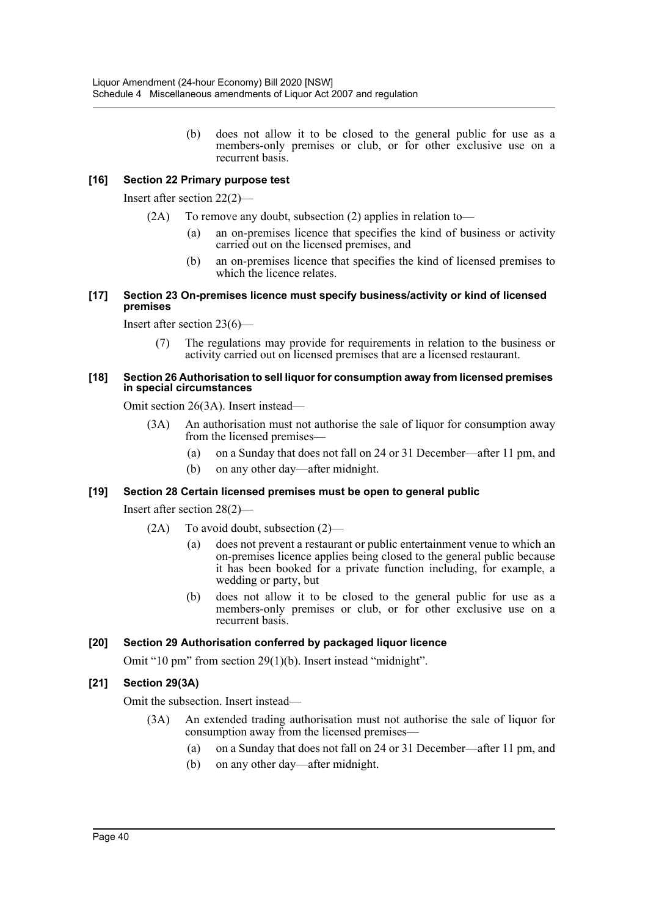(b) does not allow it to be closed to the general public for use as a members-only premises or club, or for other exclusive use on a recurrent basis.

# **[16] Section 22 Primary purpose test**

Insert after section 22(2)—

- (2A) To remove any doubt, subsection (2) applies in relation to—
	- (a) an on-premises licence that specifies the kind of business or activity carried out on the licensed premises, and
	- (b) an on-premises licence that specifies the kind of licensed premises to which the licence relates.

#### **[17] Section 23 On-premises licence must specify business/activity or kind of licensed premises**

Insert after section 23(6)—

(7) The regulations may provide for requirements in relation to the business or activity carried out on licensed premises that are a licensed restaurant.

#### **[18] Section 26 Authorisation to sell liquor for consumption away from licensed premises in special circumstances**

Omit section 26(3A). Insert instead—

- (3A) An authorisation must not authorise the sale of liquor for consumption away from the licensed premises—
	- (a) on a Sunday that does not fall on 24 or 31 December—after 11 pm, and
	- (b) on any other day—after midnight.

#### **[19] Section 28 Certain licensed premises must be open to general public**

Insert after section 28(2)—

- (2A) To avoid doubt, subsection (2)—
	- (a) does not prevent a restaurant or public entertainment venue to which an on-premises licence applies being closed to the general public because it has been booked for a private function including, for example, a wedding or party, but
	- (b) does not allow it to be closed to the general public for use as a members-only premises or club, or for other exclusive use on a recurrent basis.

#### **[20] Section 29 Authorisation conferred by packaged liquor licence**

Omit "10 pm" from section 29(1)(b). Insert instead "midnight".

# **[21] Section 29(3A)**

Omit the subsection. Insert instead—

- (3A) An extended trading authorisation must not authorise the sale of liquor for consumption away from the licensed premises—
	- (a) on a Sunday that does not fall on 24 or 31 December—after 11 pm, and
	- (b) on any other day—after midnight.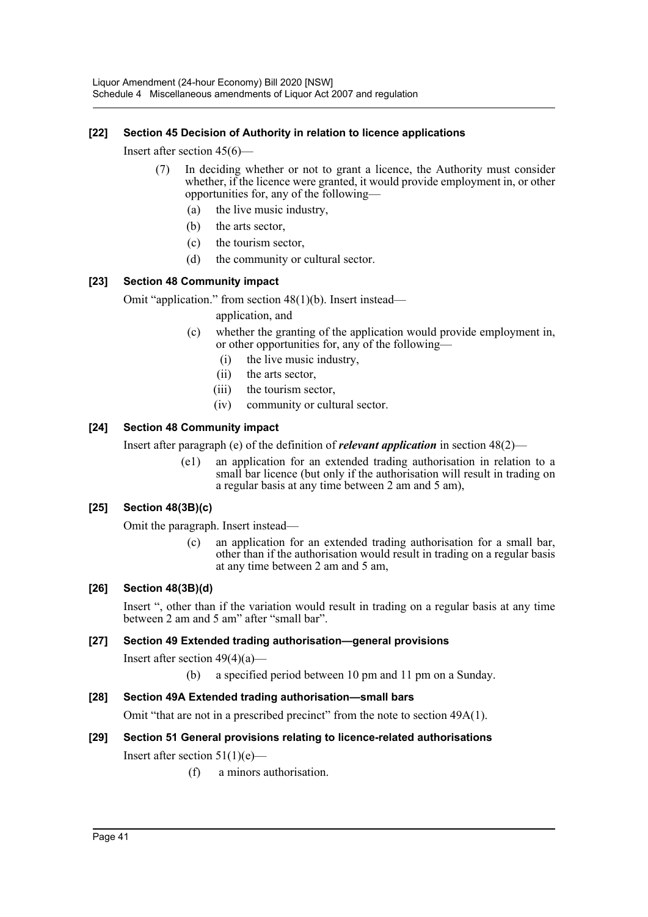# **[22] Section 45 Decision of Authority in relation to licence applications**

Insert after section 45(6)—

- (7) In deciding whether or not to grant a licence, the Authority must consider whether, if the licence were granted, it would provide employment in, or other opportunities for, any of the following—
	- (a) the live music industry,
	- (b) the arts sector,
	- (c) the tourism sector,
	- (d) the community or cultural sector.

#### **[23] Section 48 Community impact**

Omit "application." from section 48(1)(b). Insert instead—

application, and

- (c) whether the granting of the application would provide employment in, or other opportunities for, any of the following—
	- (i) the live music industry,
	- (ii) the arts sector,
	- (iii) the tourism sector,
	- (iv) community or cultural sector.

#### **[24] Section 48 Community impact**

Insert after paragraph (e) of the definition of *relevant application* in section 48(2)—

(e1) an application for an extended trading authorisation in relation to a small bar licence (but only if the authorisation will result in trading on a regular basis at any time between 2 am and 5 am),

# **[25] Section 48(3B)(c)**

Omit the paragraph. Insert instead—

(c) an application for an extended trading authorisation for a small bar, other than if the authorisation would result in trading on a regular basis at any time between 2 am and 5 am,

#### **[26] Section 48(3B)(d)**

Insert ", other than if the variation would result in trading on a regular basis at any time between 2 am and 5 am" after "small bar".

#### **[27] Section 49 Extended trading authorisation—general provisions**

Insert after section  $49(4)(a)$ —

(b) a specified period between 10 pm and 11 pm on a Sunday.

# **[28] Section 49A Extended trading authorisation—small bars**

Omit "that are not in a prescribed precinct" from the note to section 49A(1).

# **[29] Section 51 General provisions relating to licence-related authorisations**

Insert after section  $51(1)(e)$ —

(f) a minors authorisation.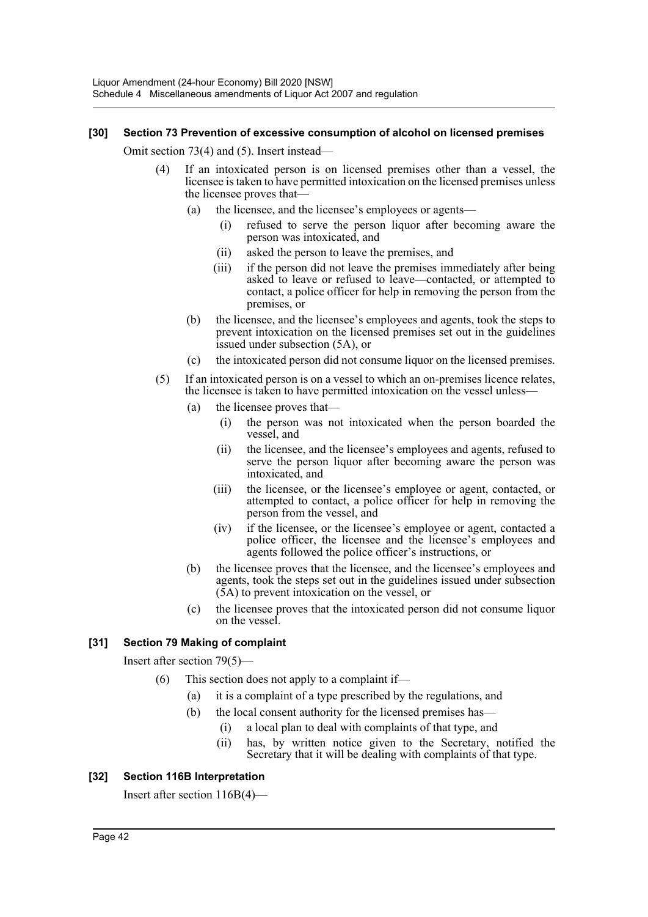#### **[30] Section 73 Prevention of excessive consumption of alcohol on licensed premises**

Omit section 73(4) and (5). Insert instead—

- (4) If an intoxicated person is on licensed premises other than a vessel, the licensee is taken to have permitted intoxication on the licensed premises unless the licensee proves that-
	- (a) the licensee, and the licensee's employees or agents—
		- (i) refused to serve the person liquor after becoming aware the person was intoxicated, and
		- (ii) asked the person to leave the premises, and
		- (iii) if the person did not leave the premises immediately after being asked to leave or refused to leave—contacted, or attempted to contact, a police officer for help in removing the person from the premises, or
	- (b) the licensee, and the licensee's employees and agents, took the steps to prevent intoxication on the licensed premises set out in the guidelines issued under subsection (5A), or
	- (c) the intoxicated person did not consume liquor on the licensed premises.
- (5) If an intoxicated person is on a vessel to which an on-premises licence relates, the licensee is taken to have permitted intoxication on the vessel unless—
	- (a) the licensee proves that—
		- (i) the person was not intoxicated when the person boarded the vessel, and
		- (ii) the licensee, and the licensee's employees and agents, refused to serve the person liquor after becoming aware the person was intoxicated, and
		- (iii) the licensee, or the licensee's employee or agent, contacted, or attempted to contact, a police officer for help in removing the person from the vessel, and
		- (iv) if the licensee, or the licensee's employee or agent, contacted a police officer, the licensee and the licensee's employees and agents followed the police officer's instructions, or
	- (b) the licensee proves that the licensee, and the licensee's employees and agents, took the steps set out in the guidelines issued under subsection (5A) to prevent intoxication on the vessel, or
	- (c) the licensee proves that the intoxicated person did not consume liquor on the vessel.

# **[31] Section 79 Making of complaint**

Insert after section 79(5)—

- (6) This section does not apply to a complaint if—
	- (a) it is a complaint of a type prescribed by the regulations, and
	- (b) the local consent authority for the licensed premises has—
		- (i) a local plan to deal with complaints of that type, and
		- (ii) has, by written notice given to the Secretary, notified the Secretary that it will be dealing with complaints of that type.

# **[32] Section 116B Interpretation**

Insert after section 116B(4)—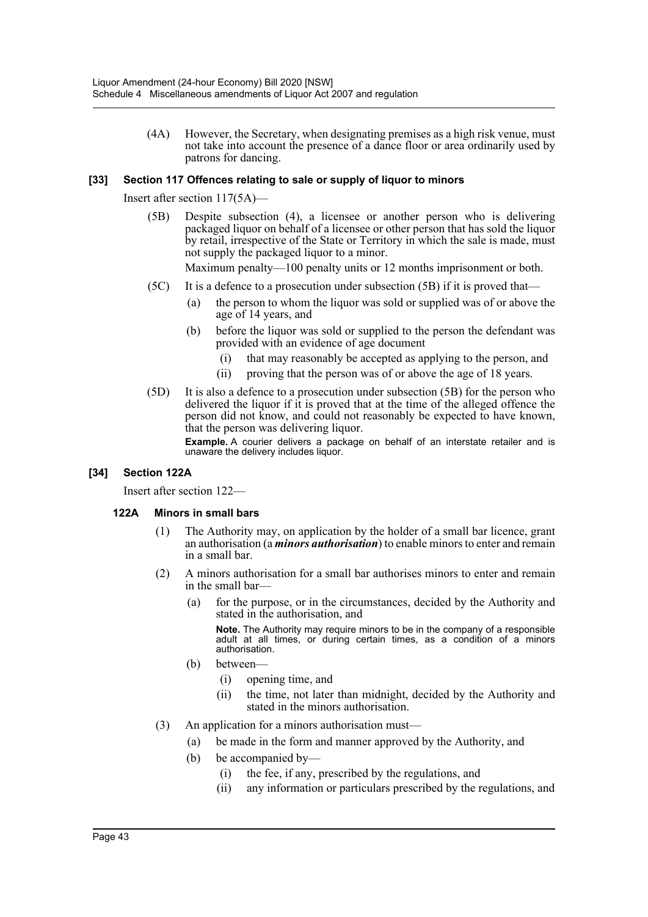(4A) However, the Secretary, when designating premises as a high risk venue, must not take into account the presence of a dance floor or area ordinarily used by patrons for dancing.

#### **[33] Section 117 Offences relating to sale or supply of liquor to minors**

Insert after section 117(5A)—

(5B) Despite subsection (4), a licensee or another person who is delivering packaged liquor on behalf of a licensee or other person that has sold the liquor by retail, irrespective of the State or Territory in which the sale is made, must not supply the packaged liquor to a minor.

Maximum penalty—100 penalty units or 12 months imprisonment or both.

- (5C) It is a defence to a prosecution under subsection (5B) if it is proved that—
	- (a) the person to whom the liquor was sold or supplied was of or above the age of 14 years, and
	- (b) before the liquor was sold or supplied to the person the defendant was provided with an evidence of age document
		- (i) that may reasonably be accepted as applying to the person, and
		- (ii) proving that the person was of or above the age of 18 years.
- (5D) It is also a defence to a prosecution under subsection (5B) for the person who delivered the liquor if it is proved that at the time of the alleged offence the person did not know, and could not reasonably be expected to have known, that the person was delivering liquor.

**Example.** A courier delivers a package on behalf of an interstate retailer and is unaware the delivery includes liquor.

#### **[34] Section 122A**

Insert after section 122—

#### **122A Minors in small bars**

- (1) The Authority may, on application by the holder of a small bar licence, grant an authorisation (a *minors authorisation*) to enable minors to enter and remain in a small bar.
- (2) A minors authorisation for a small bar authorises minors to enter and remain in the small bar-
	- (a) for the purpose, or in the circumstances, decided by the Authority and stated in the authorisation, and

**Note.** The Authority may require minors to be in the company of a responsible adult at all times, or during certain times, as a condition of a minors authorisation.

- (b) between—
	- (i) opening time, and
	- (ii) the time, not later than midnight, decided by the Authority and stated in the minors authorisation.
- (3) An application for a minors authorisation must—
	- (a) be made in the form and manner approved by the Authority, and
	- (b) be accompanied by—
		- (i) the fee, if any, prescribed by the regulations, and
		- (ii) any information or particulars prescribed by the regulations, and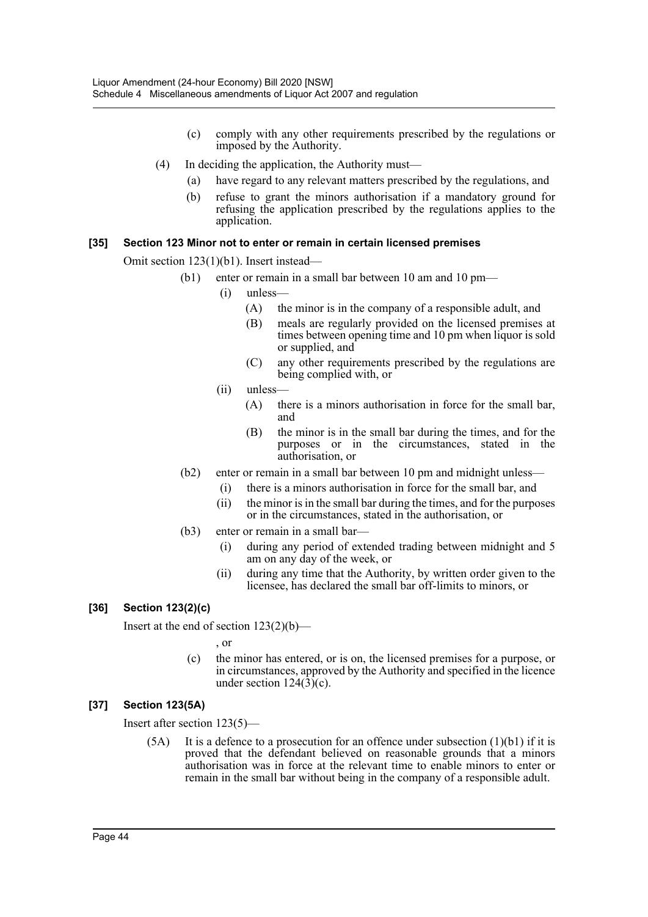- (c) comply with any other requirements prescribed by the regulations or imposed by the Authority.
- (4) In deciding the application, the Authority must—
	- (a) have regard to any relevant matters prescribed by the regulations, and
	- (b) refuse to grant the minors authorisation if a mandatory ground for refusing the application prescribed by the regulations applies to the application.

#### **[35] Section 123 Minor not to enter or remain in certain licensed premises**

Omit section 123(1)(b1). Insert instead—

- (b1) enter or remain in a small bar between 10 am and 10 pm—
	- (i) unless—
		- (A) the minor is in the company of a responsible adult, and
		- (B) meals are regularly provided on the licensed premises at times between opening time and 10 pm when liquor is sold or supplied, and
		- (C) any other requirements prescribed by the regulations are being complied with, or
	- $(ii)$  unless-
		- (A) there is a minors authorisation in force for the small bar, and
		- (B) the minor is in the small bar during the times, and for the purposes or in the circumstances, stated in the authorisation, or
- (b2) enter or remain in a small bar between 10 pm and midnight unless—
	- (i) there is a minors authorisation in force for the small bar, and
	- (ii) the minor is in the small bar during the times, and for the purposes or in the circumstances, stated in the authorisation, or
- (b3) enter or remain in a small bar—
	- (i) during any period of extended trading between midnight and 5 am on any day of the week, or
	- (ii) during any time that the Authority, by written order given to the licensee, has declared the small bar off-limits to minors, or

# **[36] Section 123(2)(c)**

Insert at the end of section  $123(2)(b)$ —

, or

(c) the minor has entered, or is on, the licensed premises for a purpose, or in circumstances, approved by the Authority and specified in the licence under section  $124(3)(c)$ .

# **[37] Section 123(5A)**

Insert after section 123(5)—

 $(5A)$  It is a defence to a prosecution for an offence under subsection  $(1)(b1)$  if it is proved that the defendant believed on reasonable grounds that a minors authorisation was in force at the relevant time to enable minors to enter or remain in the small bar without being in the company of a responsible adult.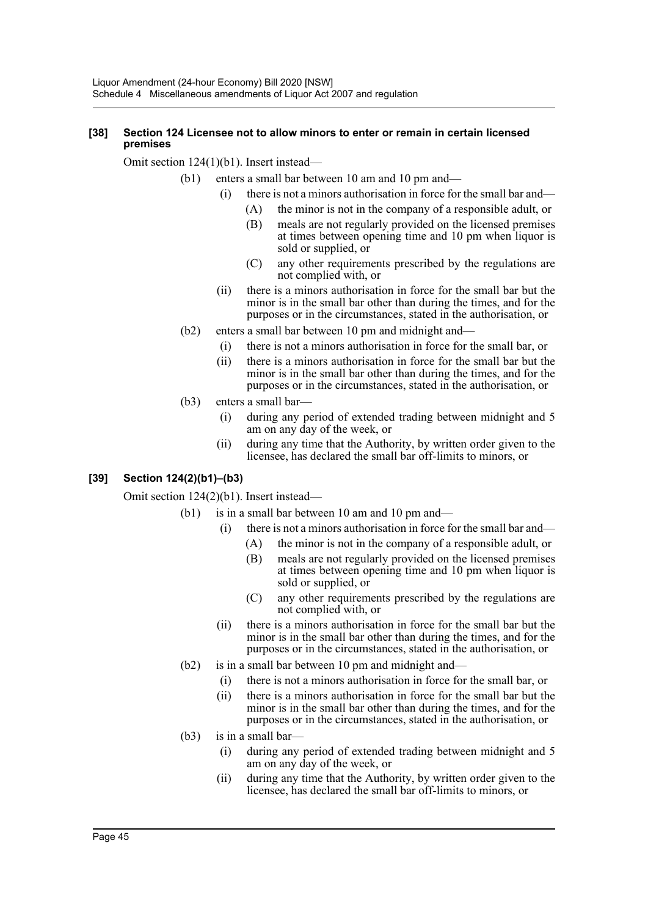#### **[38] Section 124 Licensee not to allow minors to enter or remain in certain licensed premises**

Omit section 124(1)(b1). Insert instead—

- (b1) enters a small bar between 10 am and 10 pm and—
	- (i) there is not a minors authorisation in force for the small bar and—
		- (A) the minor is not in the company of a responsible adult, or
			- (B) meals are not regularly provided on the licensed premises at times between opening time and 10 pm when liquor is sold or supplied, or
			- (C) any other requirements prescribed by the regulations are not complied with, or
	- (ii) there is a minors authorisation in force for the small bar but the minor is in the small bar other than during the times, and for the purposes or in the circumstances, stated in the authorisation, or
	- (b2) enters a small bar between 10 pm and midnight and—
		- (i) there is not a minors authorisation in force for the small bar, or
		- (ii) there is a minors authorisation in force for the small bar but the minor is in the small bar other than during the times, and for the purposes or in the circumstances, stated in the authorisation, or
	- (b3) enters a small bar—
		- (i) during any period of extended trading between midnight and 5 am on any day of the week, or
		- (ii) during any time that the Authority, by written order given to the licensee, has declared the small bar off-limits to minors, or

# **[39] Section 124(2)(b1)–(b3)**

Omit section 124(2)(b1). Insert instead—

- $(b1)$  is in a small bar between 10 am and 10 pm and—
	- (i) there is not a minors authorisation in force for the small bar and—
		- (A) the minor is not in the company of a responsible adult, or
			- (B) meals are not regularly provided on the licensed premises at times between opening time and 10 pm when liquor is sold or supplied, or
			- (C) any other requirements prescribed by the regulations are not complied with, or
	- (ii) there is a minors authorisation in force for the small bar but the minor is in the small bar other than during the times, and for the purposes or in the circumstances, stated in the authorisation, or
- (b2) is in a small bar between 10 pm and midnight and—
	- (i) there is not a minors authorisation in force for the small bar, or
	- (ii) there is a minors authorisation in force for the small bar but the minor is in the small bar other than during the times, and for the purposes or in the circumstances, stated in the authorisation, or
- (b3) is in a small bar—
	- (i) during any period of extended trading between midnight and 5 am on any day of the week, or
	- (ii) during any time that the Authority, by written order given to the licensee, has declared the small bar off-limits to minors, or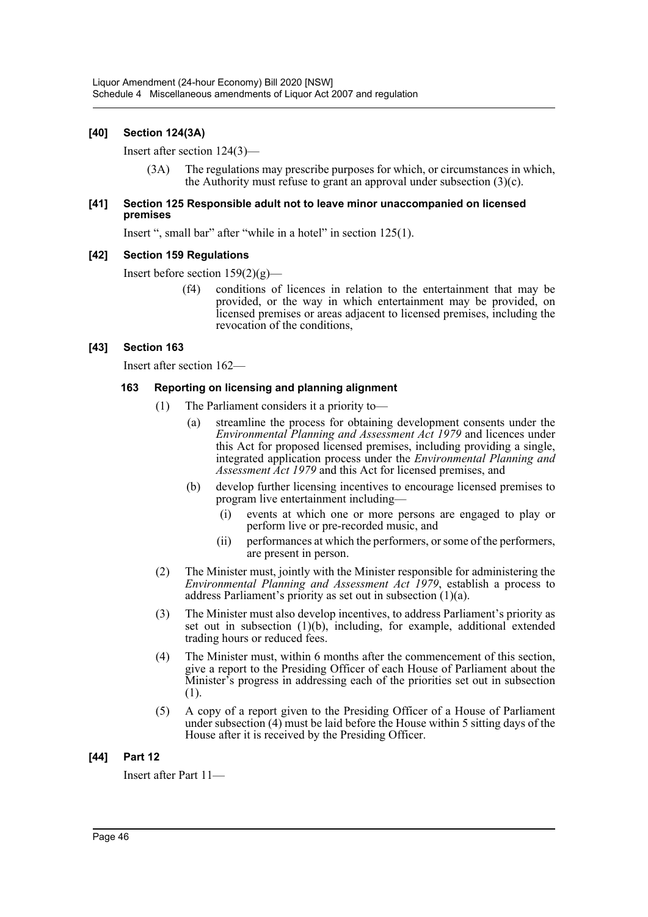## **[40] Section 124(3A)**

Insert after section 124(3)—

(3A) The regulations may prescribe purposes for which, or circumstances in which, the Authority must refuse to grant an approval under subsection  $(3)(c)$ .

#### **[41] Section 125 Responsible adult not to leave minor unaccompanied on licensed premises**

Insert ", small bar" after "while in a hotel" in section 125(1).

#### **[42] Section 159 Regulations**

Insert before section 159(2)(g)—

(f4) conditions of licences in relation to the entertainment that may be provided, or the way in which entertainment may be provided, on licensed premises or areas adjacent to licensed premises, including the revocation of the conditions,

#### **[43] Section 163**

Insert after section 162—

#### **163 Reporting on licensing and planning alignment**

- (1) The Parliament considers it a priority to—
	- (a) streamline the process for obtaining development consents under the *Environmental Planning and Assessment Act 1979* and licences under this Act for proposed licensed premises, including providing a single, integrated application process under the *Environmental Planning and Assessment Act 1979* and this Act for licensed premises, and
	- (b) develop further licensing incentives to encourage licensed premises to program live entertainment including—
		- (i) events at which one or more persons are engaged to play or perform live or pre-recorded music, and
		- (ii) performances at which the performers, or some of the performers, are present in person.
- (2) The Minister must, jointly with the Minister responsible for administering the *Environmental Planning and Assessment Act 1979*, establish a process to address Parliament's priority as set out in subsection (1)(a).
- (3) The Minister must also develop incentives, to address Parliament's priority as set out in subsection  $(1)(b)$ , including, for example, additional extended trading hours or reduced fees.
- (4) The Minister must, within 6 months after the commencement of this section, give a report to the Presiding Officer of each House of Parliament about the Minister's progress in addressing each of the priorities set out in subsection (1).
- (5) A copy of a report given to the Presiding Officer of a House of Parliament under subsection (4) must be laid before the House within 5 sitting days of the House after it is received by the Presiding Officer.

# **[44] Part 12**

Insert after Part 11—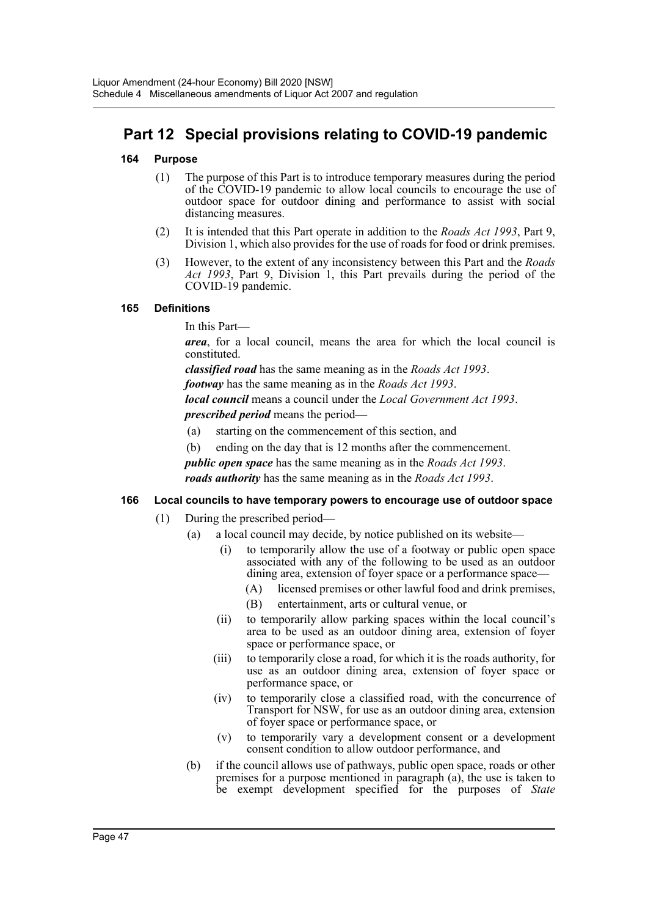# **Part 12 Special provisions relating to COVID-19 pandemic**

#### **164 Purpose**

- (1) The purpose of this Part is to introduce temporary measures during the period of the COVID-19 pandemic to allow local councils to encourage the use of outdoor space for outdoor dining and performance to assist with social distancing measures.
- (2) It is intended that this Part operate in addition to the *Roads Act 1993*, Part 9, Division 1, which also provides for the use of roads for food or drink premises.
- (3) However, to the extent of any inconsistency between this Part and the *Roads Act 1993*, Part 9, Division 1, this Part prevails during the period of the COVID-19 pandemic.

#### **165 Definitions**

In this Part—

*area*, for a local council, means the area for which the local council is constituted.

*classified road* has the same meaning as in the *Roads Act 1993*.

*footway* has the same meaning as in the *Roads Act 1993*.

*local council* means a council under the *Local Government Act 1993*.

*prescribed period* means the period—

- (a) starting on the commencement of this section, and
- (b) ending on the day that is 12 months after the commencement.
- *public open space* has the same meaning as in the *Roads Act 1993*.

*roads authority* has the same meaning as in the *Roads Act 1993*.

#### **166 Local councils to have temporary powers to encourage use of outdoor space**

- (1) During the prescribed period—
	- (a) a local council may decide, by notice published on its website—
		- (i) to temporarily allow the use of a footway or public open space associated with any of the following to be used as an outdoor dining area, extension of foyer space or a performance space-
			- (A) licensed premises or other lawful food and drink premises,
			- (B) entertainment, arts or cultural venue, or
		- (ii) to temporarily allow parking spaces within the local council's area to be used as an outdoor dining area, extension of foyer space or performance space, or
		- (iii) to temporarily close a road, for which it is the roads authority, for use as an outdoor dining area, extension of foyer space or performance space, or
		- (iv) to temporarily close a classified road, with the concurrence of Transport for NSW, for use as an outdoor dining area, extension of foyer space or performance space, or
		- (v) to temporarily vary a development consent or a development consent condition to allow outdoor performance, and
	- (b) if the council allows use of pathways, public open space, roads or other premises for a purpose mentioned in paragraph (a), the use is taken to be exempt development specified for the purposes of *State*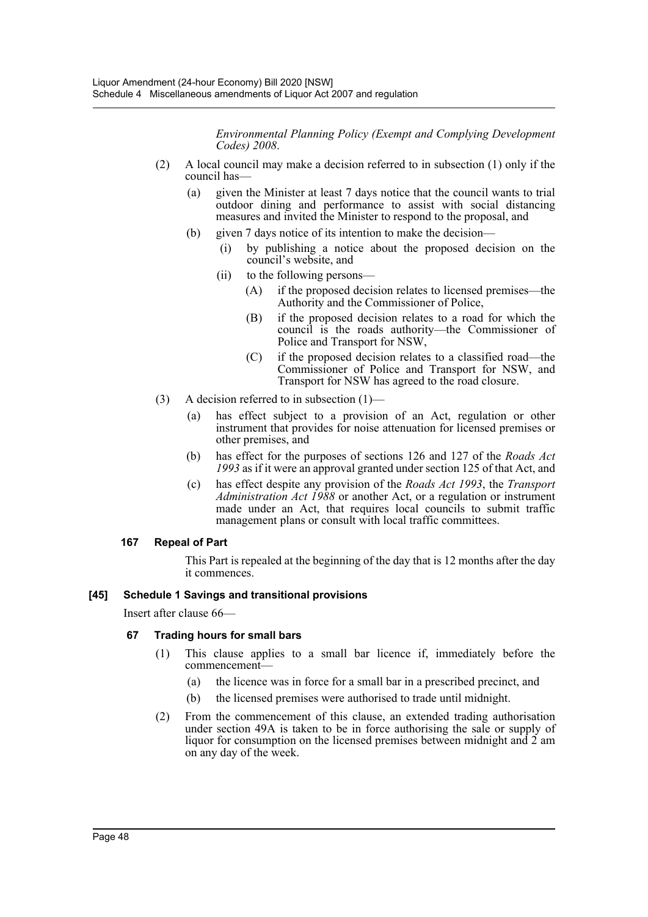*Environmental Planning Policy (Exempt and Complying Development Codes) 2008*.

- (2) A local council may make a decision referred to in subsection (1) only if the council has—
	- (a) given the Minister at least 7 days notice that the council wants to trial outdoor dining and performance to assist with social distancing measures and invited the Minister to respond to the proposal, and
	- (b) given 7 days notice of its intention to make the decision—
		- (i) by publishing a notice about the proposed decision on the council's website, and
		- (ii) to the following persons—
			- (A) if the proposed decision relates to licensed premises—the Authority and the Commissioner of Police,
			- (B) if the proposed decision relates to a road for which the council is the roads authority—the Commissioner of Police and Transport for NSW,
			- (C) if the proposed decision relates to a classified road—the Commissioner of Police and Transport for NSW, and Transport for NSW has agreed to the road closure.
- (3) A decision referred to in subsection  $(1)$ 
	- (a) has effect subject to a provision of an Act, regulation or other instrument that provides for noise attenuation for licensed premises or other premises, and
	- (b) has effect for the purposes of sections 126 and 127 of the *Roads Act 1993* as if it were an approval granted under section 125 of that Act, and
	- (c) has effect despite any provision of the *Roads Act 1993*, the *Transport Administration Act 1988* or another Act, or a regulation or instrument made under an Act, that requires local councils to submit traffic management plans or consult with local traffic committees.

#### **167 Repeal of Part**

This Part is repealed at the beginning of the day that is 12 months after the day it commences.

#### **[45] Schedule 1 Savings and transitional provisions**

Insert after clause 66—

#### **67 Trading hours for small bars**

- (1) This clause applies to a small bar licence if, immediately before the commencement—
	- (a) the licence was in force for a small bar in a prescribed precinct, and
	- (b) the licensed premises were authorised to trade until midnight.
- (2) From the commencement of this clause, an extended trading authorisation under section 49A is taken to be in force authorising the sale or supply of liquor for consumption on the licensed premises between midnight and 2 am on any day of the week.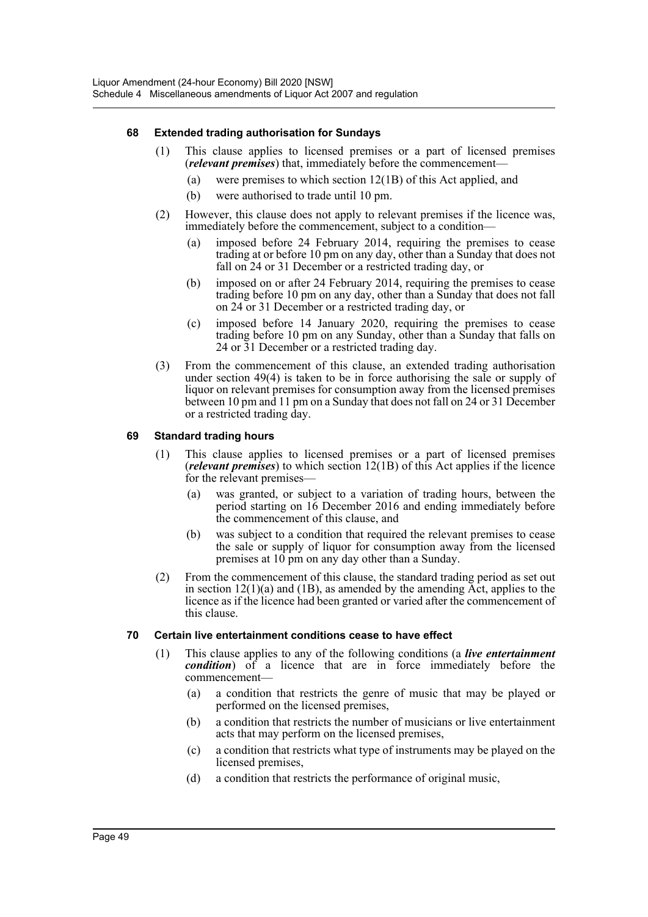#### **68 Extended trading authorisation for Sundays**

- (1) This clause applies to licensed premises or a part of licensed premises (*relevant premises*) that, immediately before the commencement—
	- (a) were premises to which section 12(1B) of this Act applied, and
	- (b) were authorised to trade until 10 pm.
- (2) However, this clause does not apply to relevant premises if the licence was, immediately before the commencement, subject to a condition—
	- (a) imposed before 24 February 2014, requiring the premises to cease trading at or before 10 pm on any day, other than a Sunday that does not fall on 24 or 31 December or a restricted trading day, or
	- (b) imposed on or after 24 February 2014, requiring the premises to cease trading before 10 pm on any day, other than a Sunday that does not fall on 24 or 31 December or a restricted trading day, or
	- (c) imposed before 14 January 2020, requiring the premises to cease trading before 10 pm on any Sunday, other than a Sunday that falls on 24 or 31 December or a restricted trading day.
- (3) From the commencement of this clause, an extended trading authorisation under section 49(4) is taken to be in force authorising the sale or supply of liquor on relevant premises for consumption away from the licensed premises between 10 pm and 11 pm on a Sunday that does not fall on 24 or 31 December or a restricted trading day.

#### **69 Standard trading hours**

- (1) This clause applies to licensed premises or a part of licensed premises (*relevant premises*) to which section 12(1B) of this Act applies if the licence for the relevant premises—
	- (a) was granted, or subject to a variation of trading hours, between the period starting on 16 December 2016 and ending immediately before the commencement of this clause, and
	- (b) was subject to a condition that required the relevant premises to cease the sale or supply of liquor for consumption away from the licensed premises at 10 pm on any day other than a Sunday.
- (2) From the commencement of this clause, the standard trading period as set out in section  $12(1)(a)$  and  $(1B)$ , as amended by the amending Act, applies to the licence as if the licence had been granted or varied after the commencement of this clause.

#### **70 Certain live entertainment conditions cease to have effect**

- (1) This clause applies to any of the following conditions (a *live entertainment condition*) of a licence that are in force immediately before the commencement—
	- (a) a condition that restricts the genre of music that may be played or performed on the licensed premises,
	- (b) a condition that restricts the number of musicians or live entertainment acts that may perform on the licensed premises,
	- (c) a condition that restricts what type of instruments may be played on the licensed premises,
	- (d) a condition that restricts the performance of original music,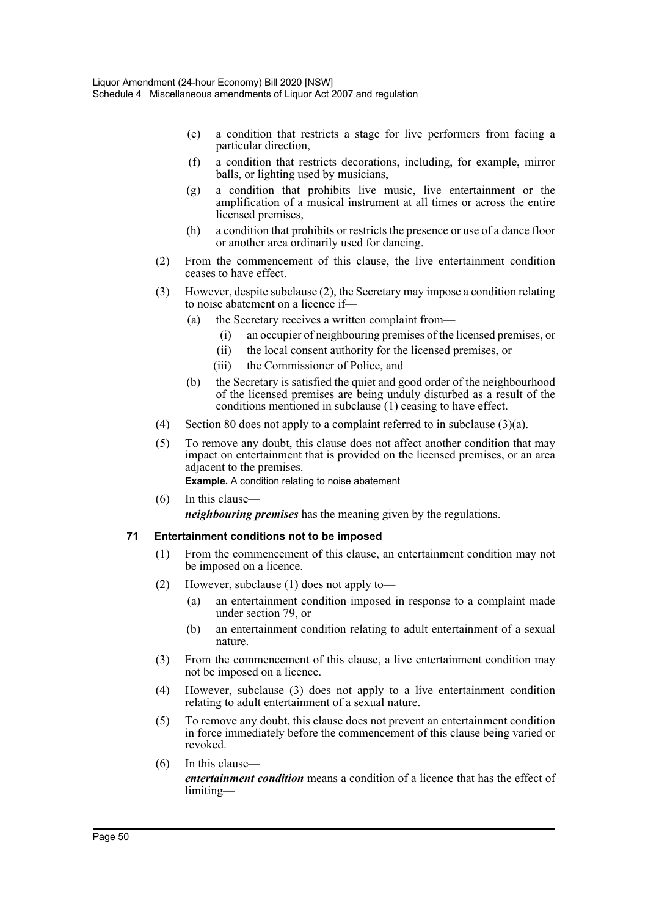- (e) a condition that restricts a stage for live performers from facing a particular direction,
- (f) a condition that restricts decorations, including, for example, mirror balls, or lighting used by musicians,
- (g) a condition that prohibits live music, live entertainment or the amplification of a musical instrument at all times or across the entire licensed premises,
- (h) a condition that prohibits or restricts the presence or use of a dance floor or another area ordinarily used for dancing.
- (2) From the commencement of this clause, the live entertainment condition ceases to have effect.
- (3) However, despite subclause (2), the Secretary may impose a condition relating to noise abatement on a licence if—
	- (a) the Secretary receives a written complaint from—
		- (i) an occupier of neighbouring premises of the licensed premises, or
		- (ii) the local consent authority for the licensed premises, or
		- (iii) the Commissioner of Police, and
	- (b) the Secretary is satisfied the quiet and good order of the neighbourhood of the licensed premises are being unduly disturbed as a result of the conditions mentioned in subclause (1) ceasing to have effect.
- (4) Section 80 does not apply to a complaint referred to in subclause (3)(a).
- (5) To remove any doubt, this clause does not affect another condition that may impact on entertainment that is provided on the licensed premises, or an area adjacent to the premises.

**Example.** A condition relating to noise abatement

(6) In this clause *neighbouring premises* has the meaning given by the regulations.

#### **71 Entertainment conditions not to be imposed**

- (1) From the commencement of this clause, an entertainment condition may not be imposed on a licence.
- (2) However, subclause (1) does not apply to—
	- (a) an entertainment condition imposed in response to a complaint made under section 79, or
	- (b) an entertainment condition relating to adult entertainment of a sexual nature.
- (3) From the commencement of this clause, a live entertainment condition may not be imposed on a licence.
- (4) However, subclause (3) does not apply to a live entertainment condition relating to adult entertainment of a sexual nature.
- (5) To remove any doubt, this clause does not prevent an entertainment condition in force immediately before the commencement of this clause being varied or revoked.
- (6) In this clause *entertainment condition* means a condition of a licence that has the effect of limiting—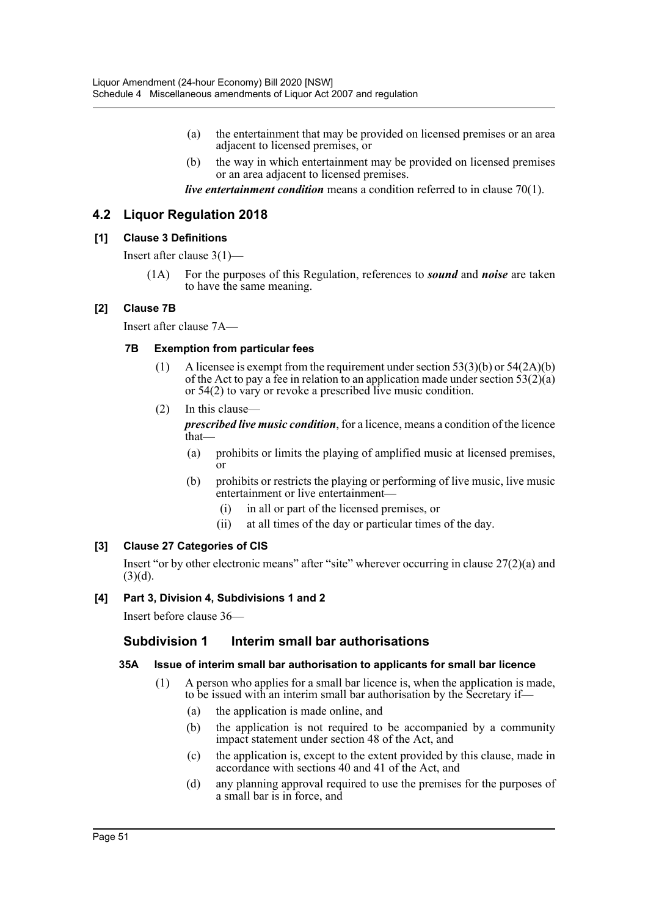- (a) the entertainment that may be provided on licensed premises or an area adjacent to licensed premises, or
- (b) the way in which entertainment may be provided on licensed premises or an area adjacent to licensed premises.

*live entertainment condition* means a condition referred to in clause 70(1).

# **4.2 Liquor Regulation 2018**

#### **[1] Clause 3 Definitions**

Insert after clause 3(1)—

(1A) For the purposes of this Regulation, references to *sound* and *noise* are taken to have the same meaning.

#### **[2] Clause 7B**

Insert after clause 7A—

#### **7B Exemption from particular fees**

- (1) A licensee is exempt from the requirement under section  $53(3)(b)$  or  $54(2A)(b)$ of the Act to pay a fee in relation to an application made under section  $53(2)(a)$ or 54(2) to vary or revoke a prescribed live music condition.
- (2) In this clause—

*prescribed live music condition*, for a licence, means a condition of the licence that—

- (a) prohibits or limits the playing of amplified music at licensed premises, or
- (b) prohibits or restricts the playing or performing of live music, live music entertainment or live entertainment—
	- (i) in all or part of the licensed premises, or
	- (ii) at all times of the day or particular times of the day.

#### **[3] Clause 27 Categories of CIS**

Insert "or by other electronic means" after "site" wherever occurring in clause 27(2)(a) and  $(3)(d)$ .

#### **[4] Part 3, Division 4, Subdivisions 1 and 2**

Insert before clause 36—

#### **Subdivision 1 Interim small bar authorisations**

#### **35A Issue of interim small bar authorisation to applicants for small bar licence**

- (1) A person who applies for a small bar licence is, when the application is made, to be issued with an interim small bar authorisation by the Secretary if—
	- (a) the application is made online, and
	- (b) the application is not required to be accompanied by a community impact statement under section 48 of the Act, and
	- (c) the application is, except to the extent provided by this clause, made in accordance with sections 40 and 41 of the Act, and
	- (d) any planning approval required to use the premises for the purposes of a small bar is in force, and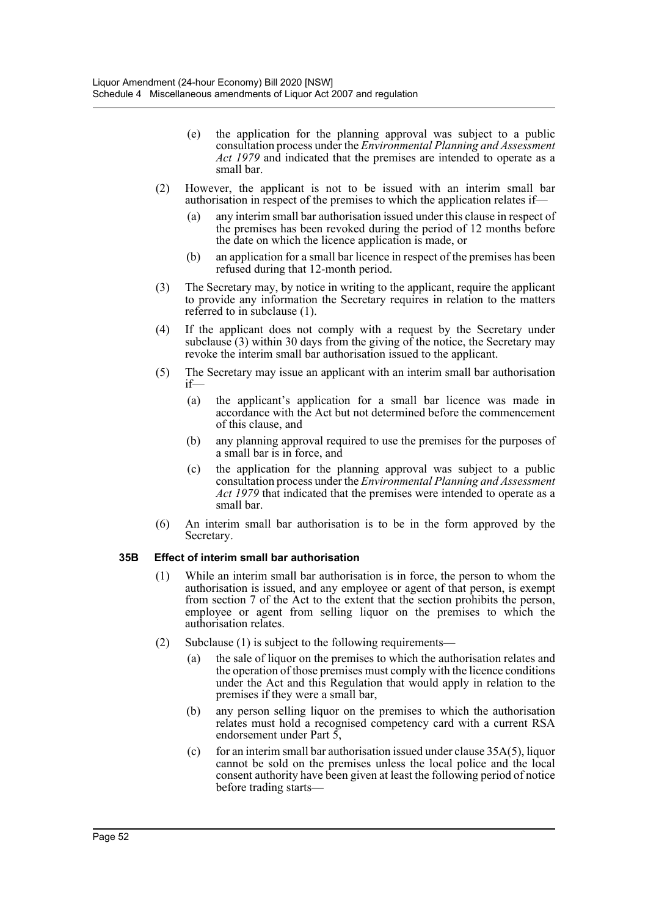- (e) the application for the planning approval was subject to a public consultation process under the *Environmental Planning and Assessment Act 1979* and indicated that the premises are intended to operate as a small bar.
- (2) However, the applicant is not to be issued with an interim small bar authorisation in respect of the premises to which the application relates if—
	- (a) any interim small bar authorisation issued under this clause in respect of the premises has been revoked during the period of 12 months before the date on which the licence application is made, or
	- (b) an application for a small bar licence in respect of the premises has been refused during that 12-month period.
- (3) The Secretary may, by notice in writing to the applicant, require the applicant to provide any information the Secretary requires in relation to the matters referred to in subclause (1).
- (4) If the applicant does not comply with a request by the Secretary under subclause  $(3)$  within 30 days from the giving of the notice, the Secretary may revoke the interim small bar authorisation issued to the applicant.
- (5) The Secretary may issue an applicant with an interim small bar authorisation if—
	- (a) the applicant's application for a small bar licence was made in accordance with the Act but not determined before the commencement of this clause, and
	- (b) any planning approval required to use the premises for the purposes of a small bar is in force, and
	- (c) the application for the planning approval was subject to a public consultation process under the *Environmental Planning and Assessment Act 1979* that indicated that the premises were intended to operate as a small bar.
- (6) An interim small bar authorisation is to be in the form approved by the Secretary.

# **35B Effect of interim small bar authorisation**

- (1) While an interim small bar authorisation is in force, the person to whom the authorisation is issued, and any employee or agent of that person, is exempt from section 7 of the Act to the extent that the section prohibits the person, employee or agent from selling liquor on the premises to which the authorisation relates.
- (2) Subclause (1) is subject to the following requirements—
	- (a) the sale of liquor on the premises to which the authorisation relates and the operation of those premises must comply with the licence conditions under the Act and this Regulation that would apply in relation to the premises if they were a small bar,
	- (b) any person selling liquor on the premises to which the authorisation relates must hold a recognised competency card with a current RSA endorsement under Part 5,
	- (c) for an interim small bar authorisation issued under clause  $35A(5)$ , liquor cannot be sold on the premises unless the local police and the local consent authority have been given at least the following period of notice before trading starts—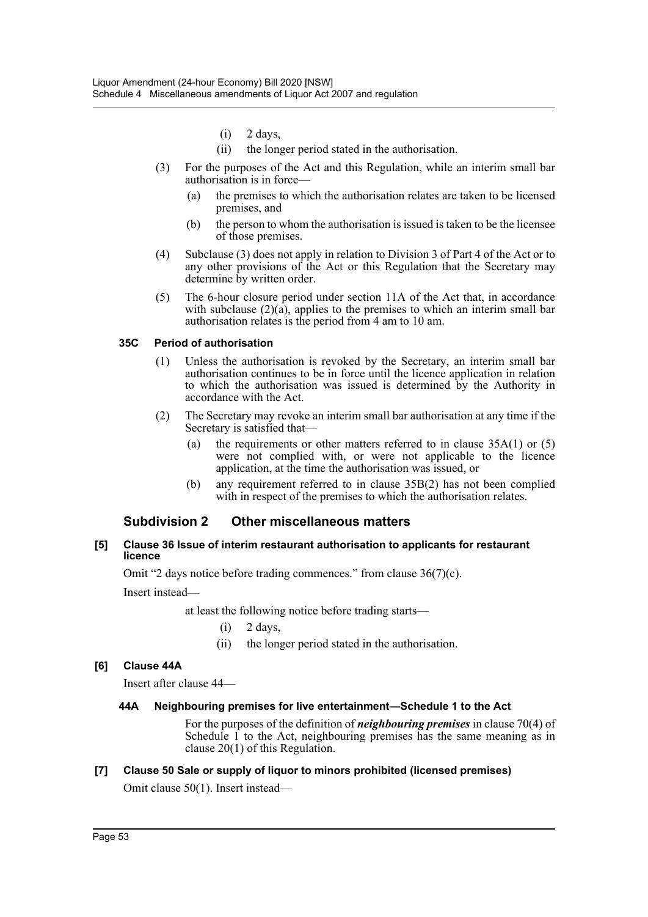- $(i)$  2 days,
- (ii) the longer period stated in the authorisation.
- (3) For the purposes of the Act and this Regulation, while an interim small bar authorisation is in force—
	- (a) the premises to which the authorisation relates are taken to be licensed premises, and
	- (b) the person to whom the authorisation is issued is taken to be the licensee of those premises.
- (4) Subclause (3) does not apply in relation to Division 3 of Part 4 of the Act or to any other provisions of the Act or this Regulation that the Secretary may determine by written order.
- (5) The 6-hour closure period under section 11A of the Act that, in accordance with subclause  $(2)(a)$ , applies to the premises to which an interim small bar authorisation relates is the period from 4 am to 10 am.

#### **35C Period of authorisation**

- (1) Unless the authorisation is revoked by the Secretary, an interim small bar authorisation continues to be in force until the licence application in relation to which the authorisation was issued is determined by the Authority in accordance with the Act.
- (2) The Secretary may revoke an interim small bar authorisation at any time if the Secretary is satisfied that—
	- (a) the requirements or other matters referred to in clause 35A(1) or (5) were not complied with, or were not applicable to the licence application, at the time the authorisation was issued, or
	- (b) any requirement referred to in clause 35B(2) has not been complied with in respect of the premises to which the authorisation relates.

# **Subdivision 2 Other miscellaneous matters**

#### **[5] Clause 36 Issue of interim restaurant authorisation to applicants for restaurant licence**

Omit "2 days notice before trading commences." from clause 36(7)(c).

Insert instead—

at least the following notice before trading starts—

- $(i)$  2 days,
- (ii) the longer period stated in the authorisation.

#### **[6] Clause 44A**

Insert after clause 44—

#### **44A Neighbouring premises for live entertainment—Schedule 1 to the Act**

For the purposes of the definition of *neighbouring premises* in clause 70(4) of Schedule 1 to the Act, neighbouring premises has the same meaning as in clause 20(1) of this Regulation.

#### **[7] Clause 50 Sale or supply of liquor to minors prohibited (licensed premises)**

Omit clause 50(1). Insert instead—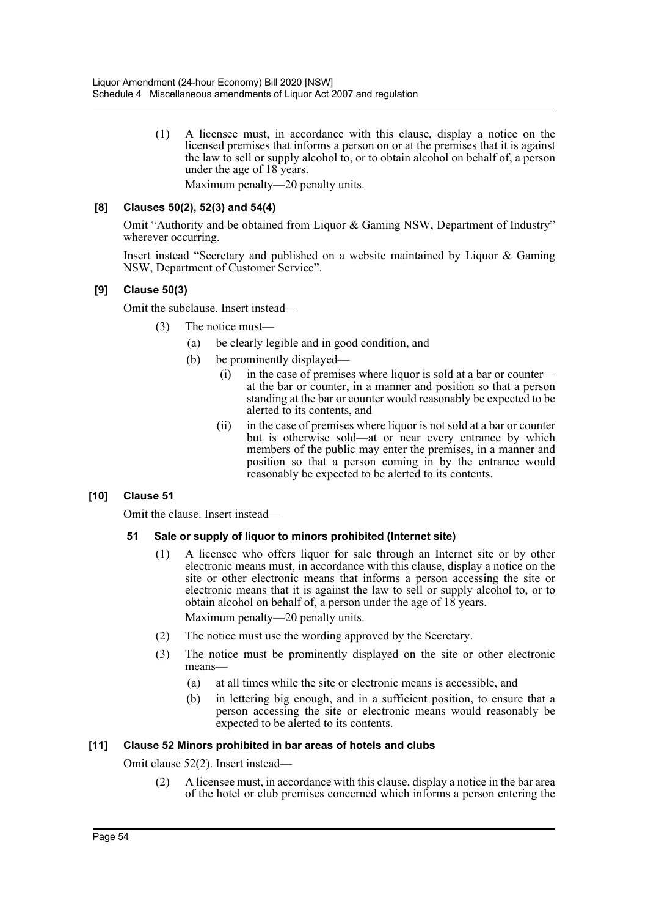(1) A licensee must, in accordance with this clause, display a notice on the licensed premises that informs a person on or at the premises that it is against the law to sell or supply alcohol to, or to obtain alcohol on behalf of, a person under the age of 18 years.

# Maximum penalty—20 penalty units.

#### **[8] Clauses 50(2), 52(3) and 54(4)**

Omit "Authority and be obtained from Liquor & Gaming NSW, Department of Industry" wherever occurring.

Insert instead "Secretary and published on a website maintained by Liquor & Gaming NSW, Department of Customer Service".

#### **[9] Clause 50(3)**

Omit the subclause. Insert instead—

- (3) The notice must—
	- (a) be clearly legible and in good condition, and
	- (b) be prominently displayed—
		- (i) in the case of premises where liquor is sold at a bar or counter at the bar or counter, in a manner and position so that a person standing at the bar or counter would reasonably be expected to be alerted to its contents, and
		- (ii) in the case of premises where liquor is not sold at a bar or counter but is otherwise sold—at or near every entrance by which members of the public may enter the premises, in a manner and position so that a person coming in by the entrance would reasonably be expected to be alerted to its contents.

# **[10] Clause 51**

Omit the clause. Insert instead—

#### **51 Sale or supply of liquor to minors prohibited (Internet site)**

(1) A licensee who offers liquor for sale through an Internet site or by other electronic means must, in accordance with this clause, display a notice on the site or other electronic means that informs a person accessing the site or electronic means that it is against the law to sell or supply alcohol to, or to obtain alcohol on behalf of, a person under the age of  $18$  years.

Maximum penalty—20 penalty units.

- (2) The notice must use the wording approved by the Secretary.
- (3) The notice must be prominently displayed on the site or other electronic means—
	- (a) at all times while the site or electronic means is accessible, and
	- (b) in lettering big enough, and in a sufficient position, to ensure that a person accessing the site or electronic means would reasonably be expected to be alerted to its contents.

#### **[11] Clause 52 Minors prohibited in bar areas of hotels and clubs**

Omit clause 52(2). Insert instead—

(2) A licensee must, in accordance with this clause, display a notice in the bar area of the hotel or club premises concerned which informs a person entering the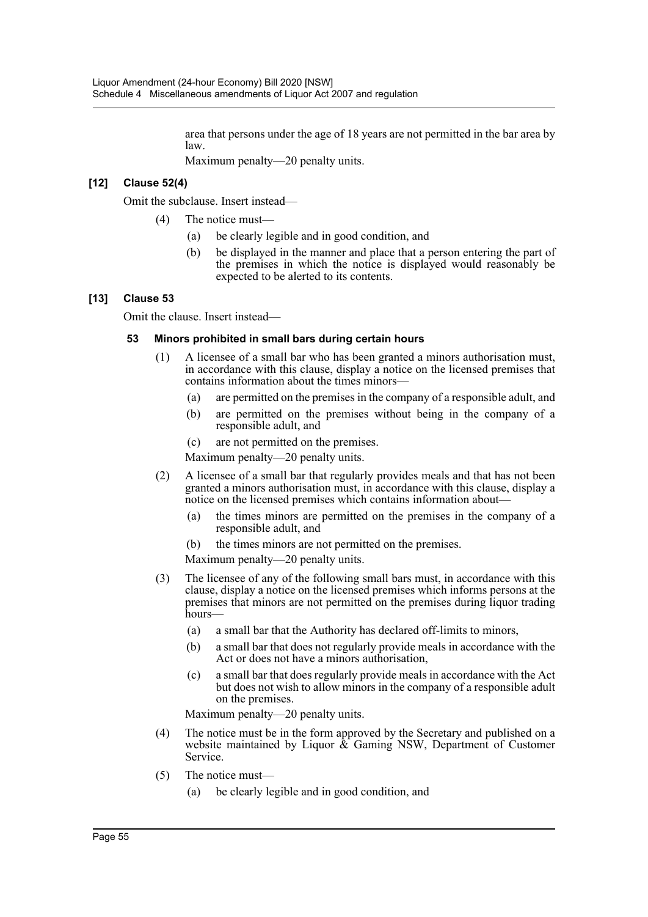area that persons under the age of 18 years are not permitted in the bar area by law.

Maximum penalty—20 penalty units.

# **[12] Clause 52(4)**

Omit the subclause. Insert instead—

- (4) The notice must—
	- (a) be clearly legible and in good condition, and
	- (b) be displayed in the manner and place that a person entering the part of the premises in which the notice is displayed would reasonably be expected to be alerted to its contents.

#### **[13] Clause 53**

Omit the clause. Insert instead—

#### **53 Minors prohibited in small bars during certain hours**

- (1) A licensee of a small bar who has been granted a minors authorisation must, in accordance with this clause, display a notice on the licensed premises that contains information about the times minors—
	- (a) are permitted on the premises in the company of a responsible adult, and
	- (b) are permitted on the premises without being in the company of a responsible adult, and
	- (c) are not permitted on the premises.

Maximum penalty—20 penalty units.

- (2) A licensee of a small bar that regularly provides meals and that has not been granted a minors authorisation must, in accordance with this clause, display a notice on the licensed premises which contains information about—
	- (a) the times minors are permitted on the premises in the company of a responsible adult, and
	- (b) the times minors are not permitted on the premises.

Maximum penalty—20 penalty units.

- (3) The licensee of any of the following small bars must, in accordance with this clause, display a notice on the licensed premises which informs persons at the premises that minors are not permitted on the premises during liquor trading hours—
	- (a) a small bar that the Authority has declared off-limits to minors,
	- (b) a small bar that does not regularly provide meals in accordance with the Act or does not have a minors authorisation,
	- (c) a small bar that does regularly provide meals in accordance with the Act but does not wish to allow minors in the company of a responsible adult on the premises.

Maximum penalty—20 penalty units.

- (4) The notice must be in the form approved by the Secretary and published on a website maintained by Liquor & Gaming NSW, Department of Customer Service.
- (5) The notice must—
	- (a) be clearly legible and in good condition, and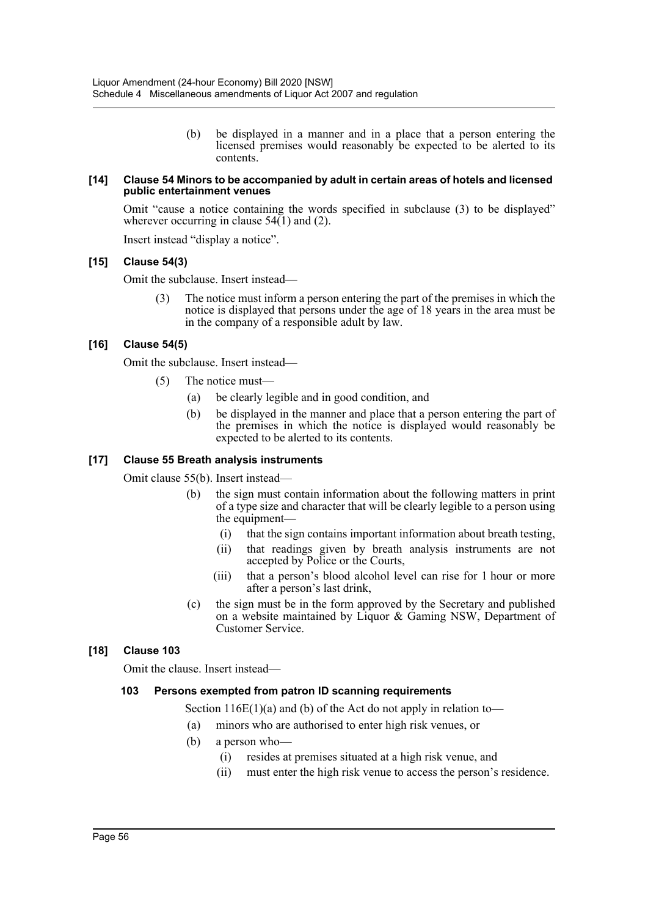(b) be displayed in a manner and in a place that a person entering the licensed premises would reasonably be expected to be alerted to its contents.

#### **[14] Clause 54 Minors to be accompanied by adult in certain areas of hotels and licensed public entertainment venues**

Omit "cause a notice containing the words specified in subclause (3) to be displayed" wherever occurring in clause  $54(1)$  and (2).

Insert instead "display a notice".

#### **[15] Clause 54(3)**

Omit the subclause. Insert instead—

(3) The notice must inform a person entering the part of the premises in which the notice is displayed that persons under the age of 18 years in the area must be in the company of a responsible adult by law.

#### **[16] Clause 54(5)**

Omit the subclause. Insert instead—

- (5) The notice must—
	- (a) be clearly legible and in good condition, and
	- (b) be displayed in the manner and place that a person entering the part of the premises in which the notice is displayed would reasonably be expected to be alerted to its contents.

#### **[17] Clause 55 Breath analysis instruments**

Omit clause 55(b). Insert instead—

- the sign must contain information about the following matters in print of a type size and character that will be clearly legible to a person using the equipment—
	- (i) that the sign contains important information about breath testing,
	- (ii) that readings given by breath analysis instruments are not accepted by Police or the Courts,
	- (iii) that a person's blood alcohol level can rise for 1 hour or more after a person's last drink,
- (c) the sign must be in the form approved by the Secretary and published on a website maintained by Liquor & Gaming NSW, Department of Customer Service.

#### **[18] Clause 103**

Omit the clause. Insert instead—

#### **103 Persons exempted from patron ID scanning requirements**

Section  $116E(1)(a)$  and (b) of the Act do not apply in relation to-

- (a) minors who are authorised to enter high risk venues, or
- (b) a person who—
	- (i) resides at premises situated at a high risk venue, and
	- (ii) must enter the high risk venue to access the person's residence.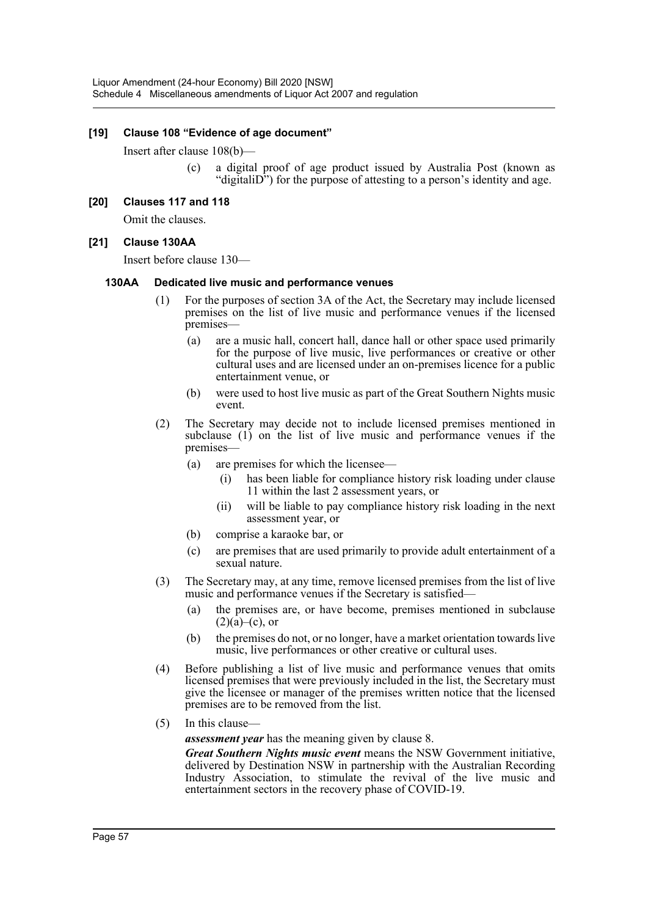#### **[19] Clause 108 "Evidence of age document"**

Insert after clause 108(b)—

(c) a digital proof of age product issued by Australia Post (known as "digitaliD") for the purpose of attesting to a person's identity and age.

#### **[20] Clauses 117 and 118**

Omit the clauses.

#### **[21] Clause 130AA**

Insert before clause 130—

#### **130AA Dedicated live music and performance venues**

- (1) For the purposes of section 3A of the Act, the Secretary may include licensed premises on the list of live music and performance venues if the licensed premises—
	- (a) are a music hall, concert hall, dance hall or other space used primarily for the purpose of live music, live performances or creative or other cultural uses and are licensed under an on-premises licence for a public entertainment venue, or
	- (b) were used to host live music as part of the Great Southern Nights music event.
- (2) The Secretary may decide not to include licensed premises mentioned in subclause (1) on the list of live music and performance venues if the premises—
	- (a) are premises for which the licensee—
		- (i) has been liable for compliance history risk loading under clause 11 within the last 2 assessment years, or
		- (ii) will be liable to pay compliance history risk loading in the next assessment year, or
	- (b) comprise a karaoke bar, or
	- (c) are premises that are used primarily to provide adult entertainment of a sexual nature.
- (3) The Secretary may, at any time, remove licensed premises from the list of live music and performance venues if the Secretary is satisfied—
	- (a) the premises are, or have become, premises mentioned in subclause  $(2)(a)$ –(c), or
	- (b) the premises do not, or no longer, have a market orientation towards live music, live performances or other creative or cultural uses.
- (4) Before publishing a list of live music and performance venues that omits licensed premises that were previously included in the list, the Secretary must give the licensee or manager of the premises written notice that the licensed premises are to be removed from the list.
- (5) In this clause—

*assessment year* has the meaning given by clause 8.

*Great Southern Nights music event* means the NSW Government initiative, delivered by Destination NSW in partnership with the Australian Recording Industry Association, to stimulate the revival of the live music and entertainment sectors in the recovery phase of COVID-19.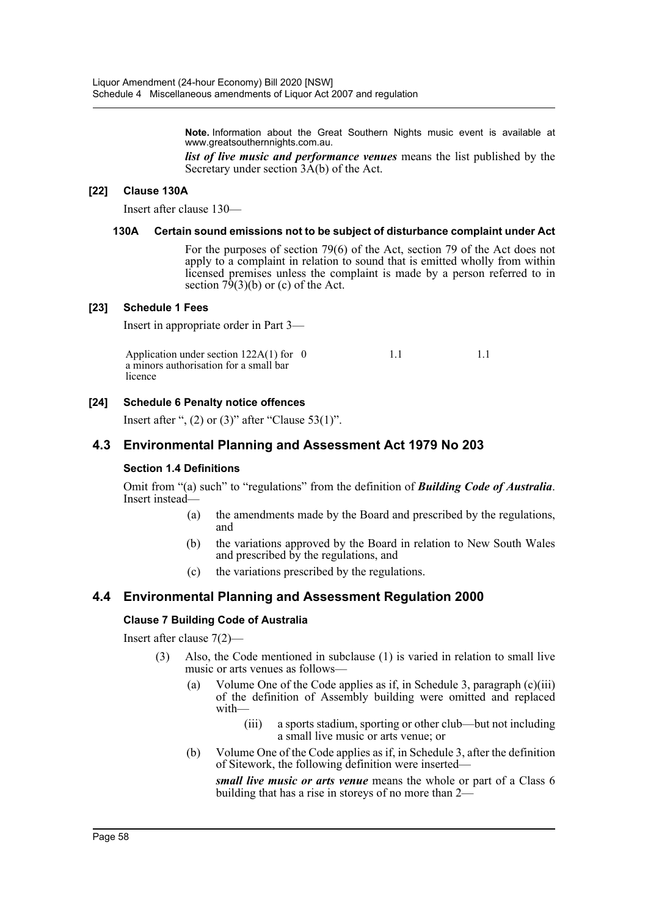**Note.** Information about the Great Southern Nights music event is available at www.greatsouthernnights.com.au.

*list of live music and performance venues* means the list published by the Secretary under section 3A(b) of the Act.

#### **[22] Clause 130A**

Insert after clause 130—

#### **130A Certain sound emissions not to be subject of disturbance complaint under Act**

For the purposes of section 79(6) of the Act, section 79 of the Act does not apply to a complaint in relation to sound that is emitted wholly from within licensed premises unless the complaint is made by a person referred to in section  $7\frac{9}{3}$ (b) or (c) of the Act.

#### **[23] Schedule 1 Fees**

Insert in appropriate order in Part 3—

| Application under section $122A(1)$ for 0 |  |  |
|-------------------------------------------|--|--|
| a minors authorisation for a small bar    |  |  |
| licence                                   |  |  |

#### **[24] Schedule 6 Penalty notice offences**

Insert after ",  $(2)$  or  $(3)$ " after "Clause 53 $(1)$ ".

#### **4.3 Environmental Planning and Assessment Act 1979 No 203**

#### **Section 1.4 Definitions**

Omit from "(a) such" to "regulations" from the definition of **Building Code of Australia**. Insert instead—

- (a) the amendments made by the Board and prescribed by the regulations, and
- (b) the variations approved by the Board in relation to New South Wales and prescribed by the regulations, and
- (c) the variations prescribed by the regulations.

# **4.4 Environmental Planning and Assessment Regulation 2000**

#### **Clause 7 Building Code of Australia**

Insert after clause 7(2)—

- (3) Also, the Code mentioned in subclause (1) is varied in relation to small live music or arts venues as follows—
	- (a) Volume One of the Code applies as if, in Schedule 3, paragraph (c)(iii) of the definition of Assembly building were omitted and replaced with—
		- (iii) a sports stadium, sporting or other club—but not including a small live music or arts venue; or
	- (b) Volume One of the Code applies as if, in Schedule 3, after the definition of Sitework, the following definition were inserted—

*small live music or arts venue* means the whole or part of a Class 6 building that has a rise in storeys of no more than 2—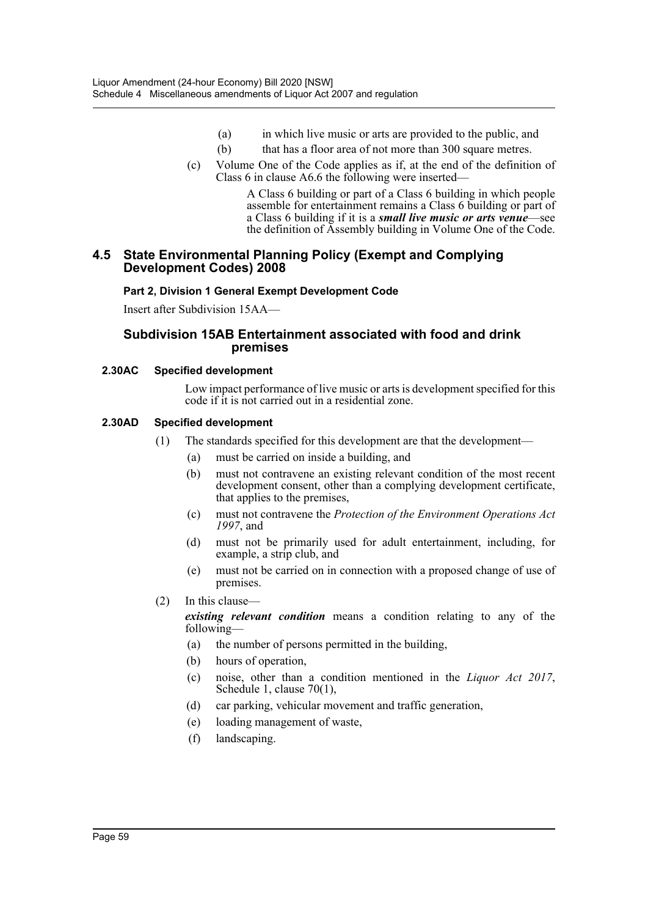- (a) in which live music or arts are provided to the public, and
- (b) that has a floor area of not more than 300 square metres.
- (c) Volume One of the Code applies as if, at the end of the definition of Class 6 in clause A6.6 the following were inserted—

A Class 6 building or part of a Class 6 building in which people assemble for entertainment remains a Class 6 building or part of a Class 6 building if it is a *small live music or arts venue*—see the definition of Assembly building in Volume One of the Code.

# **4.5 State Environmental Planning Policy (Exempt and Complying Development Codes) 2008**

#### **Part 2, Division 1 General Exempt Development Code**

Insert after Subdivision 15AA—

# **Subdivision 15AB Entertainment associated with food and drink premises**

#### **2.30AC Specified development**

Low impact performance of live music or arts is development specified for this code if it is not carried out in a residential zone.

#### **2.30AD Specified development**

- (1) The standards specified for this development are that the development—
	- (a) must be carried on inside a building, and
	- (b) must not contravene an existing relevant condition of the most recent development consent, other than a complying development certificate, that applies to the premises,
	- (c) must not contravene the *Protection of the Environment Operations Act 1997*, and
	- (d) must not be primarily used for adult entertainment, including, for example, a strip club, and
	- (e) must not be carried on in connection with a proposed change of use of premises.
- (2) In this clause—

*existing relevant condition* means a condition relating to any of the following—

- (a) the number of persons permitted in the building,
- (b) hours of operation,
- (c) noise, other than a condition mentioned in the *Liquor Act 2017*, Schedule 1, clause 70(1),
- (d) car parking, vehicular movement and traffic generation,
- (e) loading management of waste,
- (f) landscaping.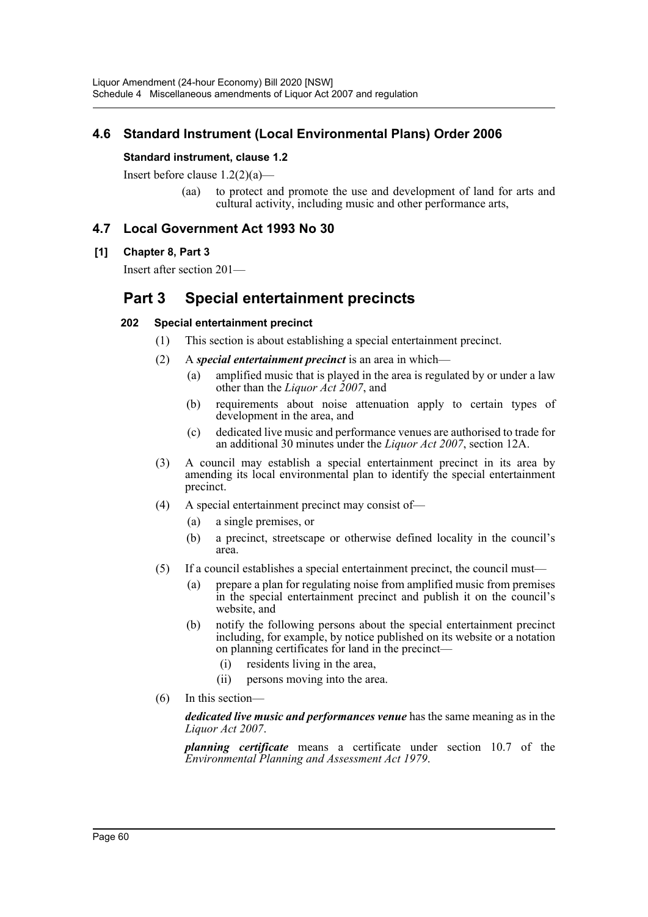# **4.6 Standard Instrument (Local Environmental Plans) Order 2006**

#### **Standard instrument, clause 1.2**

Insert before clause 1.2(2)(a)—

(aa) to protect and promote the use and development of land for arts and cultural activity, including music and other performance arts,

# **4.7 Local Government Act 1993 No 30**

#### **[1] Chapter 8, Part 3**

Insert after section 201—

# **Part 3 Special entertainment precincts**

#### **202 Special entertainment precinct**

- (1) This section is about establishing a special entertainment precinct.
- (2) A *special entertainment precinct* is an area in which—
	- (a) amplified music that is played in the area is regulated by or under a law other than the *Liquor Act 2007*, and
	- (b) requirements about noise attenuation apply to certain types of development in the area, and
	- (c) dedicated live music and performance venues are authorised to trade for an additional 30 minutes under the *Liquor Act 2007*, section 12A.
- (3) A council may establish a special entertainment precinct in its area by amending its local environmental plan to identify the special entertainment precinct.
- (4) A special entertainment precinct may consist of—
	- (a) a single premises, or
	- (b) a precinct, streetscape or otherwise defined locality in the council's area.
- (5) If a council establishes a special entertainment precinct, the council must—
	- (a) prepare a plan for regulating noise from amplified music from premises in the special entertainment precinct and publish it on the council's website, and
	- (b) notify the following persons about the special entertainment precinct including, for example, by notice published on its website or a notation on planning certificates for land in the precinct—
		- (i) residents living in the area,
		- (ii) persons moving into the area.
- (6) In this section—

*dedicated live music and performances venue* has the same meaning as in the *Liquor Act 2007*.

*planning certificate* means a certificate under section 10.7 of the *Environmental Planning and Assessment Act 1979*.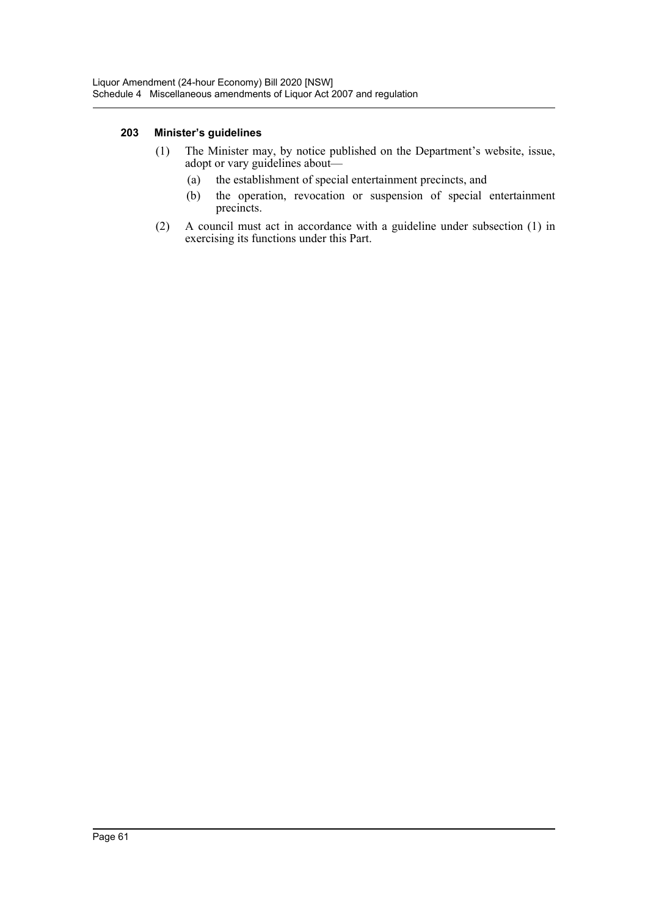#### **203 Minister's guidelines**

- (1) The Minister may, by notice published on the Department's website, issue, adopt or vary guidelines about—
	- (a) the establishment of special entertainment precincts, and
	- (b) the operation, revocation or suspension of special entertainment precincts.
- (2) A council must act in accordance with a guideline under subsection (1) in exercising its functions under this Part.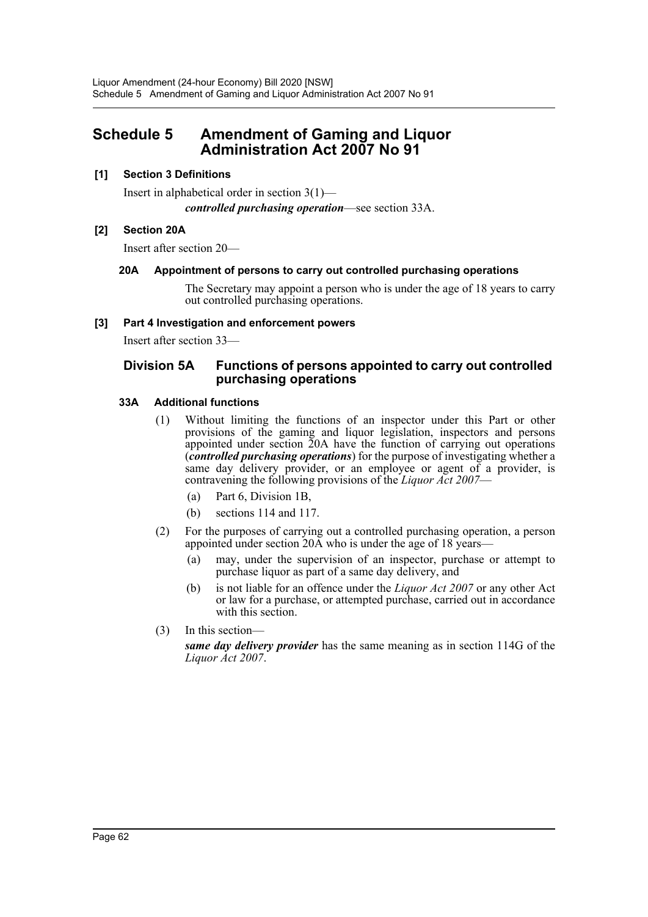# <span id="page-62-0"></span>**Schedule 5 Amendment of Gaming and Liquor Administration Act 2007 No 91**

# **[1] Section 3 Definitions**

Insert in alphabetical order in section 3(1) *controlled purchasing operation*—see section 33A.

# **[2] Section 20A**

Insert after section 20—

# **20A Appointment of persons to carry out controlled purchasing operations**

The Secretary may appoint a person who is under the age of 18 years to carry out controlled purchasing operations.

#### **[3] Part 4 Investigation and enforcement powers**

Insert after section 33—

# **Division 5A Functions of persons appointed to carry out controlled purchasing operations**

# **33A Additional functions**

- (1) Without limiting the functions of an inspector under this Part or other provisions of the gaming and liquor legislation, inspectors and persons appointed under section 20A have the function of carrying out operations (*controlled purchasing operations*) for the purpose of investigating whether a same day delivery provider, or an employee or agent of a provider, is contravening the following provisions of the *Liquor Act 2007*—
	- (a) Part 6, Division 1B,
	- (b) sections 114 and 117.
- (2) For the purposes of carrying out a controlled purchasing operation, a person appointed under section 20A who is under the age of 18 years—
	- (a) may, under the supervision of an inspector, purchase or attempt to purchase liquor as part of a same day delivery, and
	- (b) is not liable for an offence under the *Liquor Act 2007* or any other Act or law for a purchase, or attempted purchase, carried out in accordance with this section.
- (3) In this section—

*same day delivery provider* has the same meaning as in section 114G of the *Liquor Act 2007*.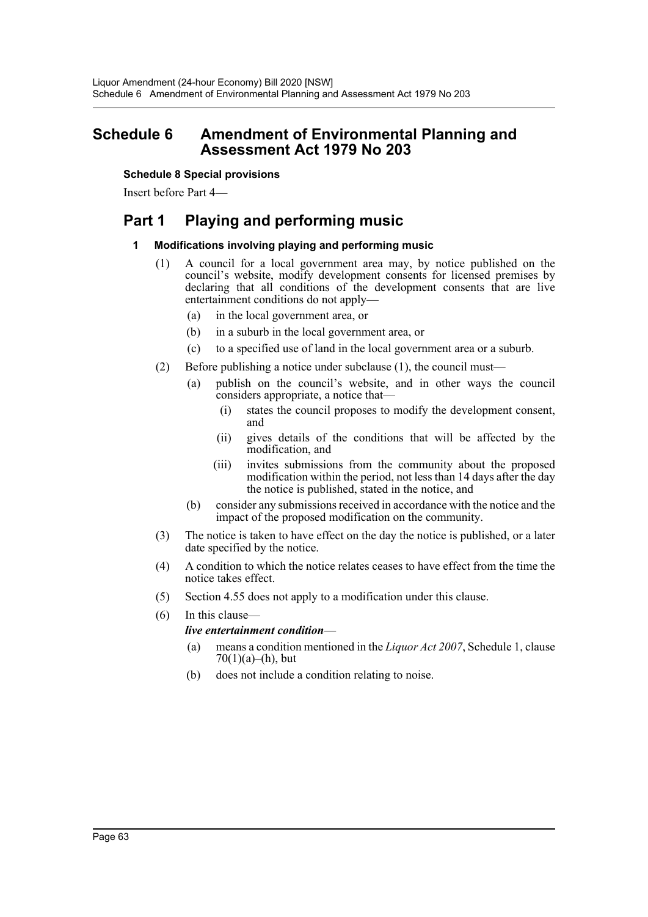# <span id="page-63-0"></span>**Schedule 6 Amendment of Environmental Planning and Assessment Act 1979 No 203**

## **Schedule 8 Special provisions**

Insert before Part 4—

# **Part 1 Playing and performing music**

# **1 Modifications involving playing and performing music**

- (1) A council for a local government area may, by notice published on the council's website, modify development consents for licensed premises by declaring that all conditions of the development consents that are live entertainment conditions do not apply—
	- (a) in the local government area, or
	- (b) in a suburb in the local government area, or
	- (c) to a specified use of land in the local government area or a suburb.
- (2) Before publishing a notice under subclause (1), the council must—
	- (a) publish on the council's website, and in other ways the council considers appropriate, a notice that—
		- (i) states the council proposes to modify the development consent, and
		- (ii) gives details of the conditions that will be affected by the modification, and
		- (iii) invites submissions from the community about the proposed modification within the period, not less than 14 days after the day the notice is published, stated in the notice, and
	- (b) consider any submissions received in accordance with the notice and the impact of the proposed modification on the community.
- (3) The notice is taken to have effect on the day the notice is published, or a later date specified by the notice.
- (4) A condition to which the notice relates ceases to have effect from the time the notice takes effect.
- (5) Section 4.55 does not apply to a modification under this clause.
- (6) In this clause—

# *live entertainment condition*—

- (a) means a condition mentioned in the *Liquor Act 2007*, Schedule 1, clause  $70(1)(a)–(h)$ , but
- (b) does not include a condition relating to noise.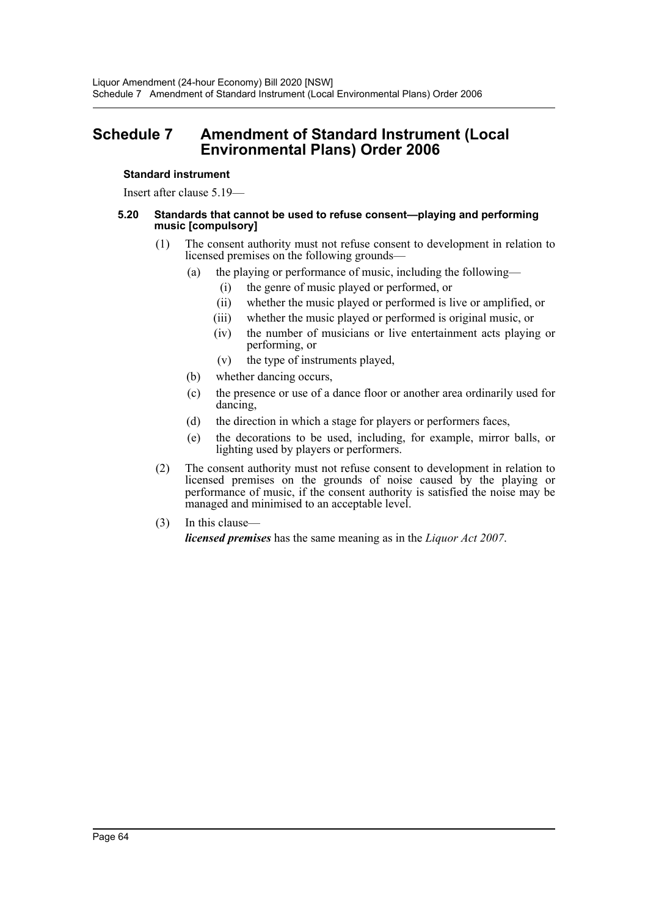# <span id="page-64-0"></span>**Schedule 7 Amendment of Standard Instrument (Local Environmental Plans) Order 2006**

#### **Standard instrument**

Insert after clause 5.19—

#### **5.20 Standards that cannot be used to refuse consent—playing and performing music [compulsory]**

- (1) The consent authority must not refuse consent to development in relation to licensed premises on the following grounds—
	- (a) the playing or performance of music, including the following—
		- (i) the genre of music played or performed, or
		- (ii) whether the music played or performed is live or amplified, or
		- (iii) whether the music played or performed is original music, or
		- (iv) the number of musicians or live entertainment acts playing or performing, or
		- (v) the type of instruments played,
	- (b) whether dancing occurs,
	- (c) the presence or use of a dance floor or another area ordinarily used for dancing,
	- (d) the direction in which a stage for players or performers faces,
	- (e) the decorations to be used, including, for example, mirror balls, or lighting used by players or performers.
- (2) The consent authority must not refuse consent to development in relation to licensed premises on the grounds of noise caused by the playing or performance of music, if the consent authority is satisfied the noise may be managed and minimised to an acceptable level.
- (3) In this clause—

*licensed premises* has the same meaning as in the *Liquor Act 2007*.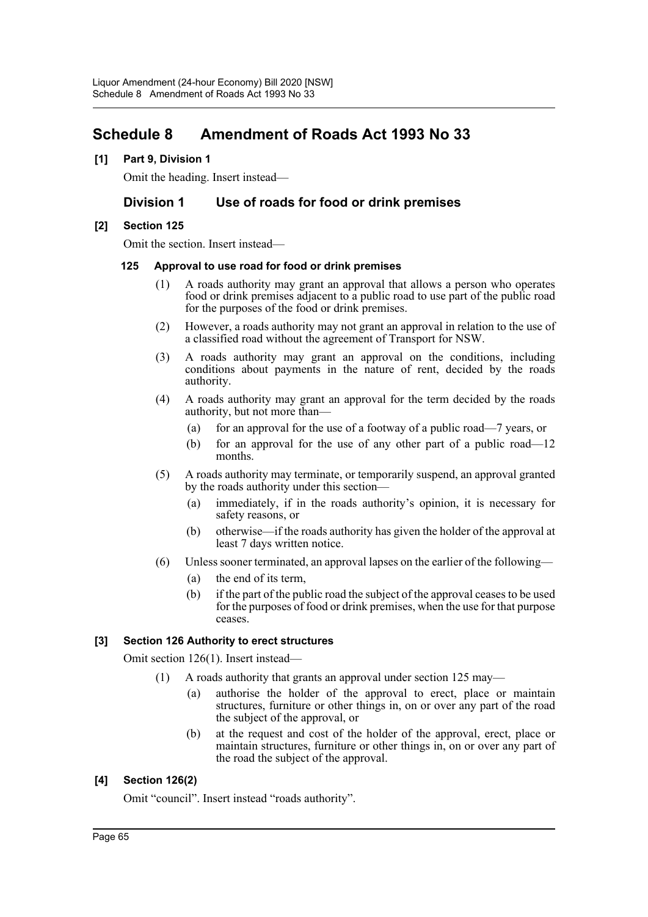# <span id="page-65-0"></span>**Schedule 8 Amendment of Roads Act 1993 No 33**

#### **[1] Part 9, Division 1**

Omit the heading. Insert instead—

# **Division 1 Use of roads for food or drink premises**

#### **[2] Section 125**

Omit the section. Insert instead—

#### **125 Approval to use road for food or drink premises**

- (1) A roads authority may grant an approval that allows a person who operates food or drink premises adjacent to a public road to use part of the public road for the purposes of the food or drink premises.
- (2) However, a roads authority may not grant an approval in relation to the use of a classified road without the agreement of Transport for NSW.
- (3) A roads authority may grant an approval on the conditions, including conditions about payments in the nature of rent, decided by the roads authority.
- (4) A roads authority may grant an approval for the term decided by the roads authority, but not more than—
	- (a) for an approval for the use of a footway of a public road—7 years, or
	- (b) for an approval for the use of any other part of a public road—12 months.
- (5) A roads authority may terminate, or temporarily suspend, an approval granted by the roads authority under this section—
	- (a) immediately, if in the roads authority's opinion, it is necessary for safety reasons, or
	- (b) otherwise—if the roads authority has given the holder of the approval at least 7 days written notice.
- (6) Unless sooner terminated, an approval lapses on the earlier of the following—
	- (a) the end of its term,
	- (b) if the part of the public road the subject of the approval ceases to be used for the purposes of food or drink premises, when the use for that purpose ceases.

# **[3] Section 126 Authority to erect structures**

Omit section 126(1). Insert instead—

- (1) A roads authority that grants an approval under section 125 may—
	- (a) authorise the holder of the approval to erect, place or maintain structures, furniture or other things in, on or over any part of the road the subject of the approval, or
	- (b) at the request and cost of the holder of the approval, erect, place or maintain structures, furniture or other things in, on or over any part of the road the subject of the approval.

# **[4] Section 126(2)**

Omit "council". Insert instead "roads authority".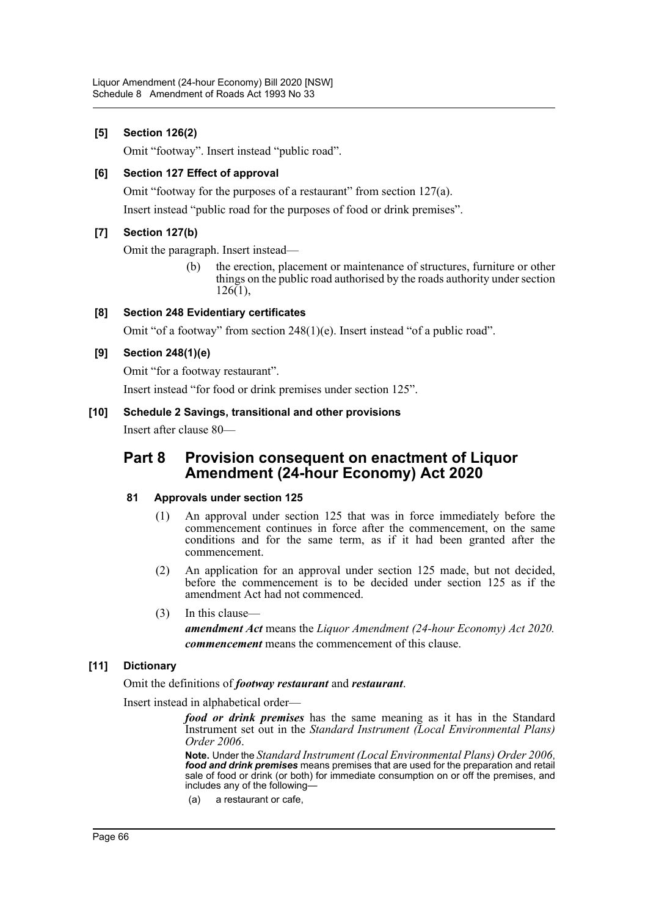# **[5] Section 126(2)**

Omit "footway". Insert instead "public road".

## **[6] Section 127 Effect of approval**

Omit "footway for the purposes of a restaurant" from section 127(a).

Insert instead "public road for the purposes of food or drink premises".

# **[7] Section 127(b)**

Omit the paragraph. Insert instead—

(b) the erection, placement or maintenance of structures, furniture or other things on the public road authorised by the roads authority under section  $126(1)$ ,

#### **[8] Section 248 Evidentiary certificates**

Omit "of a footway" from section 248(1)(e). Insert instead "of a public road".

#### **[9] Section 248(1)(e)**

Omit "for a footway restaurant".

Insert instead "for food or drink premises under section 125".

#### **[10] Schedule 2 Savings, transitional and other provisions**

Insert after clause 80—

# **Part 8 Provision consequent on enactment of Liquor Amendment (24-hour Economy) Act 2020**

#### **81 Approvals under section 125**

- (1) An approval under section 125 that was in force immediately before the commencement continues in force after the commencement, on the same conditions and for the same term, as if it had been granted after the commencement.
- (2) An application for an approval under section 125 made, but not decided, before the commencement is to be decided under section 125 as if the amendment Act had not commenced.
- (3) In this clause *amendment Act* means the *Liquor Amendment (24-hour Economy) Act 2020. commencement* means the commencement of this clause.

# **[11] Dictionary**

Omit the definitions of *footway restaurant* and *restaurant*.

Insert instead in alphabetical order—

*food or drink premises* has the same meaning as it has in the Standard Instrument set out in the *Standard Instrument (Local Environmental Plans) Order 2006*.

**Note.** Under the *Standard Instrument (Local Environmental Plans) Order 2006*, *food and drink premises* means premises that are used for the preparation and retail sale of food or drink (or both) for immediate consumption on or off the premises, and includes any of the following-

(a) a restaurant or cafe,